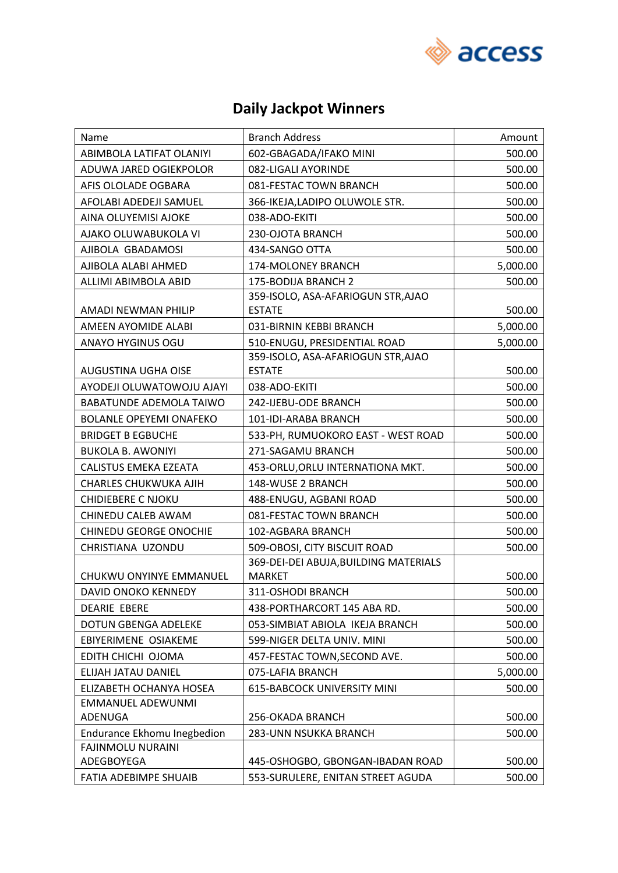

### **Daily Jackpot Winners**

| Name                                   | <b>Branch Address</b>                 | Amount   |
|----------------------------------------|---------------------------------------|----------|
| ABIMBOLA LATIFAT OLANIYI               | 602-GBAGADA/IFAKO MINI                | 500.00   |
| ADUWA JARED OGIEKPOLOR                 | 082-LIGALI AYORINDE                   | 500.00   |
| AFIS OLOLADE OGBARA                    | 081-FESTAC TOWN BRANCH                | 500.00   |
| AFOLABI ADEDEJI SAMUEL                 | 366-IKEJA,LADIPO OLUWOLE STR.         | 500.00   |
| AINA OLUYEMISI AJOKE                   | 038-ADO-EKITI                         | 500.00   |
| AJAKO OLUWABUKOLA VI                   | 230-OJOTA BRANCH                      | 500.00   |
| AJIBOLA GBADAMOSI                      | 434-SANGO OTTA                        | 500.00   |
| AJIBOLA ALABI AHMED                    | 174-MOLONEY BRANCH                    | 5,000.00 |
| ALLIMI ABIMBOLA ABID                   | 175-BODIJA BRANCH 2                   | 500.00   |
|                                        | 359-ISOLO, ASA-AFARIOGUN STR, AJAO    |          |
| AMADI NEWMAN PHILIP                    | <b>ESTATE</b>                         | 500.00   |
| AMEEN AYOMIDE ALABI                    | 031-BIRNIN KEBBI BRANCH               | 5,000.00 |
| <b>ANAYO HYGINUS OGU</b>               | 510-ENUGU, PRESIDENTIAL ROAD          | 5,000.00 |
|                                        | 359-ISOLO, ASA-AFARIOGUN STR, AJAO    |          |
| AUGUSTINA UGHA OISE                    | <b>ESTATE</b>                         | 500.00   |
| AYODEJI OLUWATOWOJU AJAYI              | 038-ADO-EKITI                         | 500.00   |
| BABATUNDE ADEMOLA TAIWO                | 242-IJEBU-ODE BRANCH                  | 500.00   |
| <b>BOLANLE OPEYEMI ONAFEKO</b>         | 101-IDI-ARABA BRANCH                  | 500.00   |
| <b>BRIDGET B EGBUCHE</b>               | 533-PH, RUMUOKORO EAST - WEST ROAD    | 500.00   |
| <b>BUKOLA B. AWONIYI</b>               | 271-SAGAMU BRANCH                     | 500.00   |
| CALISTUS EMEKA EZEATA                  | 453-ORLU, ORLU INTERNATIONA MKT.      | 500.00   |
| CHARLES CHUKWUKA AJIH                  | 148-WUSE 2 BRANCH                     | 500.00   |
| <b>CHIDIEBERE C NJOKU</b>              | 488-ENUGU, AGBANI ROAD                | 500.00   |
| CHINEDU CALEB AWAM                     | 081-FESTAC TOWN BRANCH                | 500.00   |
| CHINEDU GEORGE ONOCHIE                 | 102-AGBARA BRANCH                     | 500.00   |
| CHRISTIANA UZONDU                      | 509-OBOSI, CITY BISCUIT ROAD          | 500.00   |
|                                        | 369-DEI-DEI ABUJA, BUILDING MATERIALS |          |
| CHUKWU ONYINYE EMMANUEL                | <b>MARKET</b>                         | 500.00   |
| DAVID ONOKO KENNEDY                    | 311-OSHODI BRANCH                     | 500.00   |
| <b>DEARIE EBERE</b>                    | 438-PORTHARCORT 145 ABA RD.           | 500.00   |
| <b>DOTUN GBENGA ADELEKE</b>            | 053-SIMBIAT ABIOLA IKEJA BRANCH       | 500.00   |
| EBIYERIMENE OSIAKEME                   | 599-NIGER DELTA UNIV. MINI            | 500.00   |
| EDITH CHICHI OJOMA                     | 457-FESTAC TOWN, SECOND AVE.          | 500.00   |
| <b>ELIJAH JATAU DANIEL</b>             | 075-LAFIA BRANCH                      | 5,000.00 |
| ELIZABETH OCHANYA HOSEA                | <b>615-BABCOCK UNIVERSITY MINI</b>    | 500.00   |
| <b>EMMANUEL ADEWUNMI</b>               |                                       |          |
| ADENUGA                                | 256-OKADA BRANCH                      | 500.00   |
| Endurance Ekhomu Inegbedion            | 283-UNN NSUKKA BRANCH                 | 500.00   |
| <b>FAJINMOLU NURAINI</b><br>ADEGBOYEGA | 445-OSHOGBO, GBONGAN-IBADAN ROAD      | 500.00   |
| FATIA ADEBIMPE SHUAIB                  | 553-SURULERE, ENITAN STREET AGUDA     | 500.00   |
|                                        |                                       |          |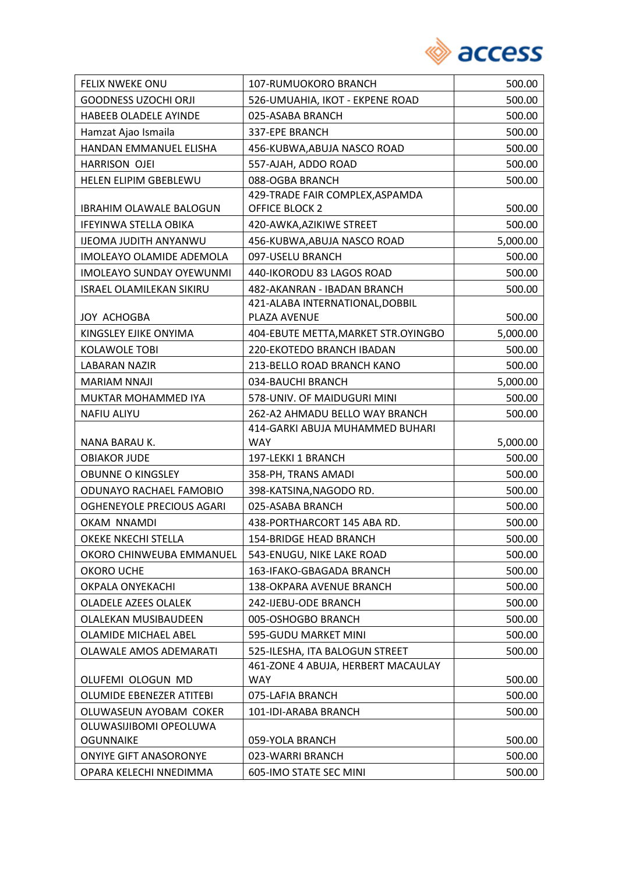

| FELIX NWEKE ONU                 | 107-RUMUOKORO BRANCH                          | 500.00   |
|---------------------------------|-----------------------------------------------|----------|
| <b>GOODNESS UZOCHI ORJI</b>     | 526-UMUAHIA, IKOT - EKPENE ROAD               | 500.00   |
| HABEEB OLADELE AYINDE           | 025-ASABA BRANCH                              | 500.00   |
| Hamzat Ajao Ismaila             | 337-EPE BRANCH                                | 500.00   |
| HANDAN EMMANUEL ELISHA          | 456-KUBWA, ABUJA NASCO ROAD                   | 500.00   |
| HARRISON OJEI                   | 557-AJAH, ADDO ROAD                           | 500.00   |
| HELEN ELIPIM GBEBLEWU           | 088-OGBA BRANCH                               | 500.00   |
|                                 | 429-TRADE FAIR COMPLEX, ASPAMDA               |          |
| <b>IBRAHIM OLAWALE BALOGUN</b>  | OFFICE BLOCK 2                                | 500.00   |
| IFEYINWA STELLA OBIKA           | 420-AWKA, AZIKIWE STREET                      | 500.00   |
| <b>IJEOMA JUDITH ANYANWU</b>    | 456-KUBWA, ABUJA NASCO ROAD                   | 5,000.00 |
| IMOLEAYO OLAMIDE ADEMOLA        | 097-USELU BRANCH                              | 500.00   |
| <b>IMOLEAYO SUNDAY OYEWUNMI</b> | 440-IKORODU 83 LAGOS ROAD                     | 500.00   |
| <b>ISRAEL OLAMILEKAN SIKIRU</b> | 482-AKANRAN - IBADAN BRANCH                   | 500.00   |
|                                 | 421-ALABA INTERNATIONAL, DOBBIL               |          |
| <b>JOY ACHOGBA</b>              | PLAZA AVENUE                                  | 500.00   |
| KINGSLEY EJIKE ONYIMA           | 404-EBUTE METTA, MARKET STR.OYINGBO           | 5,000.00 |
| <b>KOLAWOLE TOBI</b>            | 220-EKOTEDO BRANCH IBADAN                     | 500.00   |
| <b>LABARAN NAZIR</b>            | 213-BELLO ROAD BRANCH KANO                    | 500.00   |
| <b>MARIAM NNAJI</b>             | 034-BAUCHI BRANCH                             | 5,000.00 |
| MUKTAR MOHAMMED IYA             | 578-UNIV. OF MAIDUGURI MINI                   | 500.00   |
| <b>NAFIU ALIYU</b>              | 262-A2 AHMADU BELLO WAY BRANCH                | 500.00   |
| NANA BARAU K.                   | 414-GARKI ABUJA MUHAMMED BUHARI<br><b>WAY</b> | 5,000.00 |
| <b>OBIAKOR JUDE</b>             | 197-LEKKI 1 BRANCH                            | 500.00   |
| <b>OBUNNE O KINGSLEY</b>        | 358-PH, TRANS AMADI                           | 500.00   |
| ODUNAYO RACHAEL FAMOBIO         | 398-KATSINA, NAGODO RD.                       | 500.00   |
| OGHENEYOLE PRECIOUS AGARI       | 025-ASABA BRANCH                              | 500.00   |
| OKAM NNAMDI                     | 438-PORTHARCORT 145 ABA RD.                   | 500.00   |
| OKEKE NKECHI STELLA             | 154-BRIDGE HEAD BRANCH                        | 500.00   |
| OKORO CHINWEUBA EMMANUEL        | 543-ENUGU, NIKE LAKE ROAD                     | 500.00   |
| OKORO UCHE                      | 163-IFAKO-GBAGADA BRANCH                      | 500.00   |
| OKPALA ONYEKACHI                | 138-OKPARA AVENUE BRANCH                      | 500.00   |
| <b>OLADELE AZEES OLALEK</b>     | 242-IJEBU-ODE BRANCH                          | 500.00   |
| OLALEKAN MUSIBAUDEEN            | 005-OSHOGBO BRANCH                            | 500.00   |
| OLAMIDE MICHAEL ABEL            | 595-GUDU MARKET MINI                          | 500.00   |
| <b>OLAWALE AMOS ADEMARATI</b>   | 525-ILESHA, ITA BALOGUN STREET                | 500.00   |
|                                 | 461-ZONE 4 ABUJA, HERBERT MACAULAY            |          |
| OLUFEMI OLOGUN MD               | <b>WAY</b>                                    | 500.00   |
| OLUMIDE EBENEZER ATITEBI        | 075-LAFIA BRANCH                              | 500.00   |
| OLUWASEUN AYOBAM COKER          | 101-IDI-ARABA BRANCH                          | 500.00   |
| OLUWASIJIBOMI OPEOLUWA          |                                               |          |
| <b>OGUNNAIKE</b>                | 059-YOLA BRANCH                               | 500.00   |
| <b>ONYIYE GIFT ANASORONYE</b>   | 023-WARRI BRANCH                              | 500.00   |
| OPARA KELECHI NNEDIMMA          | 605-IMO STATE SEC MINI                        | 500.00   |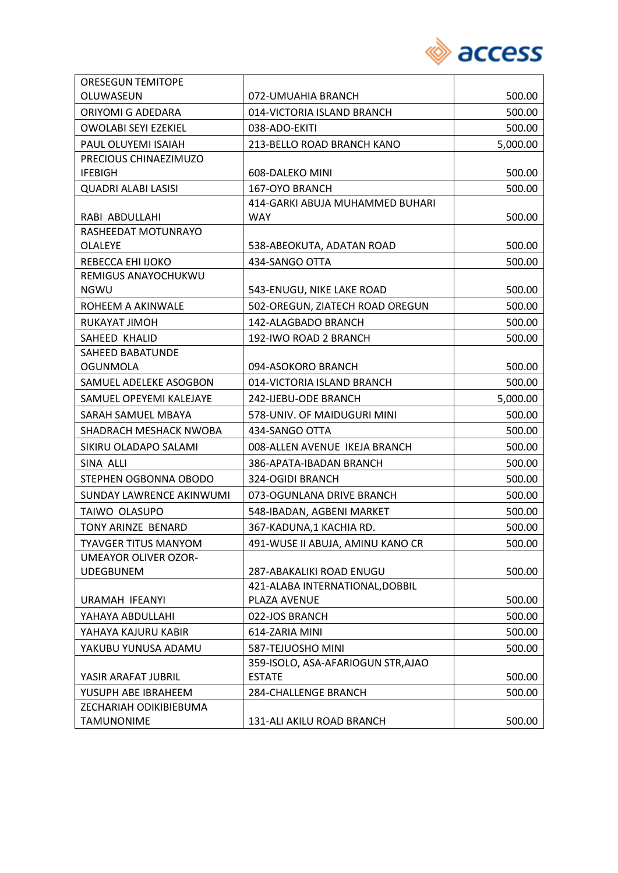

| <b>ORESEGUN TEMITOPE</b>                      |                                    |          |
|-----------------------------------------------|------------------------------------|----------|
| OLUWASEUN                                     | 072-UMUAHIA BRANCH                 | 500.00   |
| ORIYOMI G ADEDARA                             | 014-VICTORIA ISLAND BRANCH         | 500.00   |
| <b>OWOLABI SEYI EZEKIEL</b>                   | 038-ADO-EKITI                      | 500.00   |
| PAUL OLUYEMI ISAIAH                           | 213-BELLO ROAD BRANCH KANO         | 5,000.00 |
| PRECIOUS CHINAEZIMUZO                         |                                    |          |
| <b>IFEBIGH</b>                                | 608-DALEKO MINI                    | 500.00   |
| <b>QUADRI ALABI LASISI</b>                    | 167-OYO BRANCH                     | 500.00   |
|                                               | 414-GARKI ABUJA MUHAMMED BUHARI    |          |
| RABI ABDULLAHI                                | <b>WAY</b>                         | 500.00   |
| RASHEEDAT MOTUNRAYO                           |                                    |          |
| <b>OLALEYE</b>                                | 538-ABEOKUTA, ADATAN ROAD          | 500.00   |
| REBECCA EHI IJOKO<br>REMIGUS ANAYOCHUKWU      | 434-SANGO OTTA                     | 500.00   |
| <b>NGWU</b>                                   | 543-ENUGU, NIKE LAKE ROAD          | 500.00   |
| ROHEEM A AKINWALE                             | 502-OREGUN, ZIATECH ROAD OREGUN    | 500.00   |
| RUKAYAT JIMOH                                 | 142-ALAGBADO BRANCH                | 500.00   |
| SAHEED KHALID                                 | 192-IWO ROAD 2 BRANCH              | 500.00   |
| SAHEED BABATUNDE                              |                                    |          |
| <b>OGUNMOLA</b>                               | 094-ASOKORO BRANCH                 | 500.00   |
| SAMUEL ADELEKE ASOGBON                        | 014-VICTORIA ISLAND BRANCH         | 500.00   |
| SAMUEL OPEYEMI KALEJAYE                       | 242-IJEBU-ODE BRANCH               | 5,000.00 |
| SARAH SAMUEL MBAYA                            | 578-UNIV. OF MAIDUGURI MINI        | 500.00   |
| SHADRACH MESHACK NWOBA                        | 434-SANGO OTTA                     | 500.00   |
| SIKIRU OLADAPO SALAMI                         | 008-ALLEN AVENUE IKEJA BRANCH      | 500.00   |
| SINA ALLI                                     | 386-APATA-IBADAN BRANCH            | 500.00   |
| STEPHEN OGBONNA OBODO                         | 324-OGIDI BRANCH                   | 500.00   |
| SUNDAY LAWRENCE AKINWUMI                      | 073-OGUNLANA DRIVE BRANCH          | 500.00   |
| TAIWO OLASUPO                                 | 548-IBADAN, AGBENI MARKET          | 500.00   |
| TONY ARINZE BENARD                            | 367-KADUNA,1 KACHIA RD.            | 500.00   |
| <b>TYAVGER TITUS MANYOM</b>                   | 491-WUSE II ABUJA, AMINU KANO CR   | 500.00   |
| <b>UMEAYOR OLIVER OZOR-</b>                   |                                    |          |
| <b>UDEGBUNEM</b>                              | 287-ABAKALIKI ROAD ENUGU           | 500.00   |
|                                               | 421-ALABA INTERNATIONAL, DOBBIL    |          |
| URAMAH IFEANYI                                | PLAZA AVENUE                       | 500.00   |
| YAHAYA ABDULLAHI                              | 022-JOS BRANCH                     | 500.00   |
| YAHAYA KAJURU KABIR                           | 614-ZARIA MINI                     | 500.00   |
| YAKUBU YUNUSA ADAMU                           | 587-TEJUOSHO MINI                  | 500.00   |
|                                               | 359-ISOLO, ASA-AFARIOGUN STR, AJAO |          |
| YASIR ARAFAT JUBRIL                           | <b>ESTATE</b>                      | 500.00   |
| YUSUPH ABE IBRAHEEM<br>ZECHARIAH ODIKIBIEBUMA | <b>284-CHALLENGE BRANCH</b>        | 500.00   |
| <b>TAMUNONIME</b>                             | 131-ALI AKILU ROAD BRANCH          | 500.00   |
|                                               |                                    |          |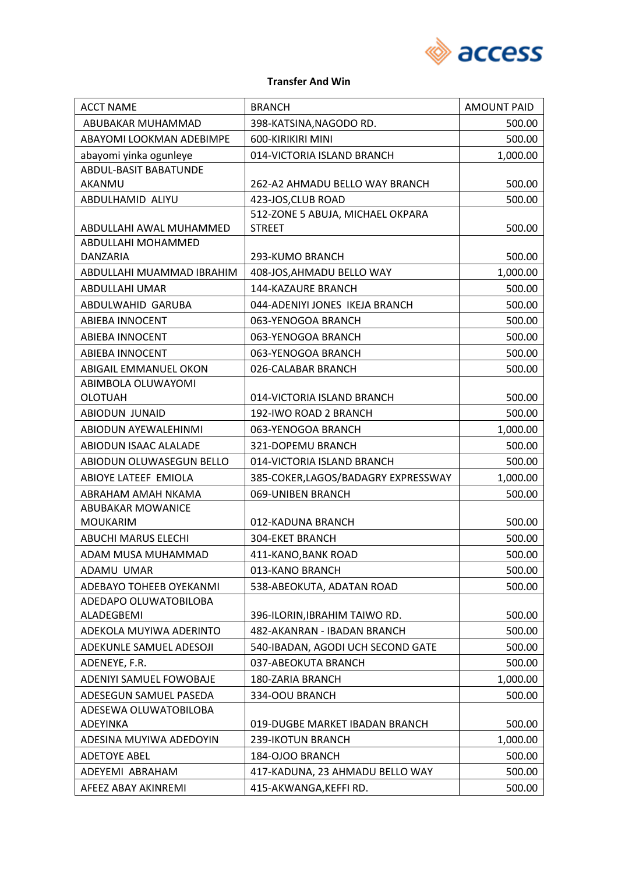

#### **Transfer And Win**

| <b>ACCT NAME</b>                     | <b>BRANCH</b>                       | <b>AMOUNT PAID</b> |
|--------------------------------------|-------------------------------------|--------------------|
| ABUBAKAR MUHAMMAD                    | 398-KATSINA, NAGODO RD.             | 500.00             |
| ABAYOMI LOOKMAN ADEBIMPE             | 600-KIRIKIRI MINI                   | 500.00             |
| abayomi yinka ogunleye               | 014-VICTORIA ISLAND BRANCH          | 1,000.00           |
| <b>ABDUL-BASIT BABATUNDE</b>         |                                     |                    |
| AKANMU                               | 262-A2 AHMADU BELLO WAY BRANCH      | 500.00             |
| ABDULHAMID ALIYU                     | 423-JOS, CLUB ROAD                  | 500.00             |
|                                      | 512-ZONE 5 ABUJA, MICHAEL OKPARA    |                    |
| ABDULLAHI AWAL MUHAMMED              | <b>STREET</b>                       | 500.00             |
| ABDULLAHI MOHAMMED                   |                                     |                    |
| DANZARIA                             | 293-KUMO BRANCH                     | 500.00             |
| ABDULLAHI MUAMMAD IBRAHIM            | 408-JOS, AHMADU BELLO WAY           | 1,000.00           |
| ABDULLAHI UMAR                       | 144-KAZAURE BRANCH                  | 500.00             |
| ABDULWAHID GARUBA                    | 044-ADENIYI JONES IKEJA BRANCH      | 500.00             |
| <b>ABIEBA INNOCENT</b>               | 063-YENOGOA BRANCH                  | 500.00             |
| <b>ABIEBA INNOCENT</b>               | 063-YENOGOA BRANCH                  | 500.00             |
| <b>ABIEBA INNOCENT</b>               | 063-YENOGOA BRANCH                  | 500.00             |
| ABIGAIL EMMANUEL OKON                | 026-CALABAR BRANCH                  | 500.00             |
| ABIMBOLA OLUWAYOMI<br><b>OLOTUAH</b> | 014-VICTORIA ISLAND BRANCH          | 500.00             |
| ABIODUN JUNAID                       | 192-IWO ROAD 2 BRANCH               | 500.00             |
| ABIODUN AYEWALEHINMI                 | 063-YENOGOA BRANCH                  | 1,000.00           |
| ABIODUN ISAAC ALALADE                | 321-DOPEMU BRANCH                   | 500.00             |
| ABIODUN OLUWASEGUN BELLO             | 014-VICTORIA ISLAND BRANCH          | 500.00             |
| ABIOYE LATEEF EMIOLA                 | 385-COKER, LAGOS/BADAGRY EXPRESSWAY | 1,000.00           |
| ABRAHAM AMAH NKAMA                   | 069-UNIBEN BRANCH                   | 500.00             |
| <b>ABUBAKAR MOWANICE</b>             |                                     |                    |
| <b>MOUKARIM</b>                      | 012-KADUNA BRANCH                   | 500.00             |
| <b>ABUCHI MARUS ELECHI</b>           | 304-EKET BRANCH                     | 500.00             |
| ADAM MUSA MUHAMMAD                   | 411-KANO, BANK ROAD                 | 500.00             |
| ADAMU UMAR                           | 013-KANO BRANCH                     | 500.00             |
| ADEBAYO TOHEEB OYEKANMI              | 538-ABEOKUTA, ADATAN ROAD           | 500.00             |
| ADEDAPO OLUWATOBILOBA                |                                     |                    |
| ALADEGBEMI                           | 396-ILORIN, IBRAHIM TAIWO RD.       | 500.00             |
| ADEKOLA MUYIWA ADERINTO              | 482-AKANRAN - IBADAN BRANCH         | 500.00             |
| ADEKUNLE SAMUEL ADESOJI              | 540-IBADAN, AGODI UCH SECOND GATE   | 500.00             |
| ADENEYE, F.R.                        | 037-ABEOKUTA BRANCH                 | 500.00             |
| ADENIYI SAMUEL FOWOBAJE              | 180-ZARIA BRANCH                    | 1,000.00           |
| ADESEGUN SAMUEL PASEDA               | 334-OOU BRANCH                      | 500.00             |
| ADESEWA OLUWATOBILOBA                |                                     |                    |
| ADEYINKA                             | 019-DUGBE MARKET IBADAN BRANCH      | 500.00             |
| ADESINA MUYIWA ADEDOYIN              | 239-IKOTUN BRANCH                   | 1,000.00           |
| <b>ADETOYE ABEL</b>                  | 184-OJOO BRANCH                     | 500.00             |
| ADEYEMI ABRAHAM                      | 417-KADUNA, 23 AHMADU BELLO WAY     | 500.00             |
| AFEEZ ABAY AKINREMI                  | 415-AKWANGA, KEFFI RD.              | 500.00             |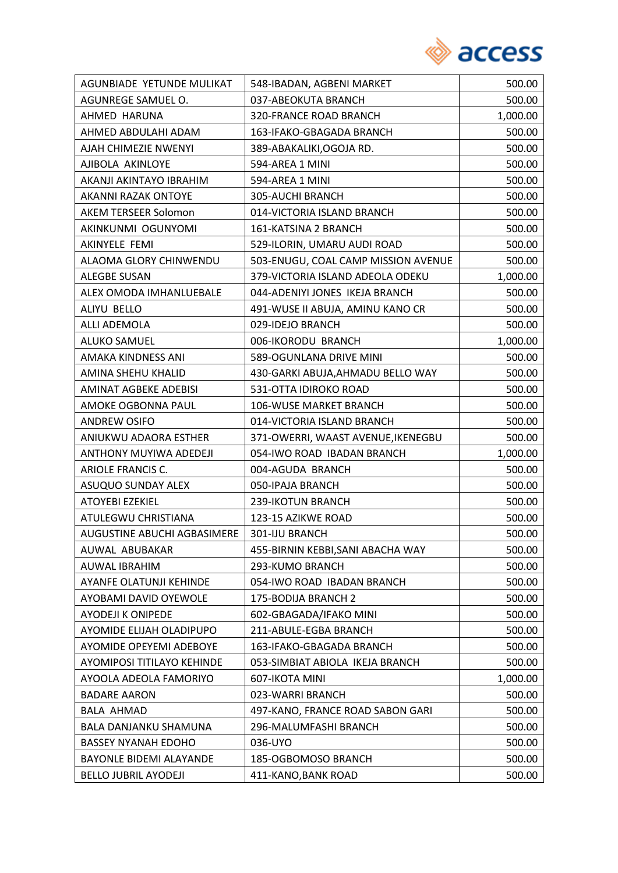

| AGUNBIADE YETUNDE MULIKAT      | 548-IBADAN, AGBENI MARKET           | 500.00   |
|--------------------------------|-------------------------------------|----------|
| AGUNREGE SAMUEL O.             | 037-ABEOKUTA BRANCH                 | 500.00   |
| AHMED HARUNA                   | 320-FRANCE ROAD BRANCH              | 1,000.00 |
| AHMED ABDULAHI ADAM            | 163-IFAKO-GBAGADA BRANCH            | 500.00   |
| AJAH CHIMEZIE NWENYI           | 389-ABAKALIKI, OGOJA RD.            | 500.00   |
| AJIBOLA AKINLOYE               | 594-AREA 1 MINI                     | 500.00   |
| AKANJI AKINTAYO IBRAHIM        | 594-AREA 1 MINI                     | 500.00   |
| <b>AKANNI RAZAK ONTOYE</b>     | 305-AUCHI BRANCH                    | 500.00   |
| <b>AKEM TERSEER Solomon</b>    | 014-VICTORIA ISLAND BRANCH          | 500.00   |
| AKINKUNMI OGUNYOMI             | 161-KATSINA 2 BRANCH                | 500.00   |
| AKINYELE FEMI                  | 529-ILORIN, UMARU AUDI ROAD         | 500.00   |
| ALAOMA GLORY CHINWENDU         | 503-ENUGU, COAL CAMP MISSION AVENUE | 500.00   |
| <b>ALEGBE SUSAN</b>            | 379-VICTORIA ISLAND ADEOLA ODEKU    | 1,000.00 |
| ALEX OMODA IMHANLUEBALE        | 044-ADENIYI JONES IKEJA BRANCH      | 500.00   |
| ALIYU BELLO                    | 491-WUSE II ABUJA, AMINU KANO CR    | 500.00   |
| ALLI ADEMOLA                   | 029-IDEJO BRANCH                    | 500.00   |
| <b>ALUKO SAMUEL</b>            | 006-IKORODU BRANCH                  | 1,000.00 |
| AMAKA KINDNESS ANI             | 589-OGUNLANA DRIVE MINI             | 500.00   |
| AMINA SHEHU KHALID             | 430-GARKI ABUJA, AHMADU BELLO WAY   | 500.00   |
| AMINAT AGBEKE ADEBISI          | 531-OTTA IDIROKO ROAD               | 500.00   |
| AMOKE OGBONNA PAUL             | 106-WUSE MARKET BRANCH              | 500.00   |
| <b>ANDREW OSIFO</b>            | 014-VICTORIA ISLAND BRANCH          | 500.00   |
| ANIUKWU ADAORA ESTHER          | 371-OWERRI, WAAST AVENUE, IKENEGBU  | 500.00   |
| ANTHONY MUYIWA ADEDEJI         | 054-IWO ROAD IBADAN BRANCH          | 1,000.00 |
| <b>ARIOLE FRANCIS C.</b>       | 004-AGUDA BRANCH                    | 500.00   |
| ASUQUO SUNDAY ALEX             | 050-IPAJA BRANCH                    | 500.00   |
| <b>ATOYEBI EZEKIEL</b>         | 239-IKOTUN BRANCH                   | 500.00   |
| ATULEGWU CHRISTIANA            | 123-15 AZIKWE ROAD                  | 500.00   |
| AUGUSTINE ABUCHI AGBASIMERE    | 301-IJU BRANCH                      | 500.00   |
| AUWAL ABUBAKAR                 | 455-BIRNIN KEBBI, SANI ABACHA WAY   | 500.00   |
| AUWAL IBRAHIM                  | 293-KUMO BRANCH                     | 500.00   |
| AYANFE OLATUNJI KEHINDE        | 054-IWO ROAD IBADAN BRANCH          | 500.00   |
| AYOBAMI DAVID OYEWOLE          | 175-BODIJA BRANCH 2                 | 500.00   |
| <b>AYODEJI K ONIPEDE</b>       | 602-GBAGADA/IFAKO MINI              | 500.00   |
| AYOMIDE ELIJAH OLADIPUPO       | 211-ABULE-EGBA BRANCH               | 500.00   |
| AYOMIDE OPEYEMI ADEBOYE        | 163-IFAKO-GBAGADA BRANCH            | 500.00   |
| AYOMIPOSI TITILAYO KEHINDE     | 053-SIMBIAT ABIOLA IKEJA BRANCH     | 500.00   |
| AYOOLA ADEOLA FAMORIYO         | 607-IKOTA MINI                      | 1,000.00 |
| <b>BADARE AARON</b>            | 023-WARRI BRANCH                    | 500.00   |
| BALA AHMAD                     | 497-KANO, FRANCE ROAD SABON GARI    | 500.00   |
| BALA DANJANKU SHAMUNA          | 296-MALUMFASHI BRANCH               | 500.00   |
| <b>BASSEY NYANAH EDOHO</b>     | 036-UYO                             | 500.00   |
| <b>BAYONLE BIDEMI ALAYANDE</b> | 185-OGBOMOSO BRANCH                 | 500.00   |
| <b>BELLO JUBRIL AYODEJI</b>    | 411-KANO, BANK ROAD                 | 500.00   |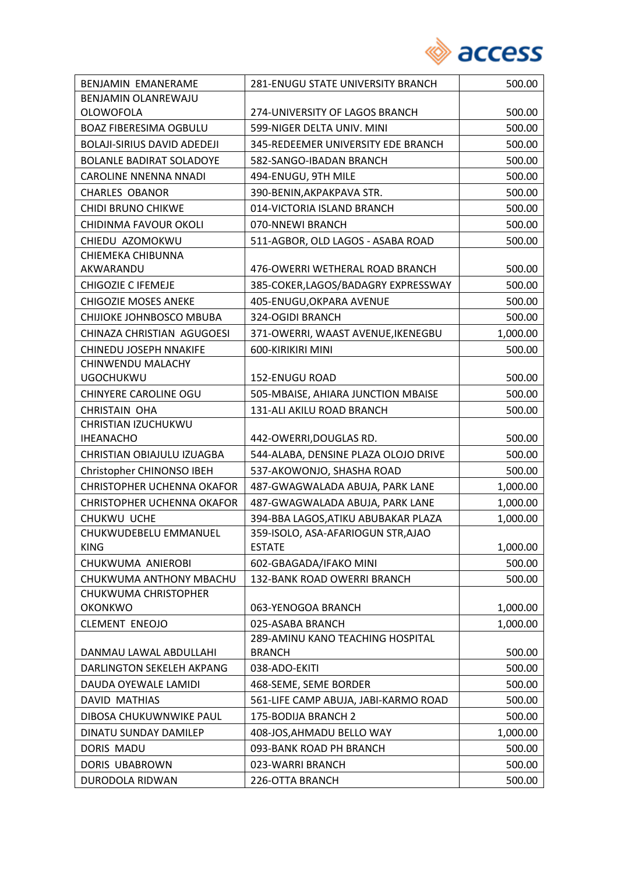

| BENJAMIN EMANERAME                 | 281-ENUGU STATE UNIVERSITY BRANCH                 | 500.00   |
|------------------------------------|---------------------------------------------------|----------|
| BENJAMIN OLANREWAJU                |                                                   |          |
| <b>OLOWOFOLA</b>                   | 274-UNIVERSITY OF LAGOS BRANCH                    | 500.00   |
| <b>BOAZ FIBERESIMA OGBULU</b>      | 599-NIGER DELTA UNIV. MINI                        | 500.00   |
| <b>BOLAJI-SIRIUS DAVID ADEDEJI</b> | 345-REDEEMER UNIVERSITY EDE BRANCH                | 500.00   |
| <b>BOLANLE BADIRAT SOLADOYE</b>    | 582-SANGO-IBADAN BRANCH                           | 500.00   |
| <b>CAROLINE NNENNA NNADI</b>       | 494-ENUGU, 9TH MILE                               | 500.00   |
| <b>CHARLES OBANOR</b>              | 390-BENIN, AKPAKPAVA STR.                         | 500.00   |
| CHIDI BRUNO CHIKWE                 | 014-VICTORIA ISLAND BRANCH                        | 500.00   |
| CHIDINMA FAVOUR OKOLI              | 070-NNEWI BRANCH                                  | 500.00   |
| CHIEDU AZOMOKWU                    | 511-AGBOR, OLD LAGOS - ASABA ROAD                 | 500.00   |
| CHIEMEKA CHIBUNNA                  |                                                   |          |
| AKWARANDU                          | 476-OWERRI WETHERAL ROAD BRANCH                   | 500.00   |
| <b>CHIGOZIE C IFEMEJE</b>          | 385-COKER, LAGOS/BADAGRY EXPRESSWAY               | 500.00   |
| <b>CHIGOZIE MOSES ANEKE</b>        | 405-ENUGU, OKPARA AVENUE                          | 500.00   |
| CHIJIOKE JOHNBOSCO MBUBA           | 324-OGIDI BRANCH                                  | 500.00   |
| CHINAZA CHRISTIAN AGUGOESI         | 371-OWERRI, WAAST AVENUE, IKENEGBU                | 1,000.00 |
| CHINEDU JOSEPH NNAKIFE             | 600-KIRIKIRI MINI                                 | 500.00   |
| CHINWENDU MALACHY                  |                                                   |          |
| <b>UGOCHUKWU</b>                   | 152-ENUGU ROAD                                    | 500.00   |
| CHINYERE CAROLINE OGU              | 505-MBAISE, AHIARA JUNCTION MBAISE                | 500.00   |
| <b>CHRISTAIN OHA</b>               | 131-ALI AKILU ROAD BRANCH                         | 500.00   |
| CHRISTIAN IZUCHUKWU                |                                                   |          |
| <b>IHEANACHO</b>                   | 442-OWERRI, DOUGLAS RD.                           | 500.00   |
| CHRISTIAN OBIAJULU IZUAGBA         | 544-ALABA, DENSINE PLAZA OLOJO DRIVE              | 500.00   |
| Christopher CHINONSO IBEH          | 537-AKOWONJO, SHASHA ROAD                         | 500.00   |
| <b>CHRISTOPHER UCHENNA OKAFOR</b>  | 487-GWAGWALADA ABUJA, PARK LANE                   | 1,000.00 |
| <b>CHRISTOPHER UCHENNA OKAFOR</b>  | 487-GWAGWALADA ABUJA, PARK LANE                   | 1,000.00 |
| <b>CHUKWU UCHE</b>                 | 394-BBA LAGOS, ATIKU ABUBAKAR PLAZA               | 1,000.00 |
| CHUKWUDEBELU EMMANUEL              | 359-ISOLO, ASA-AFARIOGUN STR, AJAO                |          |
| <b>KING</b>                        | <b>ESTATE</b>                                     | 1,000.00 |
| CHUKWUMA ANIEROBI                  | 602-GBAGADA/IFAKO MINI                            | 500.00   |
| CHUKWUMA ANTHONY MBACHU            | 132-BANK ROAD OWERRI BRANCH                       | 500.00   |
| CHUKWUMA CHRISTOPHER               |                                                   |          |
| <b>OKONKWO</b>                     | 063-YENOGOA BRANCH                                | 1,000.00 |
| <b>CLEMENT ENEOJO</b>              | 025-ASABA BRANCH                                  | 1,000.00 |
| DANMAU LAWAL ABDULLAHI             | 289-AMINU KANO TEACHING HOSPITAL<br><b>BRANCH</b> | 500.00   |
| DARLINGTON SEKELEH AKPANG          | 038-ADO-EKITI                                     | 500.00   |
| DAUDA OYEWALE LAMIDI               | 468-SEME, SEME BORDER                             | 500.00   |
| <b>DAVID MATHIAS</b>               | 561-LIFE CAMP ABUJA, JABI-KARMO ROAD              | 500.00   |
|                                    |                                                   |          |
| DIBOSA CHUKUWNWIKE PAUL            | 175-BODIJA BRANCH 2                               | 500.00   |
| DINATU SUNDAY DAMILEP              | 408-JOS, AHMADU BELLO WAY                         | 1,000.00 |
| <b>DORIS MADU</b>                  | 093-BANK ROAD PH BRANCH                           | 500.00   |
| DORIS UBABROWN                     | 023-WARRI BRANCH                                  | 500.00   |
| DURODOLA RIDWAN                    | 226-OTTA BRANCH                                   | 500.00   |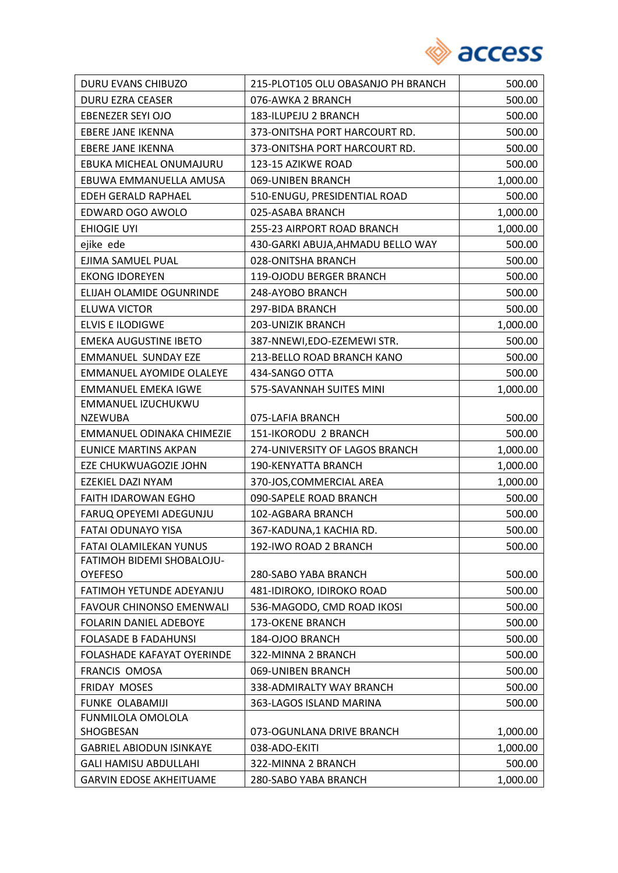

| DURU EVANS CHIBUZO                | 215-PLOT105 OLU OBASANJO PH BRANCH | 500.00   |
|-----------------------------------|------------------------------------|----------|
| DURU EZRA CEASER                  | 076-AWKA 2 BRANCH                  | 500.00   |
| EBENEZER SEYI OJO                 | 183-ILUPEJU 2 BRANCH               | 500.00   |
| <b>EBERE JANE IKENNA</b>          | 373-ONITSHA PORT HARCOURT RD.      | 500.00   |
| <b>EBERE JANE IKENNA</b>          | 373-ONITSHA PORT HARCOURT RD.      | 500.00   |
| EBUKA MICHEAL ONUMAJURU           | 123-15 AZIKWE ROAD                 | 500.00   |
| EBUWA EMMANUELLA AMUSA            | 069-UNIBEN BRANCH                  | 1,000.00 |
| EDEH GERALD RAPHAEL               | 510-ENUGU, PRESIDENTIAL ROAD       | 500.00   |
| EDWARD OGO AWOLO                  | 025-ASABA BRANCH                   | 1,000.00 |
| <b>EHIOGIE UYI</b>                | 255-23 AIRPORT ROAD BRANCH         | 1,000.00 |
| ejike ede                         | 430-GARKI ABUJA, AHMADU BELLO WAY  | 500.00   |
| EJIMA SAMUEL PUAL                 | 028-ONITSHA BRANCH                 | 500.00   |
| <b>EKONG IDOREYEN</b>             | 119-OJODU BERGER BRANCH            | 500.00   |
| ELIJAH OLAMIDE OGUNRINDE          | 248-AYOBO BRANCH                   | 500.00   |
| <b>ELUWA VICTOR</b>               | 297-BIDA BRANCH                    | 500.00   |
| <b>ELVIS E ILODIGWE</b>           | 203-UNIZIK BRANCH                  | 1,000.00 |
| <b>EMEKA AUGUSTINE IBETO</b>      | 387-NNEWI, EDO-EZEMEWI STR.        | 500.00   |
| <b>EMMANUEL SUNDAY EZE</b>        | 213-BELLO ROAD BRANCH KANO         | 500.00   |
| <b>EMMANUEL AYOMIDE OLALEYE</b>   | 434-SANGO OTTA                     | 500.00   |
| <b>EMMANUEL EMEKA IGWE</b>        | 575-SAVANNAH SUITES MINI           | 1,000.00 |
| EMMANUEL IZUCHUKWU                |                                    |          |
| <b>NZEWUBA</b>                    | 075-LAFIA BRANCH                   | 500.00   |
| EMMANUEL ODINAKA CHIMEZIE         | 151-IKORODU 2 BRANCH               | 500.00   |
| <b>EUNICE MARTINS AKPAN</b>       | 274-UNIVERSITY OF LAGOS BRANCH     | 1,000.00 |
| EZE CHUKWUAGOZIE JOHN             | 190-KENYATTA BRANCH                | 1,000.00 |
| EZEKIEL DAZI NYAM                 | 370-JOS, COMMERCIAL AREA           | 1,000.00 |
| <b>FAITH IDAROWAN EGHO</b>        | 090-SAPELE ROAD BRANCH             | 500.00   |
| FARUQ OPEYEMI ADEGUNJU            | 102-AGBARA BRANCH                  | 500.00   |
| <b>FATAI ODUNAYO YISA</b>         | 367-KADUNA,1 KACHIA RD.            | 500.00   |
| <b>FATAI OLAMILEKAN YUNUS</b>     | 192-IWO ROAD 2 BRANCH              | 500.00   |
| FATIMOH BIDEMI SHOBALOJU-         |                                    |          |
| <b>OYEFESO</b>                    | 280-SABO YABA BRANCH               | 500.00   |
| FATIMOH YETUNDE ADEYANJU          | 481-IDIROKO, IDIROKO ROAD          | 500.00   |
| <b>FAVOUR CHINONSO EMENWALI</b>   | 536-MAGODO, CMD ROAD IKOSI         | 500.00   |
| FOLARIN DANIEL ADEBOYE            | <b>173-OKENE BRANCH</b>            | 500.00   |
| <b>FOLASADE B FADAHUNSI</b>       | 184-OJOO BRANCH                    | 500.00   |
| <b>FOLASHADE KAFAYAT OYERINDE</b> | 322-MINNA 2 BRANCH                 | 500.00   |
| FRANCIS OMOSA                     | 069-UNIBEN BRANCH                  | 500.00   |
| FRIDAY MOSES                      | 338-ADMIRALTY WAY BRANCH           | 500.00   |
| FUNKE OLABAMIJI                   | 363-LAGOS ISLAND MARINA            | 500.00   |
| FUNMILOLA OMOLOLA<br>SHOGBESAN    | 073-OGUNLANA DRIVE BRANCH          | 1,000.00 |
| <b>GABRIEL ABIODUN ISINKAYE</b>   | 038-ADO-EKITI                      | 1,000.00 |
| <b>GALI HAMISU ABDULLAHI</b>      | 322-MINNA 2 BRANCH                 | 500.00   |
|                                   | 280-SABO YABA BRANCH               |          |
| <b>GARVIN EDOSE AKHEITUAME</b>    |                                    | 1,000.00 |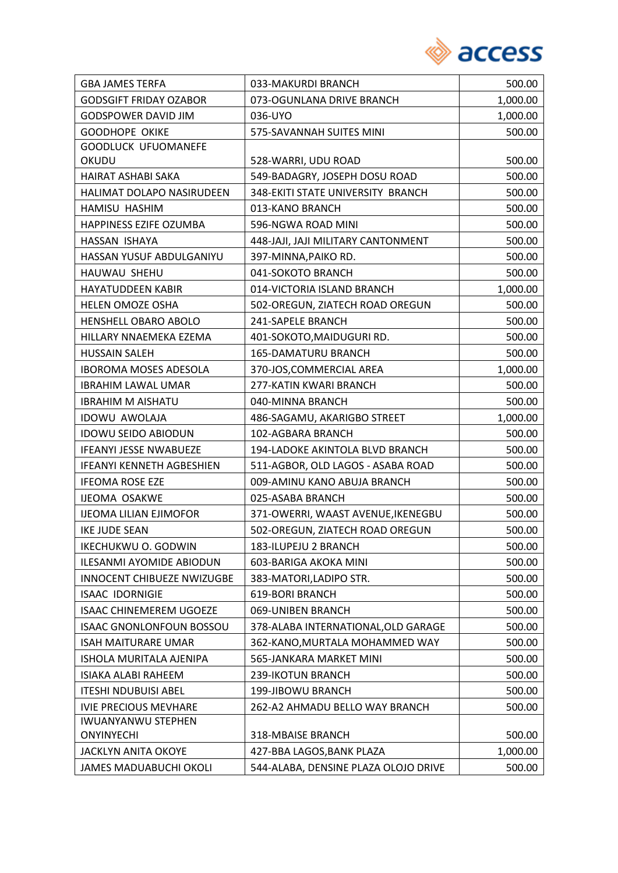

| <b>GBA JAMES TERFA</b>            | 033-MAKURDI BRANCH                   | 500.00   |
|-----------------------------------|--------------------------------------|----------|
| <b>GODSGIFT FRIDAY OZABOR</b>     | 073-OGUNLANA DRIVE BRANCH            | 1,000.00 |
| <b>GODSPOWER DAVID JIM</b>        | 036-UYO                              | 1,000.00 |
| <b>GOODHOPE OKIKE</b>             | 575-SAVANNAH SUITES MINI             | 500.00   |
| <b>GOODLUCK UFUOMANEFE</b>        |                                      |          |
| OKUDU                             | 528-WARRI, UDU ROAD                  | 500.00   |
| HAIRAT ASHABI SAKA                | 549-BADAGRY, JOSEPH DOSU ROAD        | 500.00   |
| <b>HALIMAT DOLAPO NASIRUDEEN</b>  | 348-EKITI STATE UNIVERSITY BRANCH    | 500.00   |
| HAMISU HASHIM                     | 013-KANO BRANCH                      | 500.00   |
| HAPPINESS EZIFE OZUMBA            | 596-NGWA ROAD MINI                   | 500.00   |
| HASSAN ISHAYA                     | 448-JAJI, JAJI MILITARY CANTONMENT   | 500.00   |
| HASSAN YUSUF ABDULGANIYU          | 397-MINNA, PAIKO RD.                 | 500.00   |
| HAUWAU SHEHU                      | 041-SOKOTO BRANCH                    | 500.00   |
| <b>HAYATUDDEEN KABIR</b>          | 014-VICTORIA ISLAND BRANCH           | 1,000.00 |
| <b>HELEN OMOZE OSHA</b>           | 502-OREGUN, ZIATECH ROAD OREGUN      | 500.00   |
| HENSHELL OBARO ABOLO              | 241-SAPELE BRANCH                    | 500.00   |
| HILLARY NNAEMEKA EZEMA            | 401-SOKOTO, MAIDUGURI RD.            | 500.00   |
| <b>HUSSAIN SALEH</b>              | 165-DAMATURU BRANCH                  | 500.00   |
| <b>IBOROMA MOSES ADESOLA</b>      | 370-JOS, COMMERCIAL AREA             | 1,000.00 |
| <b>IBRAHIM LAWAL UMAR</b>         | 277-KATIN KWARI BRANCH               | 500.00   |
| <b>IBRAHIM M AISHATU</b>          | 040-MINNA BRANCH                     | 500.00   |
| <b>IDOWU AWOLAJA</b>              | 486-SAGAMU, AKARIGBO STREET          | 1,000.00 |
| <b>IDOWU SEIDO ABIODUN</b>        | 102-AGBARA BRANCH                    | 500.00   |
| <b>IFEANYI JESSE NWABUEZE</b>     | 194-LADOKE AKINTOLA BLVD BRANCH      | 500.00   |
| <b>IFEANYI KENNETH AGBESHIEN</b>  | 511-AGBOR, OLD LAGOS - ASABA ROAD    | 500.00   |
| <b>IFEOMA ROSE EZE</b>            | 009-AMINU KANO ABUJA BRANCH          | 500.00   |
| <b>IJEOMA OSAKWE</b>              | 025-ASABA BRANCH                     | 500.00   |
| <b>IJEOMA LILIAN EJIMOFOR</b>     | 371-OWERRI, WAAST AVENUE, IKENEGBU   | 500.00   |
| <b>IKE JUDE SEAN</b>              | 502-OREGUN, ZIATECH ROAD OREGUN      | 500.00   |
| <b>IKECHUKWU O. GODWIN</b>        | 183-ILUPEJU 2 BRANCH                 | 500.00   |
| ILESANMI AYOMIDE ABIODUN          | 603-BARIGA AKOKA MINI                | 500.00   |
| <b>INNOCENT CHIBUEZE NWIZUGBE</b> | 383-MATORI, LADIPO STR.              | 500.00   |
| <b>ISAAC IDORNIGIE</b>            | <b>619-BORI BRANCH</b>               | 500.00   |
| <b>ISAAC CHINEMEREM UGOEZE</b>    | 069-UNIBEN BRANCH                    | 500.00   |
| <b>ISAAC GNONLONFOUN BOSSOU</b>   | 378-ALABA INTERNATIONAL, OLD GARAGE  | 500.00   |
| <b>ISAH MAITURARE UMAR</b>        | 362-KANO, MURTALA MOHAMMED WAY       | 500.00   |
| ISHOLA MURITALA AJENIPA           | 565-JANKARA MARKET MINI              | 500.00   |
| <b>ISIAKA ALABI RAHEEM</b>        | 239-IKOTUN BRANCH                    | 500.00   |
| <b>ITESHI NDUBUISI ABEL</b>       | 199-JIBOWU BRANCH                    | 500.00   |
| <b>IVIE PRECIOUS MEVHARE</b>      | 262-A2 AHMADU BELLO WAY BRANCH       | 500.00   |
| <b>IWUANYANWU STEPHEN</b>         |                                      |          |
| <b>ONYINYECHI</b>                 | 318-MBAISE BRANCH                    | 500.00   |
| <b>JACKLYN ANITA OKOYE</b>        | 427-BBA LAGOS, BANK PLAZA            | 1,000.00 |
| <b>JAMES MADUABUCHI OKOLI</b>     | 544-ALABA, DENSINE PLAZA OLOJO DRIVE | 500.00   |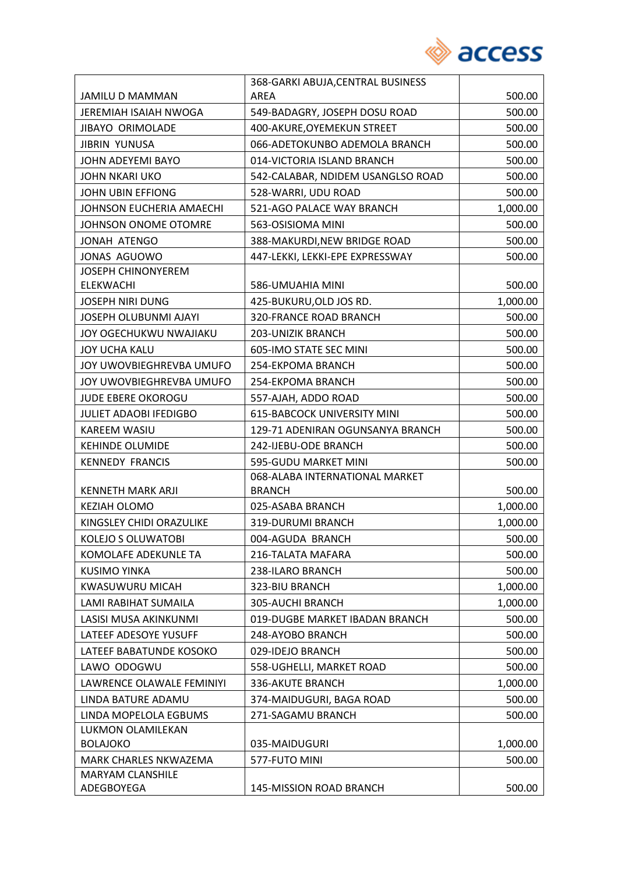

|                               | 368-GARKI ABUJA, CENTRAL BUSINESS  |          |
|-------------------------------|------------------------------------|----------|
| JAMILU D MAMMAN               | <b>AREA</b>                        | 500.00   |
| <b>JEREMIAH ISAIAH NWOGA</b>  | 549-BADAGRY, JOSEPH DOSU ROAD      | 500.00   |
| <b>JIBAYO ORIMOLADE</b>       | 400-AKURE, OYEMEKUN STREET         | 500.00   |
| <b>JIBRIN YUNUSA</b>          | 066-ADETOKUNBO ADEMOLA BRANCH      | 500.00   |
| JOHN ADEYEMI BAYO             | 014-VICTORIA ISLAND BRANCH         | 500.00   |
| JOHN NKARI UKO                | 542-CALABAR, NDIDEM USANGLSO ROAD  | 500.00   |
| JOHN UBIN EFFIONG             | 528-WARRI, UDU ROAD                | 500.00   |
| JOHNSON EUCHERIA AMAECHI      | 521-AGO PALACE WAY BRANCH          | 1,000.00 |
| JOHNSON ONOME OTOMRE          | 563-OSISIOMA MINI                  | 500.00   |
| <b>JONAH ATENGO</b>           | 388-MAKURDI, NEW BRIDGE ROAD       | 500.00   |
| JONAS AGUOWO                  | 447-LEKKI, LEKKI-EPE EXPRESSWAY    | 500.00   |
| <b>JOSEPH CHINONYEREM</b>     |                                    |          |
| <b>ELEKWACHI</b>              | 586-UMUAHIA MINI                   | 500.00   |
| <b>JOSEPH NIRI DUNG</b>       | 425-BUKURU, OLD JOS RD.            | 1,000.00 |
| JOSEPH OLUBUNMI AJAYI         | 320-FRANCE ROAD BRANCH             | 500.00   |
| JOY OGECHUKWU NWAJIAKU        | 203-UNIZIK BRANCH                  | 500.00   |
| <b>JOY UCHA KALU</b>          | 605-IMO STATE SEC MINI             | 500.00   |
| JOY UWOVBIEGHREVBA UMUFO      | 254-EKPOMA BRANCH                  | 500.00   |
| JOY UWOVBIEGHREVBA UMUFO      | 254-EKPOMA BRANCH                  | 500.00   |
| <b>JUDE EBERE OKOROGU</b>     | 557-AJAH, ADDO ROAD                | 500.00   |
| <b>JULIET ADAOBI IFEDIGBO</b> | <b>615-BABCOCK UNIVERSITY MINI</b> | 500.00   |
| KAREEM WASIU                  | 129-71 ADENIRAN OGUNSANYA BRANCH   | 500.00   |
| <b>KEHINDE OLUMIDE</b>        | 242-IJEBU-ODE BRANCH               | 500.00   |
| <b>KENNEDY FRANCIS</b>        | 595-GUDU MARKET MINI               | 500.00   |
|                               | 068-ALABA INTERNATIONAL MARKET     |          |
| <b>KENNETH MARK ARJI</b>      | <b>BRANCH</b>                      | 500.00   |
| KEZIAH OLOMO                  | 025-ASABA BRANCH                   | 1,000.00 |
| KINGSLEY CHIDI ORAZULIKE      | 319-DURUMI BRANCH                  | 1,000.00 |
| KOLEJO S OLUWATOBI            | 004-AGUDA BRANCH                   | 500.00   |
| KOMOLAFE ADEKUNLE TA          | 216-TALATA MAFARA                  | 500.00   |
| <b>KUSIMO YINKA</b>           | 238-ILARO BRANCH                   | 500.00   |
| <b>KWASUWURU MICAH</b>        | 323-BIU BRANCH                     | 1,000.00 |
| <b>LAMI RABIHAT SUMAILA</b>   | 305-AUCHI BRANCH                   | 1,000.00 |
| LASISI MUSA AKINKUNMI         | 019-DUGBE MARKET IBADAN BRANCH     | 500.00   |
| LATEEF ADESOYE YUSUFF         | 248-AYOBO BRANCH                   | 500.00   |
| LATEEF BABATUNDE KOSOKO       | 029-IDEJO BRANCH                   | 500.00   |
| LAWO ODOGWU                   | 558-UGHELLI, MARKET ROAD           | 500.00   |
| LAWRENCE OLAWALE FEMINIYI     | 336-AKUTE BRANCH                   | 1,000.00 |
| LINDA BATURE ADAMU            | 374-MAIDUGURI, BAGA ROAD           | 500.00   |
| LINDA MOPELOLA EGBUMS         | 271-SAGAMU BRANCH                  | 500.00   |
| LUKMON OLAMILEKAN             |                                    |          |
| <b>BOLAJOKO</b>               | 035-MAIDUGURI                      | 1,000.00 |
| <b>MARK CHARLES NKWAZEMA</b>  | 577-FUTO MINI                      | 500.00   |
| MARYAM CLANSHILE              |                                    |          |
| ADEGBOYEGA                    | 145-MISSION ROAD BRANCH            | 500.00   |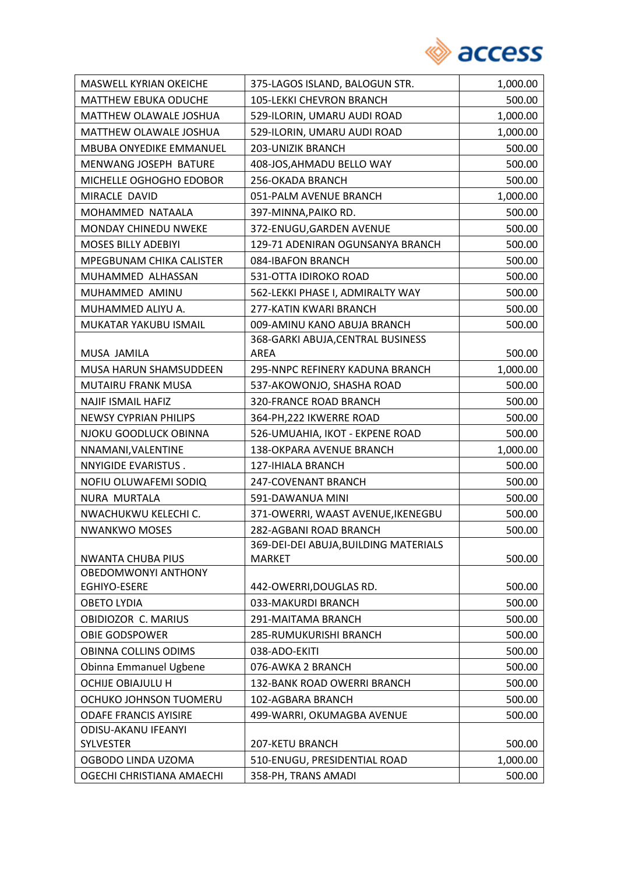

| MASWELL KYRIAN OKEICHE                              | 375-LAGOS ISLAND, BALOGUN STR.        | 1,000.00         |
|-----------------------------------------------------|---------------------------------------|------------------|
| <b>MATTHEW EBUKA ODUCHE</b>                         | 105-LEKKI CHEVRON BRANCH              | 500.00           |
| MATTHEW OLAWALE JOSHUA                              | 529-ILORIN, UMARU AUDI ROAD           | 1,000.00         |
| MATTHEW OLAWALE JOSHUA                              | 529-ILORIN, UMARU AUDI ROAD           | 1,000.00         |
| MBUBA ONYEDIKE EMMANUEL                             | 203-UNIZIK BRANCH                     | 500.00           |
| MENWANG JOSEPH BATURE                               | 408-JOS, AHMADU BELLO WAY             | 500.00           |
| MICHELLE OGHOGHO EDOBOR                             | 256-OKADA BRANCH                      | 500.00           |
| MIRACLE DAVID                                       | 051-PALM AVENUE BRANCH                | 1,000.00         |
| MOHAMMED NATAALA                                    | 397-MINNA, PAIKO RD.                  | 500.00           |
| MONDAY CHINEDU NWEKE                                | 372-ENUGU, GARDEN AVENUE              | 500.00           |
| <b>MOSES BILLY ADEBIYI</b>                          | 129-71 ADENIRAN OGUNSANYA BRANCH      | 500.00           |
| MPEGBUNAM CHIKA CALISTER                            | 084-IBAFON BRANCH                     | 500.00           |
| MUHAMMED ALHASSAN                                   | 531-OTTA IDIROKO ROAD                 | 500.00           |
| MUHAMMED AMINU                                      | 562-LEKKI PHASE I, ADMIRALTY WAY      | 500.00           |
| MUHAMMED ALIYU A.                                   | 277-KATIN KWARI BRANCH                | 500.00           |
| MUKATAR YAKUBU ISMAIL                               | 009-AMINU KANO ABUJA BRANCH           | 500.00           |
|                                                     | 368-GARKI ABUJA, CENTRAL BUSINESS     |                  |
| MUSA JAMILA                                         | <b>AREA</b>                           | 500.00           |
| MUSA HARUN SHAMSUDDEEN                              | 295-NNPC REFINERY KADUNA BRANCH       | 1,000.00         |
| MUTAIRU FRANK MUSA                                  | 537-AKOWONJO, SHASHA ROAD             | 500.00           |
| <b>NAJIF ISMAIL HAFIZ</b>                           | 320-FRANCE ROAD BRANCH                | 500.00           |
| <b>NEWSY CYPRIAN PHILIPS</b>                        | 364-PH, 222 IKWERRE ROAD              | 500.00           |
| NJOKU GOODLUCK OBINNA                               | 526-UMUAHIA, IKOT - EKPENE ROAD       | 500.00           |
| NNAMANI, VALENTINE                                  | 138-OKPARA AVENUE BRANCH              | 1,000.00         |
| NNYIGIDE EVARISTUS.                                 | 127-IHIALA BRANCH                     | 500.00           |
| NOFIU OLUWAFEMI SODIQ                               | 247-COVENANT BRANCH                   | 500.00           |
| NURA MURTALA                                        | 591-DAWANUA MINI                      | 500.00           |
| NWACHUKWU KELECHI C.                                | 371-OWERRI, WAAST AVENUE, IKENEGBU    | 500.00           |
| NWANKWO MOSES                                       | 282-AGBANI ROAD BRANCH                | 500.00           |
|                                                     | 369-DEI-DEI ABUJA, BUILDING MATERIALS |                  |
| <b>NWANTA CHUBA PIUS</b>                            | <b>MARKET</b>                         | 500.00           |
| <b>OBEDOMWONYI ANTHONY</b><br>EGHIYO-ESERE          | 442-OWERRI, DOUGLAS RD.               | 500.00           |
| <b>OBETO LYDIA</b>                                  | 033-MAKURDI BRANCH                    | 500.00           |
| OBIDIOZOR C. MARIUS                                 | 291-MAITAMA BRANCH                    | 500.00           |
| <b>OBIE GODSPOWER</b>                               | 285-RUMUKURISHI BRANCH                | 500.00           |
| OBINNA COLLINS ODIMS                                | 038-ADO-EKITI                         | 500.00           |
| Obinna Emmanuel Ugbene                              | 076-AWKA 2 BRANCH                     | 500.00           |
| OCHIJE OBIAJULU H                                   | 132-BANK ROAD OWERRI BRANCH           |                  |
| OCHUKO JOHNSON TUOMERU                              | 102-AGBARA BRANCH                     | 500.00<br>500.00 |
|                                                     |                                       |                  |
| <b>ODAFE FRANCIS AYISIRE</b><br>ODISU-AKANU IFEANYI | 499-WARRI, OKUMAGBA AVENUE            | 500.00           |
| <b>SYLVESTER</b>                                    | 207-KETU BRANCH                       | 500.00           |
| OGBODO LINDA UZOMA                                  | 510-ENUGU, PRESIDENTIAL ROAD          | 1,000.00         |
| OGECHI CHRISTIANA AMAECHI                           | 358-PH, TRANS AMADI                   | 500.00           |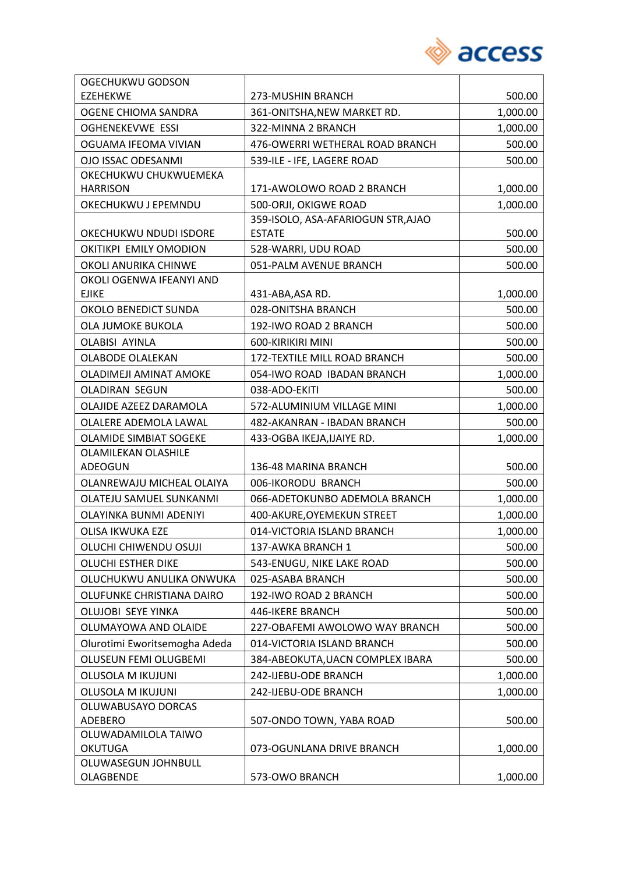

| OGECHUKWU GODSON              |                                    |          |
|-------------------------------|------------------------------------|----------|
| <b>EZEHEKWE</b>               | 273-MUSHIN BRANCH                  | 500.00   |
| OGENE CHIOMA SANDRA           | 361-ONITSHA, NEW MARKET RD.        | 1,000.00 |
| <b>OGHENEKEVWE ESSI</b>       | 322-MINNA 2 BRANCH                 | 1,000.00 |
| OGUAMA IFEOMA VIVIAN          | 476-OWERRI WETHERAL ROAD BRANCH    | 500.00   |
| OJO ISSAC ODESANMI            | 539-ILE - IFE, LAGERE ROAD         | 500.00   |
| OKECHUKWU CHUKWUEMEKA         |                                    |          |
| <b>HARRISON</b>               | 171-AWOLOWO ROAD 2 BRANCH          | 1,000.00 |
| OKECHUKWU J EPEMNDU           | 500-ORJI, OKIGWE ROAD              | 1,000.00 |
|                               | 359-ISOLO, ASA-AFARIOGUN STR, AJAO |          |
| OKECHUKWU NDUDI ISDORE        | <b>ESTATE</b>                      | 500.00   |
| OKITIKPI EMILY OMODION        | 528-WARRI, UDU ROAD                | 500.00   |
| OKOLI ANURIKA CHINWE          | 051-PALM AVENUE BRANCH             | 500.00   |
| OKOLI OGENWA IFEANYI AND      |                                    |          |
| <b>EJIKE</b>                  | 431-ABA, ASA RD.                   | 1,000.00 |
| OKOLO BENEDICT SUNDA          | 028-ONITSHA BRANCH                 | 500.00   |
| OLA JUMOKE BUKOLA             | 192-IWO ROAD 2 BRANCH              | 500.00   |
| <b>OLABISI AYINLA</b>         | 600-KIRIKIRI MINI                  | 500.00   |
| <b>OLABODE OLALEKAN</b>       | 172-TEXTILE MILL ROAD BRANCH       | 500.00   |
| OLADIMEJI AMINAT AMOKE        | 054-IWO ROAD IBADAN BRANCH         | 1,000.00 |
| <b>OLADIRAN SEGUN</b>         | 038-ADO-EKITI                      | 500.00   |
| OLAJIDE AZEEZ DARAMOLA        | 572-ALUMINIUM VILLAGE MINI         | 1,000.00 |
| OLALERE ADEMOLA LAWAL         | 482-AKANRAN - IBADAN BRANCH        | 500.00   |
| <b>OLAMIDE SIMBIAT SOGEKE</b> | 433-OGBA IKEJA, IJAIYE RD.         | 1,000.00 |
| <b>OLAMILEKAN OLASHILE</b>    |                                    |          |
| ADEOGUN                       | 136-48 MARINA BRANCH               | 500.00   |
| OLANREWAJU MICHEAL OLAIYA     | 006-IKORODU BRANCH                 | 500.00   |
| OLATEJU SAMUEL SUNKANMI       | 066-ADETOKUNBO ADEMOLA BRANCH      | 1,000.00 |
| OLAYINKA BUNMI ADENIYI        | 400-AKURE, OYEMEKUN STREET         | 1,000.00 |
| OLISA IKWUKA EZE              | 014-VICTORIA ISLAND BRANCH         | 1,000.00 |
| OLUCHI CHIWENDU OSUJI         | 137-AWKA BRANCH 1                  | 500.00   |
| <b>OLUCHI ESTHER DIKE</b>     | 543-ENUGU, NIKE LAKE ROAD          | 500.00   |
| OLUCHUKWU ANULIKA ONWUKA      | 025-ASABA BRANCH                   | 500.00   |
| OLUFUNKE CHRISTIANA DAIRO     | 192-IWO ROAD 2 BRANCH              | 500.00   |
| OLUJOBI SEYE YINKA            | 446-IKERE BRANCH                   | 500.00   |
| OLUMAYOWA AND OLAIDE          | 227-OBAFEMI AWOLOWO WAY BRANCH     | 500.00   |
| Olurotimi Eworitsemogha Adeda | 014-VICTORIA ISLAND BRANCH         | 500.00   |
| OLUSEUN FEMI OLUGBEMI         | 384-ABEOKUTA, UACN COMPLEX IBARA   | 500.00   |
| <b>OLUSOLA M IKUJUNI</b>      | 242-IJEBU-ODE BRANCH               | 1,000.00 |
| <b>OLUSOLA M IKUJUNI</b>      | 242-IJEBU-ODE BRANCH               | 1,000.00 |
| OLUWABUSAYO DORCAS            |                                    |          |
| <b>ADEBERO</b>                | 507-ONDO TOWN, YABA ROAD           | 500.00   |
| OLUWADAMILOLA TAIWO           |                                    |          |
| <b>OKUTUGA</b>                | 073-OGUNLANA DRIVE BRANCH          | 1,000.00 |
| OLUWASEGUN JOHNBULL           |                                    |          |
| OLAGBENDE                     | 573-OWO BRANCH                     | 1,000.00 |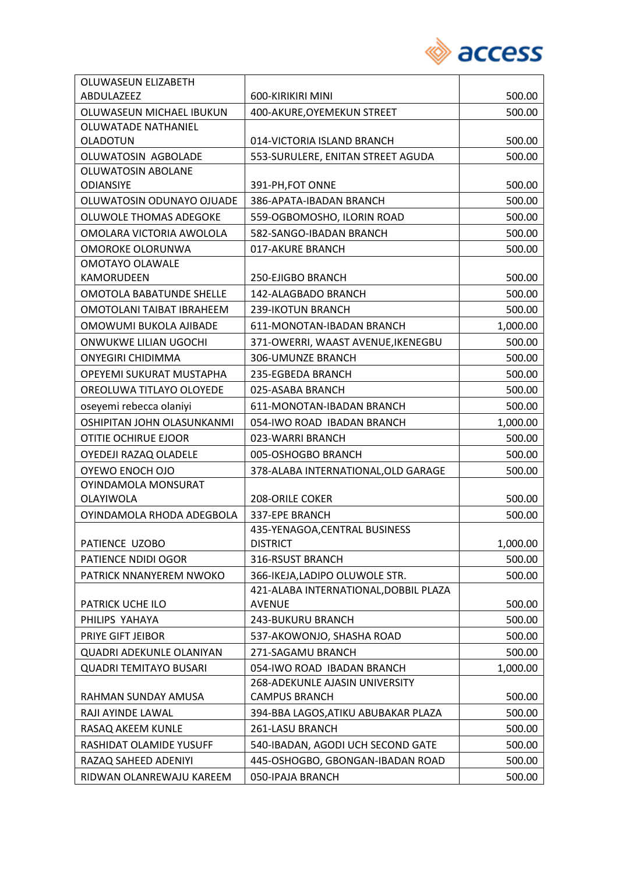

| OLUWASEUN ELIZABETH             |                                       |          |
|---------------------------------|---------------------------------------|----------|
| <b>ABDULAZEEZ</b>               | 600-KIRIKIRI MINI                     | 500.00   |
| OLUWASEUN MICHAEL IBUKUN        | 400-AKURE, OYEMEKUN STREET            | 500.00   |
| <b>OLUWATADE NATHANIEL</b>      |                                       |          |
| <b>OLADOTUN</b>                 | 014-VICTORIA ISLAND BRANCH            | 500.00   |
| OLUWATOSIN AGBOLADE             | 553-SURULERE, ENITAN STREET AGUDA     | 500.00   |
| OLUWATOSIN ABOLANE              |                                       |          |
| <b>ODIANSIYE</b>                | 391-PH, FOT ONNE                      | 500.00   |
| OLUWATOSIN ODUNAYO OJUADE       | 386-APATA-IBADAN BRANCH               | 500.00   |
| OLUWOLE THOMAS ADEGOKE          | 559-OGBOMOSHO, ILORIN ROAD            | 500.00   |
| OMOLARA VICTORIA AWOLOLA        | 582-SANGO-IBADAN BRANCH               | 500.00   |
| OMOROKE OLORUNWA                | 017-AKURE BRANCH                      | 500.00   |
| <b>OMOTAYO OLAWALE</b>          |                                       |          |
| KAMORUDEEN                      | 250-EJIGBO BRANCH                     | 500.00   |
| <b>OMOTOLA BABATUNDE SHELLE</b> | 142-ALAGBADO BRANCH                   | 500.00   |
| OMOTOLANI TAIBAT IBRAHEEM       | 239-IKOTUN BRANCH                     | 500.00   |
| OMOWUMI BUKOLA AJIBADE          | 611-MONOTAN-IBADAN BRANCH             | 1,000.00 |
| ONWUKWE LILIAN UGOCHI           | 371-OWERRI, WAAST AVENUE, IKENEGBU    | 500.00   |
| <b>ONYEGIRI CHIDIMMA</b>        | 306-UMUNZE BRANCH                     | 500.00   |
| OPEYEMI SUKURAT MUSTAPHA        | 235-EGBEDA BRANCH                     | 500.00   |
| OREOLUWA TITLAYO OLOYEDE        | 025-ASABA BRANCH                      | 500.00   |
| oseyemi rebecca olaniyi         | 611-MONOTAN-IBADAN BRANCH             | 500.00   |
| OSHIPITAN JOHN OLASUNKANMI      | 054-IWO ROAD IBADAN BRANCH            | 1,000.00 |
| OTITIE OCHIRUE EJOOR            | 023-WARRI BRANCH                      | 500.00   |
| OYEDEJI RAZAQ OLADELE           | 005-OSHOGBO BRANCH                    | 500.00   |
| OYEWO ENOCH OJO                 | 378-ALABA INTERNATIONAL, OLD GARAGE   | 500.00   |
| OYINDAMOLA MONSURAT             |                                       |          |
| OLAYIWOLA                       | <b>208-ORILE COKER</b>                | 500.00   |
| OYINDAMOLA RHODA ADEGBOLA       | 337-EPE BRANCH                        | 500.00   |
|                                 | 435-YENAGOA, CENTRAL BUSINESS         |          |
| PATIENCE UZOBO                  | <b>DISTRICT</b>                       | 1,000.00 |
| PATIENCE NDIDI OGOR             | 316-RSUST BRANCH                      | 500.00   |
| PATRICK NNANYEREM NWOKO         | 366-IKEJA, LADIPO OLUWOLE STR.        | 500.00   |
|                                 | 421-ALABA INTERNATIONAL, DOBBIL PLAZA |          |
| PATRICK UCHE ILO                | <b>AVENUE</b>                         | 500.00   |
| PHILIPS YAHAYA                  | <b>243-BUKURU BRANCH</b>              | 500.00   |
| PRIYE GIFT JEIBOR               | 537-AKOWONJO, SHASHA ROAD             | 500.00   |
| <b>QUADRI ADEKUNLE OLANIYAN</b> | 271-SAGAMU BRANCH                     | 500.00   |
| <b>QUADRI TEMITAYO BUSARI</b>   | 054-IWO ROAD IBADAN BRANCH            | 1,000.00 |
|                                 | 268-ADEKUNLE AJASIN UNIVERSITY        |          |
| RAHMAN SUNDAY AMUSA             | <b>CAMPUS BRANCH</b>                  | 500.00   |
| RAJI AYINDE LAWAL               | 394-BBA LAGOS, ATIKU ABUBAKAR PLAZA   | 500.00   |
| RASAQ AKEEM KUNLE               | 261-LASU BRANCH                       | 500.00   |
| RASHIDAT OLAMIDE YUSUFF         | 540-IBADAN, AGODI UCH SECOND GATE     | 500.00   |
| RAZAQ SAHEED ADENIYI            | 445-OSHOGBO, GBONGAN-IBADAN ROAD      | 500.00   |
| RIDWAN OLANREWAJU KAREEM        | 050-IPAJA BRANCH                      | 500.00   |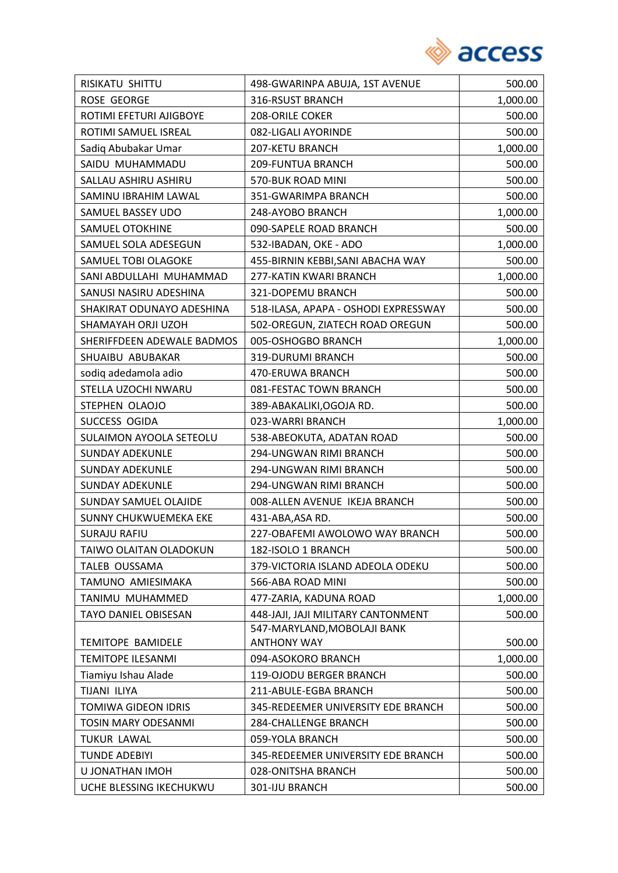

| RISIKATU SHITTU              | 498-GWARINPA ABUJA, 1ST AVENUE       | 500.00   |
|------------------------------|--------------------------------------|----------|
| <b>ROSE GEORGE</b>           | 316-RSUST BRANCH                     | 1,000.00 |
| ROTIMI EFETURI AJIGBOYE      | 208-ORILE COKER                      | 500.00   |
| ROTIMI SAMUEL ISREAL         | 082-LIGALI AYORINDE                  | 500.00   |
| Sadiq Abubakar Umar          | 207-KETU BRANCH                      | 1,000.00 |
| SAIDU MUHAMMADU              | 209-FUNTUA BRANCH                    | 500.00   |
| SALLAU ASHIRU ASHIRU         | 570-BUK ROAD MINI                    | 500.00   |
| SAMINU IBRAHIM LAWAL         | 351-GWARIMPA BRANCH                  | 500.00   |
| SAMUEL BASSEY UDO            | 248-AYOBO BRANCH                     | 1,000.00 |
| <b>SAMUEL OTOKHINE</b>       | 090-SAPELE ROAD BRANCH               | 500.00   |
| SAMUEL SOLA ADESEGUN         | 532-IBADAN, OKE - ADO                | 1,000.00 |
| SAMUEL TOBI OLAGOKE          | 455-BIRNIN KEBBI, SANI ABACHA WAY    | 500.00   |
| SANI ABDULLAHI MUHAMMAD      | 277-KATIN KWARI BRANCH               | 1,000.00 |
| SANUSI NASIRU ADESHINA       | 321-DOPEMU BRANCH                    | 500.00   |
| SHAKIRAT ODUNAYO ADESHINA    | 518-ILASA, APAPA - OSHODI EXPRESSWAY | 500.00   |
| SHAMAYAH ORJI UZOH           | 502-OREGUN, ZIATECH ROAD OREGUN      | 500.00   |
| SHERIFFDEEN ADEWALE BADMOS   | 005-OSHOGBO BRANCH                   | 1,000.00 |
| SHUAIBU ABUBAKAR             | 319-DURUMI BRANCH                    | 500.00   |
| sodiq adedamola adio         | 470-ERUWA BRANCH                     | 500.00   |
| STELLA UZOCHI NWARU          | 081-FESTAC TOWN BRANCH               | 500.00   |
| STEPHEN OLAOJO               | 389-ABAKALIKI, OGOJA RD.             | 500.00   |
| SUCCESS OGIDA                | 023-WARRI BRANCH                     | 1,000.00 |
| SULAIMON AYOOLA SETEOLU      | 538-ABEOKUTA, ADATAN ROAD            | 500.00   |
| <b>SUNDAY ADEKUNLE</b>       | 294-UNGWAN RIMI BRANCH               | 500.00   |
| <b>SUNDAY ADEKUNLE</b>       | 294-UNGWAN RIMI BRANCH               | 500.00   |
| <b>SUNDAY ADEKUNLE</b>       | 294-UNGWAN RIMI BRANCH               | 500.00   |
| <b>SUNDAY SAMUEL OLAJIDE</b> | 008-ALLEN AVENUE IKEJA BRANCH        | 500.00   |
| <b>SUNNY CHUKWUEMEKA EKE</b> | 431-ABA, ASA RD.                     | 500.00   |
| <b>SURAJU RAFIU</b>          | 227-OBAFEMI AWOLOWO WAY BRANCH       | 500.00   |
| TAIWO OLAITAN OLADOKUN       | 182-ISOLO 1 BRANCH                   | 500.00   |
| TALEB OUSSAMA                | 379-VICTORIA ISLAND ADEOLA ODEKU     | 500.00   |
| TAMUNO AMIESIMAKA            | 566-ABA ROAD MINI                    | 500.00   |
| TANIMU MUHAMMED              | 477-ZARIA, KADUNA ROAD               | 1,000.00 |
| TAYO DANIEL OBISESAN         | 448-JAJI, JAJI MILITARY CANTONMENT   | 500.00   |
|                              | 547-MARYLAND, MOBOLAJI BANK          |          |
| <b>TEMITOPE BAMIDELE</b>     | <b>ANTHONY WAY</b>                   | 500.00   |
| <b>TEMITOPE ILESANMI</b>     | 094-ASOKORO BRANCH                   | 1,000.00 |
| Tiamiyu Ishau Alade          | 119-OJODU BERGER BRANCH              | 500.00   |
| TIJANI ILIYA                 | 211-ABULE-EGBA BRANCH                | 500.00   |
| TOMIWA GIDEON IDRIS          | 345-REDEEMER UNIVERSITY EDE BRANCH   | 500.00   |
| <b>TOSIN MARY ODESANMI</b>   | 284-CHALLENGE BRANCH                 | 500.00   |
| <b>TUKUR LAWAL</b>           | 059-YOLA BRANCH                      | 500.00   |
| <b>TUNDE ADEBIYI</b>         | 345-REDEEMER UNIVERSITY EDE BRANCH   | 500.00   |
| U JONATHAN IMOH              | 028-ONITSHA BRANCH                   | 500.00   |
| UCHE BLESSING IKECHUKWU      | 301-IJU BRANCH                       | 500.00   |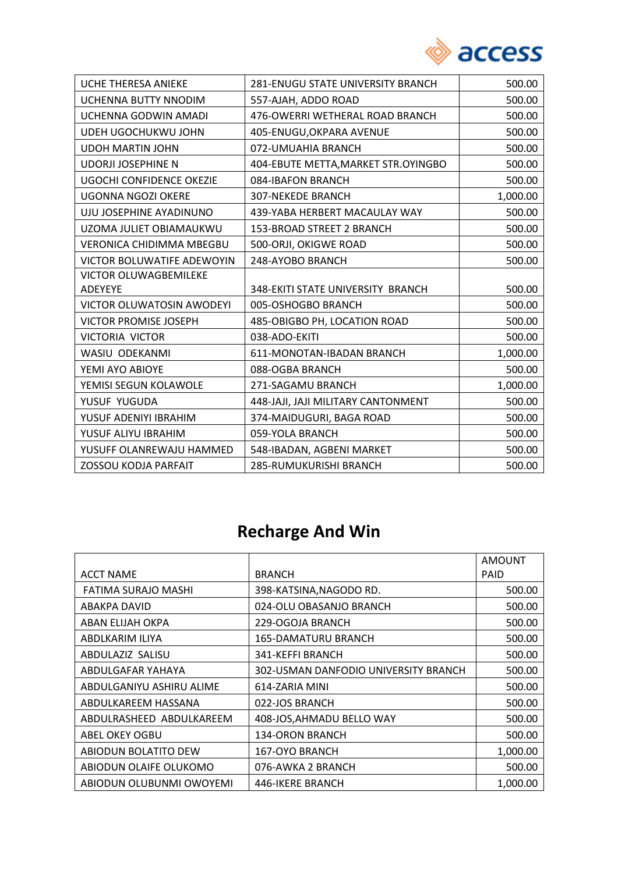

| <b>UCHE THERESA ANIEKE</b>       | 281-ENUGU STATE UNIVERSITY BRANCH    | 500.00   |
|----------------------------------|--------------------------------------|----------|
| UCHENNA BUTTY NNODIM             | 557-AJAH, ADDO ROAD                  | 500.00   |
| UCHENNA GODWIN AMADI             | 476-OWERRI WETHERAL ROAD BRANCH      | 500.00   |
| UDEH UGOCHUKWU JOHN              | 405-ENUGU, OKPARA AVENUE             | 500.00   |
| <b>UDOH MARTIN JOHN</b>          | 072-UMUAHIA BRANCH                   | 500.00   |
| <b>UDORJI JOSEPHINE N</b>        | 404-EBUTE METTA, MARKET STR. OYINGBO | 500.00   |
| <b>UGOCHI CONFIDENCE OKEZIE</b>  | 084-IBAFON BRANCH                    | 500.00   |
| <b>UGONNA NGOZI OKERE</b>        | <b>307-NEKEDE BRANCH</b>             | 1,000.00 |
| UJU JOSEPHINE AYADINUNO          | 439-YABA HERBERT MACAULAY WAY        | 500.00   |
| UZOMA JULIET OBIAMAUKWU          | 153-BROAD STREET 2 BRANCH            | 500.00   |
| <b>VERONICA CHIDIMMA MBEGBU</b>  | 500-ORJI, OKIGWE ROAD                | 500.00   |
| VICTOR BOLUWATIFE ADEWOYIN       | 248-AYOBO BRANCH                     | 500.00   |
| <b>VICTOR OLUWAGBEMILEKE</b>     |                                      |          |
| <b>ADEYEYE</b>                   | 348-EKITI STATE UNIVERSITY BRANCH    | 500.00   |
| <b>VICTOR OLUWATOSIN AWODEYI</b> | 005-OSHOGBO BRANCH                   | 500.00   |
| VICTOR PROMISE JOSEPH            | 485-OBIGBO PH, LOCATION ROAD         | 500.00   |
| <b>VICTORIA VICTOR</b>           | 038-ADO-EKITI                        | 500.00   |
| WASIU ODEKANMI                   | 611-MONOTAN-IBADAN BRANCH            | 1,000.00 |
| YEMI AYO ABIOYE                  | 088-OGBA BRANCH                      | 500.00   |
| YEMISI SEGUN KOLAWOLE            | 271-SAGAMU BRANCH                    | 1,000.00 |
| YUSUF YUGUDA                     | 448-JAJI, JAJI MILITARY CANTONMENT   | 500.00   |
| YUSUF ADENIYI IBRAHIM            | 374-MAIDUGURI, BAGA ROAD             | 500.00   |
| YUSUF ALIYU IBRAHIM              | 059-YOLA BRANCH                      | 500.00   |
| YUSUFF OLANREWAJU HAMMED         | 548-IBADAN, AGBENI MARKET            | 500.00   |
| <b>ZOSSOU KODJA PARFAIT</b>      | 285-RUMUKURISHI BRANCH               | 500.00   |

# **Recharge And Win**

|                          |                                      | <b>AMOUNT</b> |
|--------------------------|--------------------------------------|---------------|
| <b>ACCT NAME</b>         | <b>BRANCH</b>                        | PAID          |
| FATIMA SURAJO MASHI      | 398-KATSINA, NAGODO RD.              | 500.00        |
| ABAKPA DAVID             | 024-OLU OBASANJO BRANCH              | 500.00        |
| ABAN ELIJAH OKPA         | 229-OGOJA BRANCH                     | 500.00        |
| ABDLKARIM ILIYA          | <b>165-DAMATURU BRANCH</b>           | 500.00        |
| ABDULAZIZ SALISU         | 341-KEFFI BRANCH                     | 500.00        |
| ABDULGAFAR YAHAYA        | 302-USMAN DANFODIO UNIVERSITY BRANCH | 500.00        |
| ABDULGANIYU ASHIRU ALIME | 614-ZARIA MINI                       | 500.00        |
| ABDULKAREEM HASSANA      | 022-JOS BRANCH                       | 500.00        |
| ABDULRASHEED ABDULKAREEM | 408-JOS, AHMADU BELLO WAY            | 500.00        |
| ABEL OKEY OGBU           | <b>134-ORON BRANCH</b>               | 500.00        |
| ABIODUN BOLATITO DEW     | 167-OYO BRANCH                       | 1,000.00      |
| ABIODUN OLAIFE OLUKOMO   | 076-AWKA 2 BRANCH                    | 500.00        |
| ABIODUN OLUBUNMI OWOYEMI | 446-IKERE BRANCH                     | 1,000.00      |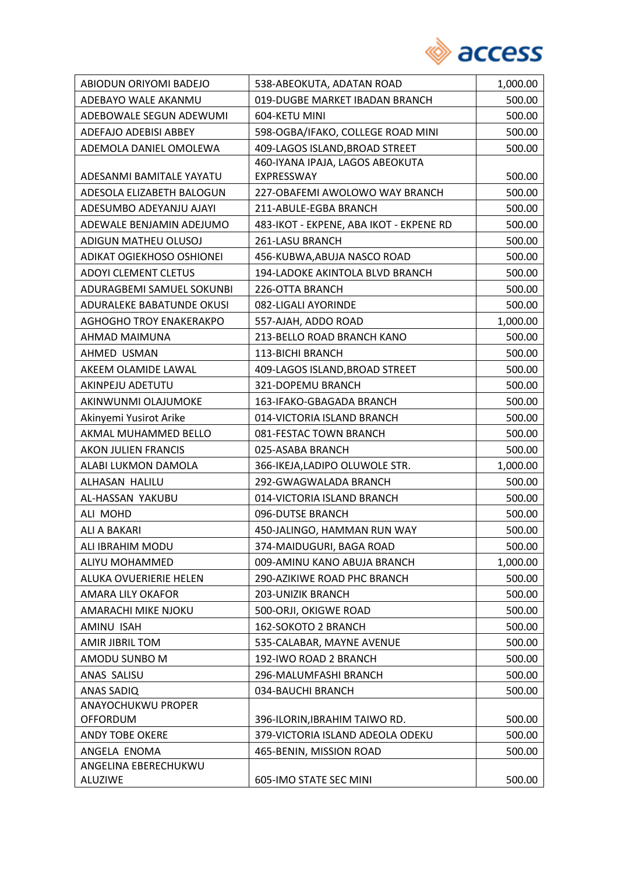

| ABIODUN ORIYOMI BADEJO         | 538-ABEOKUTA, ADATAN ROAD               | 1,000.00 |
|--------------------------------|-----------------------------------------|----------|
| ADEBAYO WALE AKANMU            | 019-DUGBE MARKET IBADAN BRANCH          | 500.00   |
| ADEBOWALE SEGUN ADEWUMI        | 604-KETU MINI                           | 500.00   |
| ADEFAJO ADEBISI ABBEY          | 598-OGBA/IFAKO, COLLEGE ROAD MINI       | 500.00   |
| ADEMOLA DANIEL OMOLEWA         | 409-LAGOS ISLAND, BROAD STREET          | 500.00   |
|                                | 460-IYANA IPAJA, LAGOS ABEOKUTA         |          |
| ADESANMI BAMITALE YAYATU       | EXPRESSWAY                              | 500.00   |
| ADESOLA ELIZABETH BALOGUN      | 227-OBAFEMI AWOLOWO WAY BRANCH          | 500.00   |
| ADESUMBO ADEYANJU AJAYI        | 211-ABULE-EGBA BRANCH                   | 500.00   |
| ADEWALE BENJAMIN ADEJUMO       | 483-IKOT - EKPENE, ABA IKOT - EKPENE RD | 500.00   |
| ADIGUN MATHEU OLUSOJ           | 261-LASU BRANCH                         | 500.00   |
| ADIKAT OGIEKHOSO OSHIONEI      | 456-KUBWA, ABUJA NASCO ROAD             | 500.00   |
| <b>ADOYI CLEMENT CLETUS</b>    | 194-LADOKE AKINTOLA BLVD BRANCH         | 500.00   |
| ADURAGBEMI SAMUEL SOKUNBI      | 226-OTTA BRANCH                         | 500.00   |
| ADURALEKE BABATUNDE OKUSI      | 082-LIGALI AYORINDE                     | 500.00   |
| <b>AGHOGHO TROY ENAKERAKPO</b> | 557-AJAH, ADDO ROAD                     | 1,000.00 |
| AHMAD MAIMUNA                  | 213-BELLO ROAD BRANCH KANO              | 500.00   |
| AHMED USMAN                    | 113-BICHI BRANCH                        | 500.00   |
| AKEEM OLAMIDE LAWAL            | 409-LAGOS ISLAND, BROAD STREET          | 500.00   |
| AKINPEJU ADETUTU               | 321-DOPEMU BRANCH                       | 500.00   |
| AKINWUNMI OLAJUMOKE            | 163-IFAKO-GBAGADA BRANCH                | 500.00   |
| Akinyemi Yusirot Arike         | 014-VICTORIA ISLAND BRANCH              | 500.00   |
| AKMAL MUHAMMED BELLO           | 081-FESTAC TOWN BRANCH                  | 500.00   |
| <b>AKON JULIEN FRANCIS</b>     | 025-ASABA BRANCH                        | 500.00   |
| ALABI LUKMON DAMOLA            | 366-IKEJA, LADIPO OLUWOLE STR.          | 1,000.00 |
| ALHASAN HALILU                 | 292-GWAGWALADA BRANCH                   | 500.00   |
| AL-HASSAN YAKUBU               | 014-VICTORIA ISLAND BRANCH              | 500.00   |
| ALI MOHD                       | 096-DUTSE BRANCH                        | 500.00   |
| ALI A BAKARI                   | 450-JALINGO, HAMMAN RUN WAY             | 500.00   |
| ALI IBRAHIM MODU               | 374-MAIDUGURI, BAGA ROAD                | 500.00   |
| ALIYU MOHAMMED                 | 009-AMINU KANO ABUJA BRANCH             | 1,000.00 |
| ALUKA OVUERIERIE HELEN         | 290-AZIKIWE ROAD PHC BRANCH             | 500.00   |
| AMARA LILY OKAFOR              | 203-UNIZIK BRANCH                       | 500.00   |
| AMARACHI MIKE NJOKU            | 500-ORJI, OKIGWE ROAD                   | 500.00   |
| AMINU ISAH                     | 162-SOKOTO 2 BRANCH                     | 500.00   |
| <b>AMIR JIBRIL TOM</b>         | 535-CALABAR, MAYNE AVENUE               | 500.00   |
| AMODU SUNBO M                  | 192-IWO ROAD 2 BRANCH                   | 500.00   |
| ANAS SALISU                    | 296-MALUMFASHI BRANCH                   | 500.00   |
| <b>ANAS SADIQ</b>              | 034-BAUCHI BRANCH                       | 500.00   |
| ANAYOCHUKWU PROPER             |                                         |          |
| <b>OFFORDUM</b>                | 396-ILORIN, IBRAHIM TAIWO RD.           | 500.00   |
| <b>ANDY TOBE OKERE</b>         | 379-VICTORIA ISLAND ADEOLA ODEKU        | 500.00   |
| ANGELA ENOMA                   | 465-BENIN, MISSION ROAD                 | 500.00   |
| ANGELINA EBERECHUKWU           |                                         |          |
| <b>ALUZIWE</b>                 | 605-IMO STATE SEC MINI                  | 500.00   |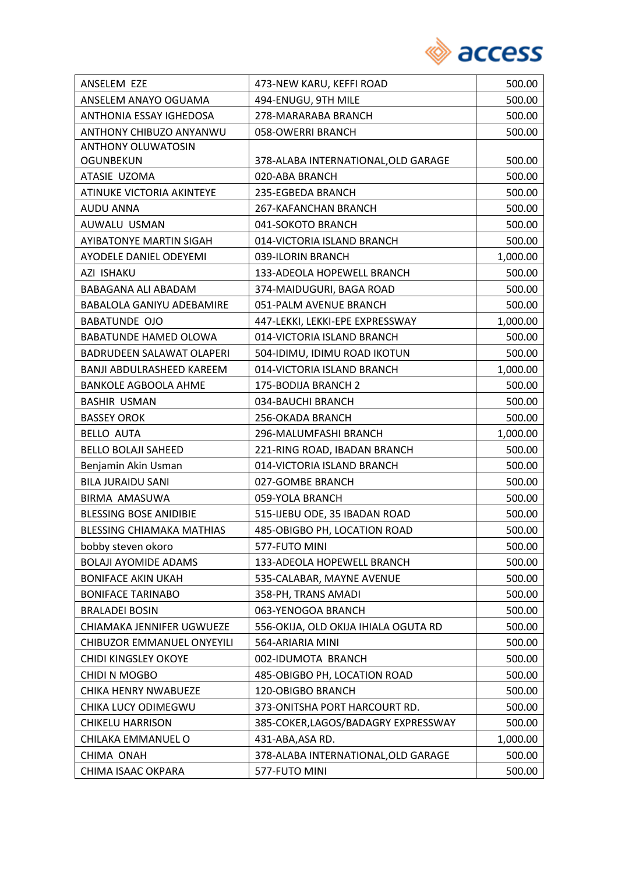

| ANSELEM EZE                      | 473-NEW KARU, KEFFI ROAD             | 500.00   |
|----------------------------------|--------------------------------------|----------|
| ANSELEM ANAYO OGUAMA             | 494-ENUGU, 9TH MILE                  | 500.00   |
| ANTHONIA ESSAY IGHEDOSA          | 278-MARARABA BRANCH                  | 500.00   |
| ANTHONY CHIBUZO ANYANWU          | 058-OWERRI BRANCH                    | 500.00   |
| <b>ANTHONY OLUWATOSIN</b>        |                                      |          |
| <b>OGUNBEKUN</b>                 | 378-ALABA INTERNATIONAL, OLD GARAGE  | 500.00   |
| ATASIE UZOMA                     | 020-ABA BRANCH                       | 500.00   |
| ATINUKE VICTORIA AKINTEYE        | 235-EGBEDA BRANCH                    | 500.00   |
| AUDU ANNA                        | 267-KAFANCHAN BRANCH                 | 500.00   |
| AUWALU USMAN                     | 041-SOKOTO BRANCH                    | 500.00   |
| <b>AYIBATONYE MARTIN SIGAH</b>   | 014-VICTORIA ISLAND BRANCH           | 500.00   |
| <b>AYODELE DANIEL ODEYEMI</b>    | 039-ILORIN BRANCH                    | 1,000.00 |
| AZI ISHAKU                       | 133-ADEOLA HOPEWELL BRANCH           | 500.00   |
| BABAGANA ALI ABADAM              | 374-MAIDUGURI, BAGA ROAD             | 500.00   |
| <b>BABALOLA GANIYU ADEBAMIRE</b> | 051-PALM AVENUE BRANCH               | 500.00   |
| <b>BABATUNDE OJO</b>             | 447-LEKKI, LEKKI-EPE EXPRESSWAY      | 1,000.00 |
| <b>BABATUNDE HAMED OLOWA</b>     | 014-VICTORIA ISLAND BRANCH           | 500.00   |
| <b>BADRUDEEN SALAWAT OLAPERI</b> | 504-IDIMU, IDIMU ROAD IKOTUN         | 500.00   |
| BANJI ABDULRASHEED KAREEM        | 014-VICTORIA ISLAND BRANCH           | 1,000.00 |
| <b>BANKOLE AGBOOLA AHME</b>      | 175-BODIJA BRANCH 2                  | 500.00   |
| BASHIR USMAN                     | 034-BAUCHI BRANCH                    | 500.00   |
| <b>BASSEY OROK</b>               | 256-OKADA BRANCH                     | 500.00   |
| <b>BELLO AUTA</b>                | 296-MALUMFASHI BRANCH                | 1,000.00 |
| <b>BELLO BOLAJI SAHEED</b>       | 221-RING ROAD, IBADAN BRANCH         | 500.00   |
| Benjamin Akin Usman              | 014-VICTORIA ISLAND BRANCH           | 500.00   |
| <b>BILA JURAIDU SANI</b>         | 027-GOMBE BRANCH                     | 500.00   |
| BIRMA AMASUWA                    | 059-YOLA BRANCH                      | 500.00   |
| <b>BLESSING BOSE ANIDIBIE</b>    | 515-IJEBU ODE, 35 IBADAN ROAD        | 500.00   |
| <b>BLESSING CHIAMAKA MATHIAS</b> | 485-OBIGBO PH, LOCATION ROAD         | 500.00   |
| bobby steven okoro               | 577-FUTO MINI                        | 500.00   |
| <b>BOLAJI AYOMIDE ADAMS</b>      | 133-ADEOLA HOPEWELL BRANCH           | 500.00   |
| <b>BONIFACE AKIN UKAH</b>        | 535-CALABAR, MAYNE AVENUE            | 500.00   |
| <b>BONIFACE TARINABO</b>         | 358-PH, TRANS AMADI                  | 500.00   |
| <b>BRALADEI BOSIN</b>            | 063-YENOGOA BRANCH                   | 500.00   |
| CHIAMAKA JENNIFER UGWUEZE        | 556-OKIJA, OLD OKIJA IHIALA OGUTA RD | 500.00   |
| CHIBUZOR EMMANUEL ONYEYILI       | 564-ARIARIA MINI                     | 500.00   |
| CHIDI KINGSLEY OKOYE             | 002-IDUMOTA BRANCH                   | 500.00   |
| CHIDI N MOGBO                    | 485-OBIGBO PH, LOCATION ROAD         | 500.00   |
| CHIKA HENRY NWABUEZE             | 120-OBIGBO BRANCH                    | 500.00   |
| CHIKA LUCY ODIMEGWU              | 373-ONITSHA PORT HARCOURT RD.        | 500.00   |
| <b>CHIKELU HARRISON</b>          | 385-COKER, LAGOS/BADAGRY EXPRESSWAY  | 500.00   |
| CHILAKA EMMANUEL O               | 431-ABA, ASA RD.                     | 1,000.00 |
| CHIMA ONAH                       | 378-ALABA INTERNATIONAL, OLD GARAGE  | 500.00   |
| CHIMA ISAAC OKPARA               | 577-FUTO MINI                        | 500.00   |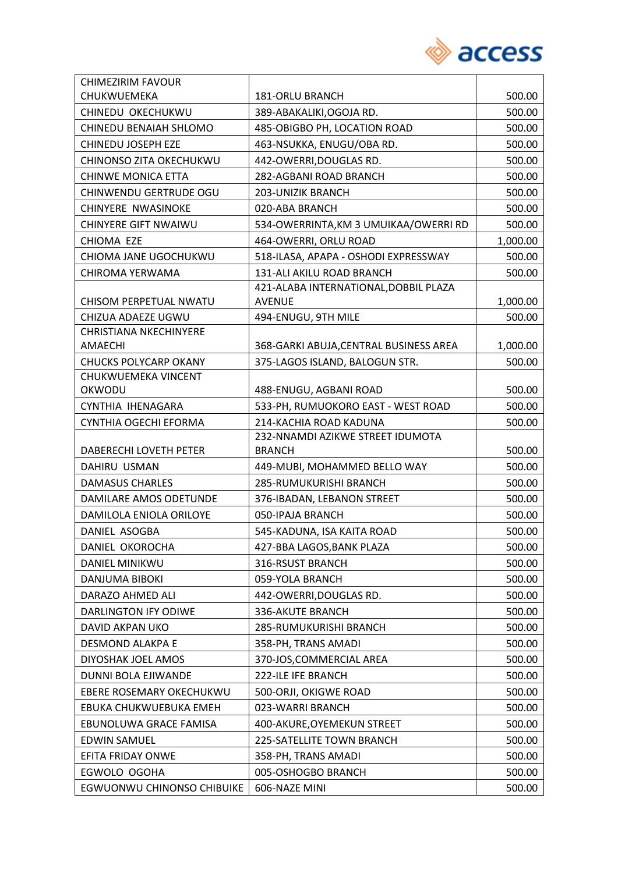

| <b>CHIMEZIRIM FAVOUR</b>                 |                                        |          |
|------------------------------------------|----------------------------------------|----------|
| CHUKWUEMEKA                              | <b>181-ORLU BRANCH</b>                 | 500.00   |
| CHINEDU OKECHUKWU                        | 389-ABAKALIKI, OGOJA RD.               | 500.00   |
| CHINEDU BENAIAH SHLOMO                   | 485-OBIGBO PH, LOCATION ROAD           | 500.00   |
| CHINEDU JOSEPH EZE                       | 463-NSUKKA, ENUGU/OBA RD.              | 500.00   |
| CHINONSO ZITA OKECHUKWU                  | 442-OWERRI, DOUGLAS RD.                | 500.00   |
| CHINWE MONICA ETTA                       | 282-AGBANI ROAD BRANCH                 | 500.00   |
| CHINWENDU GERTRUDE OGU                   | 203-UNIZIK BRANCH                      | 500.00   |
| CHINYERE NWASINOKE                       | 020-ABA BRANCH                         | 500.00   |
| <b>CHINYERE GIFT NWAIWU</b>              | 534-OWERRINTA, KM 3 UMUIKAA/OWERRI RD  | 500.00   |
| CHIOMA EZE                               | 464-OWERRI, ORLU ROAD                  | 1,000.00 |
| CHIOMA JANE UGOCHUKWU                    | 518-ILASA, APAPA - OSHODI EXPRESSWAY   | 500.00   |
| CHIROMA YERWAMA                          | 131-ALI AKILU ROAD BRANCH              | 500.00   |
|                                          | 421-ALABA INTERNATIONAL, DOBBIL PLAZA  |          |
| CHISOM PERPETUAL NWATU                   | <b>AVENUE</b>                          | 1,000.00 |
| CHIZUA ADAEZE UGWU                       | 494-ENUGU, 9TH MILE                    | 500.00   |
| <b>CHRISTIANA NKECHINYERE</b><br>AMAECHI | 368-GARKI ABUJA, CENTRAL BUSINESS AREA | 1,000.00 |
| <b>CHUCKS POLYCARP OKANY</b>             | 375-LAGOS ISLAND, BALOGUN STR.         | 500.00   |
| CHUKWUEMEKA VINCENT                      |                                        |          |
| OKWODU                                   | 488-ENUGU, AGBANI ROAD                 | 500.00   |
| CYNTHIA IHENAGARA                        | 533-PH, RUMUOKORO EAST - WEST ROAD     | 500.00   |
| CYNTHIA OGECHI EFORMA                    | 214-KACHIA ROAD KADUNA                 | 500.00   |
|                                          | 232-NNAMDI AZIKWE STREET IDUMOTA       |          |
| DABERECHI LOVETH PETER                   | <b>BRANCH</b>                          | 500.00   |
| DAHIRU USMAN                             | 449-MUBI, MOHAMMED BELLO WAY           | 500.00   |
| <b>DAMASUS CHARLES</b>                   | 285-RUMUKURISHI BRANCH                 | 500.00   |
| DAMILARE AMOS ODETUNDE                   | 376-IBADAN, LEBANON STREET             | 500.00   |
| DAMILOLA ENIOLA ORILOYE                  | 050-IPAJA BRANCH                       | 500.00   |
| DANIEL ASOGBA                            | 545-KADUNA, ISA KAITA ROAD             | 500.00   |
| DANIEL OKOROCHA                          | 427-BBA LAGOS, BANK PLAZA              | 500.00   |
| DANIEL MINIKWU                           | 316-RSUST BRANCH                       | 500.00   |
| <b>DANJUMA BIBOKI</b>                    | 059-YOLA BRANCH                        | 500.00   |
| DARAZO AHMED ALI                         | 442-OWERRI, DOUGLAS RD.                | 500.00   |
| <b>DARLINGTON IFY ODIWE</b>              | 336-AKUTE BRANCH                       | 500.00   |
| DAVID AKPAN UKO                          | 285-RUMUKURISHI BRANCH                 | 500.00   |
| DESMOND ALAKPA E                         | 358-PH, TRANS AMADI                    | 500.00   |
| DIYOSHAK JOEL AMOS                       | 370-JOS, COMMERCIAL AREA               | 500.00   |
| DUNNI BOLA EJIWANDE                      | 222-ILE IFE BRANCH                     | 500.00   |
| EBERE ROSEMARY OKECHUKWU                 | 500-ORJI, OKIGWE ROAD                  | 500.00   |
| EBUKA CHUKWUEBUKA EMEH                   | 023-WARRI BRANCH                       | 500.00   |
| EBUNOLUWA GRACE FAMISA                   | 400-AKURE, OYEMEKUN STREET             | 500.00   |
| <b>EDWIN SAMUEL</b>                      | 225-SATELLITE TOWN BRANCH              | 500.00   |
| EFITA FRIDAY ONWE                        | 358-PH, TRANS AMADI                    | 500.00   |
| EGWOLO OGOHA                             | 005-OSHOGBO BRANCH                     | 500.00   |
| EGWUONWU CHINONSO CHIBUIKE               | 606-NAZE MINI                          | 500.00   |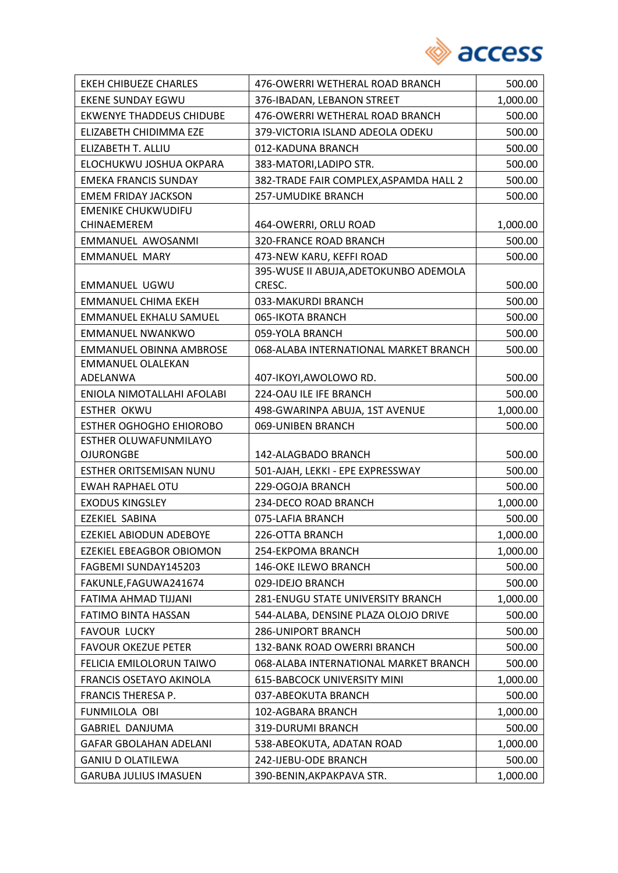

| <b>EKEH CHIBUEZE CHARLES</b>                            | 476-OWERRI WETHERAL ROAD BRANCH        | 500.00   |
|---------------------------------------------------------|----------------------------------------|----------|
| <b>EKENE SUNDAY EGWU</b>                                | 376-IBADAN, LEBANON STREET             | 1,000.00 |
| <b>EKWENYE THADDEUS CHIDUBE</b>                         | 476-OWERRI WETHERAL ROAD BRANCH        | 500.00   |
| ELIZABETH CHIDIMMA EZE                                  | 379-VICTORIA ISLAND ADEOLA ODEKU       | 500.00   |
| ELIZABETH T. ALLIU                                      | 012-KADUNA BRANCH                      | 500.00   |
| ELOCHUKWU JOSHUA OKPARA                                 | 383-MATORI, LADIPO STR.                | 500.00   |
| <b>EMEKA FRANCIS SUNDAY</b>                             | 382-TRADE FAIR COMPLEX, ASPAMDA HALL 2 | 500.00   |
| <b>EMEM FRIDAY JACKSON</b>                              | <b>257-UMUDIKE BRANCH</b>              | 500.00   |
| EMENIKE CHUKWUDIFU                                      |                                        |          |
| <b>CHINAEMEREM</b>                                      | 464-OWERRI, ORLU ROAD                  | 1,000.00 |
| EMMANUEL AWOSANMI                                       | <b>320-FRANCE ROAD BRANCH</b>          | 500.00   |
| <b>EMMANUEL MARY</b>                                    | 473-NEW KARU, KEFFI ROAD               | 500.00   |
|                                                         | 395-WUSE II ABUJA, ADETOKUNBO ADEMOLA  |          |
| <b>EMMANUEL UGWU</b>                                    | CRESC.                                 | 500.00   |
| <b>EMMANUEL CHIMA EKEH</b>                              | 033-MAKURDI BRANCH                     | 500.00   |
| EMMANUEL EKHALU SAMUEL                                  | 065-IKOTA BRANCH                       | 500.00   |
| <b>EMMANUEL NWANKWO</b>                                 | 059-YOLA BRANCH                        | 500.00   |
| <b>EMMANUEL OBINNA AMBROSE</b>                          | 068-ALABA INTERNATIONAL MARKET BRANCH  | 500.00   |
| <b>EMMANUEL OLALEKAN</b>                                |                                        |          |
| ADELANWA                                                | 407-IKOYI, AWOLOWO RD.                 | 500.00   |
| ENIOLA NIMOTALLAHI AFOLABI                              | 224-OAU ILE IFE BRANCH                 | 500.00   |
| <b>ESTHER OKWU</b>                                      | 498-GWARINPA ABUJA, 1ST AVENUE         | 1,000.00 |
| <b>ESTHER OGHOGHO EHIOROBO</b><br>ESTHER OLUWAFUNMILAYO | 069-UNIBEN BRANCH                      | 500.00   |
| <b>OJURONGBE</b>                                        | 142-ALAGBADO BRANCH                    | 500.00   |
| ESTHER ORITSEMISAN NUNU                                 | 501-AJAH, LEKKI - EPE EXPRESSWAY       | 500.00   |
| <b>EWAH RAPHAEL OTU</b>                                 | 229-OGOJA BRANCH                       | 500.00   |
| <b>EXODUS KINGSLEY</b>                                  | 234-DECO ROAD BRANCH                   | 1,000.00 |
| EZEKIEL SABINA                                          | 075-LAFIA BRANCH                       | 500.00   |
| <b>EZEKIEL ABIODUN ADEBOYE</b>                          | 226-OTTA BRANCH                        | 1,000.00 |
| EZEKIEL EBEAGBOR OBIOMON                                | 254-EKPOMA BRANCH                      | 1,000.00 |
| FAGBEMI SUNDAY145203                                    | 146-OKE ILEWO BRANCH                   | 500.00   |
| FAKUNLE, FAGUWA241674                                   | 029-IDEJO BRANCH                       | 500.00   |
| FATIMA AHMAD TIJJANI                                    | 281-ENUGU STATE UNIVERSITY BRANCH      | 1,000.00 |
| FATIMO BINTA HASSAN                                     | 544-ALABA, DENSINE PLAZA OLOJO DRIVE   | 500.00   |
| <b>FAVOUR LUCKY</b>                                     | <b>286-UNIPORT BRANCH</b>              | 500.00   |
| <b>FAVOUR OKEZUE PETER</b>                              | 132-BANK ROAD OWERRI BRANCH            | 500.00   |
| FELICIA EMILOLORUN TAIWO                                | 068-ALABA INTERNATIONAL MARKET BRANCH  | 500.00   |
| FRANCIS OSETAYO AKINOLA                                 | 615-BABCOCK UNIVERSITY MINI            | 1,000.00 |
| FRANCIS THERESA P.                                      | 037-ABEOKUTA BRANCH                    | 500.00   |
| FUNMILOLA OBI                                           | 102-AGBARA BRANCH                      | 1,000.00 |
| GABRIEL DANJUMA                                         | 319-DURUMI BRANCH                      | 500.00   |
| <b>GAFAR GBOLAHAN ADELANI</b>                           | 538-ABEOKUTA, ADATAN ROAD              | 1,000.00 |
| <b>GANIU D OLATILEWA</b>                                | 242-IJEBU-ODE BRANCH                   | 500.00   |
| <b>GARUBA JULIUS IMASUEN</b>                            | 390-BENIN, AKPAKPAVA STR.              | 1,000.00 |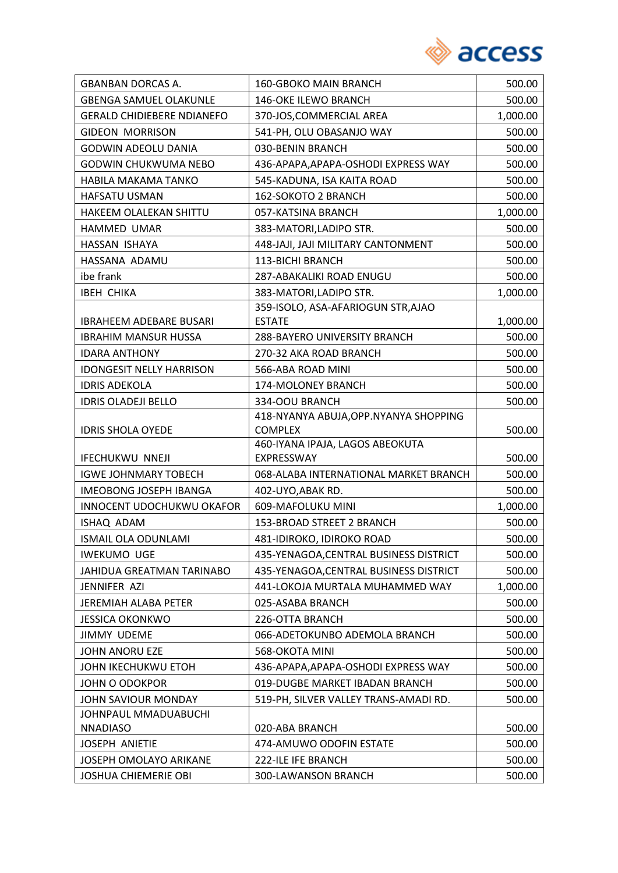

| <b>GBANBAN DORCAS A.</b>          | <b>160-GBOKO MAIN BRANCH</b>                  | 500.00   |
|-----------------------------------|-----------------------------------------------|----------|
| <b>GBENGA SAMUEL OLAKUNLE</b>     | 146-OKE ILEWO BRANCH                          | 500.00   |
| <b>GERALD CHIDIEBERE NDIANEFO</b> | 370-JOS, COMMERCIAL AREA                      | 1,000.00 |
| <b>GIDEON MORRISON</b>            | 541-PH, OLU OBASANJO WAY                      | 500.00   |
| <b>GODWIN ADEOLU DANIA</b>        | 030-BENIN BRANCH                              | 500.00   |
| GODWIN CHUKWUMA NEBO              | 436-APAPA, APAPA-OSHODI EXPRESS WAY           | 500.00   |
| HABILA MAKAMA TANKO               | 545-KADUNA, ISA KAITA ROAD                    | 500.00   |
| HAFSATU USMAN                     | 162-SOKOTO 2 BRANCH                           | 500.00   |
| <b>HAKEEM OLALEKAN SHITTU</b>     | 057-KATSINA BRANCH                            | 1,000.00 |
| HAMMED UMAR                       | 383-MATORI, LADIPO STR.                       | 500.00   |
| HASSAN ISHAYA                     | 448-JAJI, JAJI MILITARY CANTONMENT            | 500.00   |
| HASSANA ADAMU                     | 113-BICHI BRANCH                              | 500.00   |
| ibe frank                         | 287-ABAKALIKI ROAD ENUGU                      | 500.00   |
| <b>IBEH CHIKA</b>                 | 383-MATORI, LADIPO STR.                       | 1,000.00 |
|                                   | 359-ISOLO, ASA-AFARIOGUN STR, AJAO            |          |
| <b>IBRAHEEM ADEBARE BUSARI</b>    | <b>ESTATE</b>                                 | 1,000.00 |
| <b>IBRAHIM MANSUR HUSSA</b>       | 288-BAYERO UNIVERSITY BRANCH                  | 500.00   |
| <b>IDARA ANTHONY</b>              | 270-32 AKA ROAD BRANCH                        | 500.00   |
| <b>IDONGESIT NELLY HARRISON</b>   | 566-ABA ROAD MINI                             | 500.00   |
| <b>IDRIS ADEKOLA</b>              | 174-MOLONEY BRANCH                            | 500.00   |
| <b>IDRIS OLADEJI BELLO</b>        | 334-OOU BRANCH                                | 500.00   |
|                                   | 418-NYANYA ABUJA, OPP. NYANYA SHOPPING        |          |
| <b>IDRIS SHOLA OYEDE</b>          | <b>COMPLEX</b>                                | 500.00   |
| <b>IFECHUKWU NNEJI</b>            | 460-IYANA IPAJA, LAGOS ABEOKUTA<br>EXPRESSWAY | 500.00   |
| <b>IGWE JOHNMARY TOBECH</b>       | 068-ALABA INTERNATIONAL MARKET BRANCH         | 500.00   |
| <b>IMEOBONG JOSEPH IBANGA</b>     | 402-UYO, ABAK RD.                             | 500.00   |
| INNOCENT UDOCHUKWU OKAFOR         | 609-MAFOLUKU MINI                             | 1,000.00 |
| ISHAQ ADAM                        | 153-BROAD STREET 2 BRANCH                     | 500.00   |
| ISMAIL OLA ODUNLAMI               | 481-IDIROKO, IDIROKO ROAD                     | 500.00   |
| <b>IWEKUMO UGE</b>                | 435-YENAGOA, CENTRAL BUSINESS DISTRICT        | 500.00   |
| JAHIDUA GREATMAN TARINABO         | 435-YENAGOA, CENTRAL BUSINESS DISTRICT        | 500.00   |
| JENNIFER AZI                      | 441-LOKOJA MURTALA MUHAMMED WAY               | 1,000.00 |
| JEREMIAH ALABA PETER              | 025-ASABA BRANCH                              | 500.00   |
| <b>JESSICA OKONKWO</b>            | 226-OTTA BRANCH                               | 500.00   |
| <b>JIMMY UDEME</b>                | 066-ADETOKUNBO ADEMOLA BRANCH                 | 500.00   |
| <b>JOHN ANORU EZE</b>             | 568-OKOTA MINI                                | 500.00   |
| JOHN IKECHUKWU ETOH               | 436-APAPA, APAPA-OSHODI EXPRESS WAY           | 500.00   |
| <b>JOHN O ODOKPOR</b>             | 019-DUGBE MARKET IBADAN BRANCH                | 500.00   |
| JOHN SAVIOUR MONDAY               | 519-PH, SILVER VALLEY TRANS-AMADI RD.         | 500.00   |
| JOHNPAUL MMADUABUCHI              |                                               |          |
| <b>NNADIASO</b>                   | 020-ABA BRANCH                                | 500.00   |
| <b>JOSEPH ANIETIE</b>             | 474-AMUWO ODOFIN ESTATE                       | 500.00   |
| JOSEPH OMOLAYO ARIKANE            | 222-ILE IFE BRANCH                            | 500.00   |
| <b>JOSHUA CHIEMERIE OBI</b>       | 300-LAWANSON BRANCH                           | 500.00   |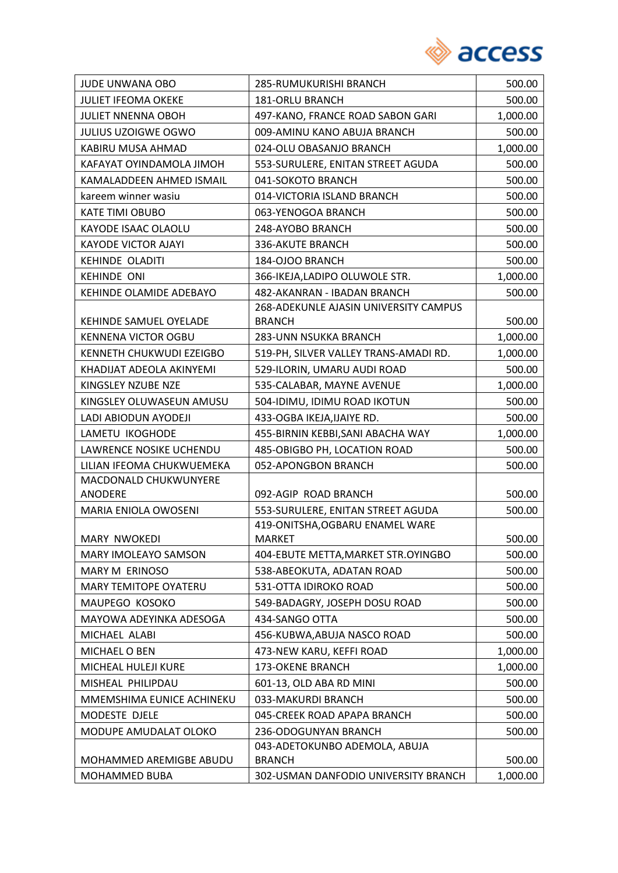

| <b>JULIET IFEOMA OKEKE</b><br><b>181-ORLU BRANCH</b><br>500.00<br><b>JULIET NNENNA OBOH</b><br>497-KANO, FRANCE ROAD SABON GARI<br>1,000.00<br><b>JULIUS UZOIGWE OGWO</b><br>009-AMINU KANO ABUJA BRANCH<br>500.00<br>1,000.00<br>KABIRU MUSA AHMAD<br>024-OLU OBASANJO BRANCH<br>KAFAYAT OYINDAMOLA JIMOH<br>553-SURULERE, ENITAN STREET AGUDA<br>500.00<br>041-SOKOTO BRANCH<br>KAMALADDEEN AHMED ISMAIL<br>500.00<br>014-VICTORIA ISLAND BRANCH<br>kareem winner wasiu<br>500.00<br><b>KATE TIMI OBUBO</b><br>063-YENOGOA BRANCH<br>500.00<br>KAYODE ISAAC OLAOLU<br>248-AYOBO BRANCH<br>500.00<br><b>KAYODE VICTOR AJAYI</b><br><b>336-AKUTE BRANCH</b><br>500.00<br><b>KEHINDE OLADITI</b><br>184-OJOO BRANCH<br>500.00<br><b>KEHINDE ONI</b><br>1,000.00<br>366-IKEJA,LADIPO OLUWOLE STR.<br>KEHINDE OLAMIDE ADEBAYO<br>482-AKANRAN - IBADAN BRANCH<br>500.00<br>268-ADEKUNLE AJASIN UNIVERSITY CAMPUS<br>KEHINDE SAMUEL OYELADE<br><b>BRANCH</b><br>500.00<br><b>KENNENA VICTOR OGBU</b><br>283-UNN NSUKKA BRANCH<br>1,000.00<br>519-PH, SILVER VALLEY TRANS-AMADI RD.<br>1,000.00<br>KENNETH CHUKWUDI EZEIGBO |
|-----------------------------------------------------------------------------------------------------------------------------------------------------------------------------------------------------------------------------------------------------------------------------------------------------------------------------------------------------------------------------------------------------------------------------------------------------------------------------------------------------------------------------------------------------------------------------------------------------------------------------------------------------------------------------------------------------------------------------------------------------------------------------------------------------------------------------------------------------------------------------------------------------------------------------------------------------------------------------------------------------------------------------------------------------------------------------------------------------------------------|
|                                                                                                                                                                                                                                                                                                                                                                                                                                                                                                                                                                                                                                                                                                                                                                                                                                                                                                                                                                                                                                                                                                                       |
|                                                                                                                                                                                                                                                                                                                                                                                                                                                                                                                                                                                                                                                                                                                                                                                                                                                                                                                                                                                                                                                                                                                       |
|                                                                                                                                                                                                                                                                                                                                                                                                                                                                                                                                                                                                                                                                                                                                                                                                                                                                                                                                                                                                                                                                                                                       |
|                                                                                                                                                                                                                                                                                                                                                                                                                                                                                                                                                                                                                                                                                                                                                                                                                                                                                                                                                                                                                                                                                                                       |
|                                                                                                                                                                                                                                                                                                                                                                                                                                                                                                                                                                                                                                                                                                                                                                                                                                                                                                                                                                                                                                                                                                                       |
|                                                                                                                                                                                                                                                                                                                                                                                                                                                                                                                                                                                                                                                                                                                                                                                                                                                                                                                                                                                                                                                                                                                       |
|                                                                                                                                                                                                                                                                                                                                                                                                                                                                                                                                                                                                                                                                                                                                                                                                                                                                                                                                                                                                                                                                                                                       |
|                                                                                                                                                                                                                                                                                                                                                                                                                                                                                                                                                                                                                                                                                                                                                                                                                                                                                                                                                                                                                                                                                                                       |
|                                                                                                                                                                                                                                                                                                                                                                                                                                                                                                                                                                                                                                                                                                                                                                                                                                                                                                                                                                                                                                                                                                                       |
|                                                                                                                                                                                                                                                                                                                                                                                                                                                                                                                                                                                                                                                                                                                                                                                                                                                                                                                                                                                                                                                                                                                       |
|                                                                                                                                                                                                                                                                                                                                                                                                                                                                                                                                                                                                                                                                                                                                                                                                                                                                                                                                                                                                                                                                                                                       |
|                                                                                                                                                                                                                                                                                                                                                                                                                                                                                                                                                                                                                                                                                                                                                                                                                                                                                                                                                                                                                                                                                                                       |
|                                                                                                                                                                                                                                                                                                                                                                                                                                                                                                                                                                                                                                                                                                                                                                                                                                                                                                                                                                                                                                                                                                                       |
|                                                                                                                                                                                                                                                                                                                                                                                                                                                                                                                                                                                                                                                                                                                                                                                                                                                                                                                                                                                                                                                                                                                       |
|                                                                                                                                                                                                                                                                                                                                                                                                                                                                                                                                                                                                                                                                                                                                                                                                                                                                                                                                                                                                                                                                                                                       |
|                                                                                                                                                                                                                                                                                                                                                                                                                                                                                                                                                                                                                                                                                                                                                                                                                                                                                                                                                                                                                                                                                                                       |
|                                                                                                                                                                                                                                                                                                                                                                                                                                                                                                                                                                                                                                                                                                                                                                                                                                                                                                                                                                                                                                                                                                                       |
| KHADIJAT ADEOLA AKINYEMI<br>529-ILORIN, UMARU AUDI ROAD<br>500.00                                                                                                                                                                                                                                                                                                                                                                                                                                                                                                                                                                                                                                                                                                                                                                                                                                                                                                                                                                                                                                                     |
| 535-CALABAR, MAYNE AVENUE<br>1,000.00<br>KINGSLEY NZUBE NZE                                                                                                                                                                                                                                                                                                                                                                                                                                                                                                                                                                                                                                                                                                                                                                                                                                                                                                                                                                                                                                                           |
| KINGSLEY OLUWASEUN AMUSU<br>504-IDIMU, IDIMU ROAD IKOTUN<br>500.00                                                                                                                                                                                                                                                                                                                                                                                                                                                                                                                                                                                                                                                                                                                                                                                                                                                                                                                                                                                                                                                    |
| 433-OGBA IKEJA, IJAIYE RD.<br>LADI ABIODUN AYODEJI<br>500.00                                                                                                                                                                                                                                                                                                                                                                                                                                                                                                                                                                                                                                                                                                                                                                                                                                                                                                                                                                                                                                                          |
| LAMETU IKOGHODE<br>455-BIRNIN KEBBI, SANI ABACHA WAY<br>1,000.00                                                                                                                                                                                                                                                                                                                                                                                                                                                                                                                                                                                                                                                                                                                                                                                                                                                                                                                                                                                                                                                      |
| LAWRENCE NOSIKE UCHENDU<br>485-OBIGBO PH, LOCATION ROAD<br>500.00                                                                                                                                                                                                                                                                                                                                                                                                                                                                                                                                                                                                                                                                                                                                                                                                                                                                                                                                                                                                                                                     |
| LILIAN IFEOMA CHUKWUEMEKA<br>052-APONGBON BRANCH<br>500.00                                                                                                                                                                                                                                                                                                                                                                                                                                                                                                                                                                                                                                                                                                                                                                                                                                                                                                                                                                                                                                                            |
| MACDONALD CHUKWUNYERE                                                                                                                                                                                                                                                                                                                                                                                                                                                                                                                                                                                                                                                                                                                                                                                                                                                                                                                                                                                                                                                                                                 |
| ANODERE<br>092-AGIP ROAD BRANCH<br>500.00                                                                                                                                                                                                                                                                                                                                                                                                                                                                                                                                                                                                                                                                                                                                                                                                                                                                                                                                                                                                                                                                             |
| 553-SURULERE, ENITAN STREET AGUDA<br>MARIA ENIOLA OWOSENI<br>500.00                                                                                                                                                                                                                                                                                                                                                                                                                                                                                                                                                                                                                                                                                                                                                                                                                                                                                                                                                                                                                                                   |
| 419-ONITSHA, OGBARU ENAMEL WARE<br>500.00<br>MARY NWOKEDI<br>MARKET                                                                                                                                                                                                                                                                                                                                                                                                                                                                                                                                                                                                                                                                                                                                                                                                                                                                                                                                                                                                                                                   |
| <b>MARY IMOLEAYO SAMSON</b><br>404-EBUTE METTA, MARKET STR. OYINGBO<br>500.00                                                                                                                                                                                                                                                                                                                                                                                                                                                                                                                                                                                                                                                                                                                                                                                                                                                                                                                                                                                                                                         |
| MARY M ERINOSO<br>538-ABEOKUTA, ADATAN ROAD<br>500.00                                                                                                                                                                                                                                                                                                                                                                                                                                                                                                                                                                                                                                                                                                                                                                                                                                                                                                                                                                                                                                                                 |
| 531-OTTA IDIROKO ROAD<br><b>MARY TEMITOPE OYATERU</b><br>500.00                                                                                                                                                                                                                                                                                                                                                                                                                                                                                                                                                                                                                                                                                                                                                                                                                                                                                                                                                                                                                                                       |
| MAUPEGO KOSOKO<br>549-BADAGRY, JOSEPH DOSU ROAD<br>500.00                                                                                                                                                                                                                                                                                                                                                                                                                                                                                                                                                                                                                                                                                                                                                                                                                                                                                                                                                                                                                                                             |
| MAYOWA ADEYINKA ADESOGA<br>434-SANGO OTTA<br>500.00                                                                                                                                                                                                                                                                                                                                                                                                                                                                                                                                                                                                                                                                                                                                                                                                                                                                                                                                                                                                                                                                   |
| MICHAEL ALABI                                                                                                                                                                                                                                                                                                                                                                                                                                                                                                                                                                                                                                                                                                                                                                                                                                                                                                                                                                                                                                                                                                         |
| 456-KUBWA, ABUJA NASCO ROAD<br>500.00<br>MICHAEL O BEN<br>473-NEW KARU, KEFFI ROAD                                                                                                                                                                                                                                                                                                                                                                                                                                                                                                                                                                                                                                                                                                                                                                                                                                                                                                                                                                                                                                    |
| 1,000.00<br>MICHEAL HULEJI KURE<br>173-OKENE BRANCH<br>1,000.00                                                                                                                                                                                                                                                                                                                                                                                                                                                                                                                                                                                                                                                                                                                                                                                                                                                                                                                                                                                                                                                       |
| MISHEAL PHILIPDAU                                                                                                                                                                                                                                                                                                                                                                                                                                                                                                                                                                                                                                                                                                                                                                                                                                                                                                                                                                                                                                                                                                     |
| 601-13, OLD ABA RD MINI<br>500.00                                                                                                                                                                                                                                                                                                                                                                                                                                                                                                                                                                                                                                                                                                                                                                                                                                                                                                                                                                                                                                                                                     |
| MMEMSHIMA EUNICE ACHINEKU<br>033-MAKURDI BRANCH<br>500.00                                                                                                                                                                                                                                                                                                                                                                                                                                                                                                                                                                                                                                                                                                                                                                                                                                                                                                                                                                                                                                                             |
| MODESTE DJELE<br>045-CREEK ROAD APAPA BRANCH<br>500.00                                                                                                                                                                                                                                                                                                                                                                                                                                                                                                                                                                                                                                                                                                                                                                                                                                                                                                                                                                                                                                                                |
| MODUPE AMUDALAT OLOKO<br>236-ODOGUNYAN BRANCH<br>500.00<br>043-ADETOKUNBO ADEMOLA, ABUJA                                                                                                                                                                                                                                                                                                                                                                                                                                                                                                                                                                                                                                                                                                                                                                                                                                                                                                                                                                                                                              |
| MOHAMMED AREMIGBE ABUDU<br><b>BRANCH</b><br>500.00                                                                                                                                                                                                                                                                                                                                                                                                                                                                                                                                                                                                                                                                                                                                                                                                                                                                                                                                                                                                                                                                    |
| MOHAMMED BUBA<br>302-USMAN DANFODIO UNIVERSITY BRANCH<br>1,000.00                                                                                                                                                                                                                                                                                                                                                                                                                                                                                                                                                                                                                                                                                                                                                                                                                                                                                                                                                                                                                                                     |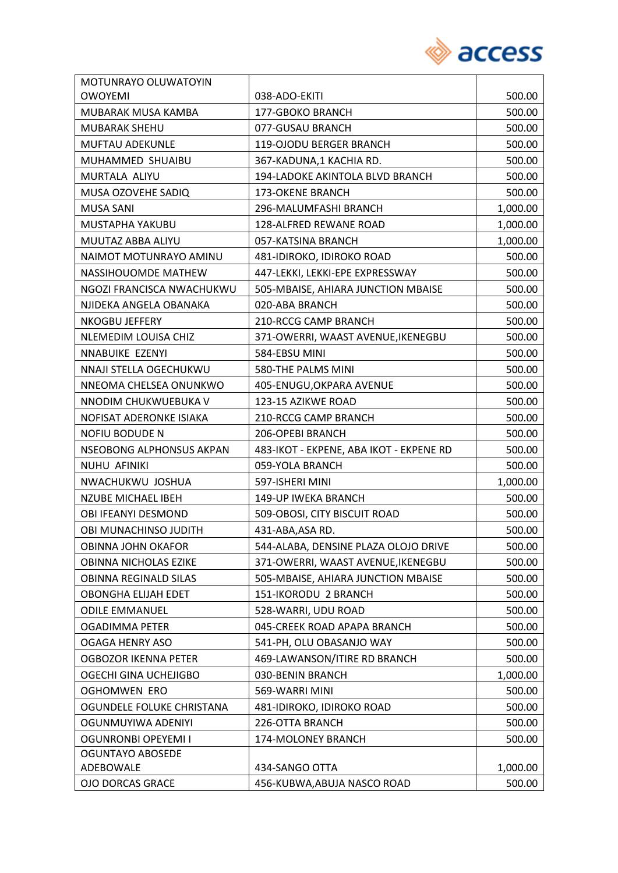

| MOTUNRAYO OLUWATOYIN        |                                         |          |
|-----------------------------|-----------------------------------------|----------|
| <b>OWOYEMI</b>              | 038-ADO-EKITI                           | 500.00   |
| MUBARAK MUSA KAMBA          | 177-GBOKO BRANCH                        | 500.00   |
| MUBARAK SHEHU               | 077-GUSAU BRANCH                        | 500.00   |
| <b>MUFTAU ADEKUNLE</b>      | 119-OJODU BERGER BRANCH                 | 500.00   |
| MUHAMMED SHUAIBU            | 367-KADUNA,1 KACHIA RD.                 | 500.00   |
| MURTALA ALIYU               | 194-LADOKE AKINTOLA BLVD BRANCH         | 500.00   |
| MUSA OZOVEHE SADIQ          | <b>173-OKENE BRANCH</b>                 | 500.00   |
| <b>MUSA SANI</b>            | 296-MALUMFASHI BRANCH                   | 1,000.00 |
| MUSTAPHA YAKUBU             | 128-ALFRED REWANE ROAD                  | 1,000.00 |
| MUUTAZ ABBA ALIYU           | 057-KATSINA BRANCH                      | 1,000.00 |
| NAIMOT MOTUNRAYO AMINU      | 481-IDIROKO, IDIROKO ROAD               | 500.00   |
| NASSIHOUOMDE MATHEW         | 447-LEKKI, LEKKI-EPE EXPRESSWAY         | 500.00   |
| NGOZI FRANCISCA NWACHUKWU   | 505-MBAISE, AHIARA JUNCTION MBAISE      | 500.00   |
| NJIDEKA ANGELA OBANAKA      | 020-ABA BRANCH                          | 500.00   |
| <b>NKOGBU JEFFERY</b>       | 210-RCCG CAMP BRANCH                    | 500.00   |
| NLEMEDIM LOUISA CHIZ        | 371-OWERRI, WAAST AVENUE, IKENEGBU      | 500.00   |
| NNABUIKE EZENYI             | 584-EBSU MINI                           | 500.00   |
| NNAJI STELLA OGECHUKWU      | 580-THE PALMS MINI                      | 500.00   |
| NNEOMA CHELSEA ONUNKWO      | 405-ENUGU, OKPARA AVENUE                | 500.00   |
| NNODIM CHUKWUEBUKA V        | 123-15 AZIKWE ROAD                      | 500.00   |
| NOFISAT ADERONKE ISIAKA     | 210-RCCG CAMP BRANCH                    | 500.00   |
| NOFIU BODUDE N              | 206-OPEBI BRANCH                        | 500.00   |
| NSEOBONG ALPHONSUS AKPAN    | 483-IKOT - EKPENE, ABA IKOT - EKPENE RD | 500.00   |
| NUHU AFINIKI                | 059-YOLA BRANCH                         | 500.00   |
| NWACHUKWU JOSHUA            | 597-ISHERI MINI                         | 1,000.00 |
| <b>NZUBE MICHAEL IBEH</b>   | 149-UP IWEKA BRANCH                     | 500.00   |
| OBI IFEANYI DESMOND         | 509-OBOSI, CITY BISCUIT ROAD            | 500.00   |
| OBI MUNACHINSO JUDITH       | 431-ABA, ASA RD.                        | 500.00   |
| OBINNA JOHN OKAFOR          | 544-ALABA, DENSINE PLAZA OLOJO DRIVE    | 500.00   |
| OBINNA NICHOLAS EZIKE       | 371-OWERRI, WAAST AVENUE, IKENEGBU      | 500.00   |
| OBINNA REGINALD SILAS       | 505-MBAISE, AHIARA JUNCTION MBAISE      | 500.00   |
| OBONGHA ELIJAH EDET         | 151-IKORODU 2 BRANCH                    | 500.00   |
| <b>ODILE EMMANUEL</b>       | 528-WARRI, UDU ROAD                     | 500.00   |
| OGADIMMA PETER              | 045-CREEK ROAD APAPA BRANCH             | 500.00   |
| <b>OGAGA HENRY ASO</b>      | 541-PH, OLU OBASANJO WAY                | 500.00   |
| <b>OGBOZOR IKENNA PETER</b> | 469-LAWANSON/ITIRE RD BRANCH            | 500.00   |
| OGECHI GINA UCHEJIGBO       | 030-BENIN BRANCH                        | 1,000.00 |
| OGHOMWEN ERO                | 569-WARRI MINI                          | 500.00   |
| OGUNDELE FOLUKE CHRISTANA   | 481-IDIROKO, IDIROKO ROAD               | 500.00   |
| OGUNMUYIWA ADENIYI          | 226-OTTA BRANCH                         | 500.00   |
| OGUNRONBI OPEYEMI I         | 174-MOLONEY BRANCH                      | 500.00   |
| <b>OGUNTAYO ABOSEDE</b>     |                                         |          |
| ADEBOWALE                   | 434-SANGO OTTA                          | 1,000.00 |
| <b>OJO DORCAS GRACE</b>     | 456-KUBWA, ABUJA NASCO ROAD             | 500.00   |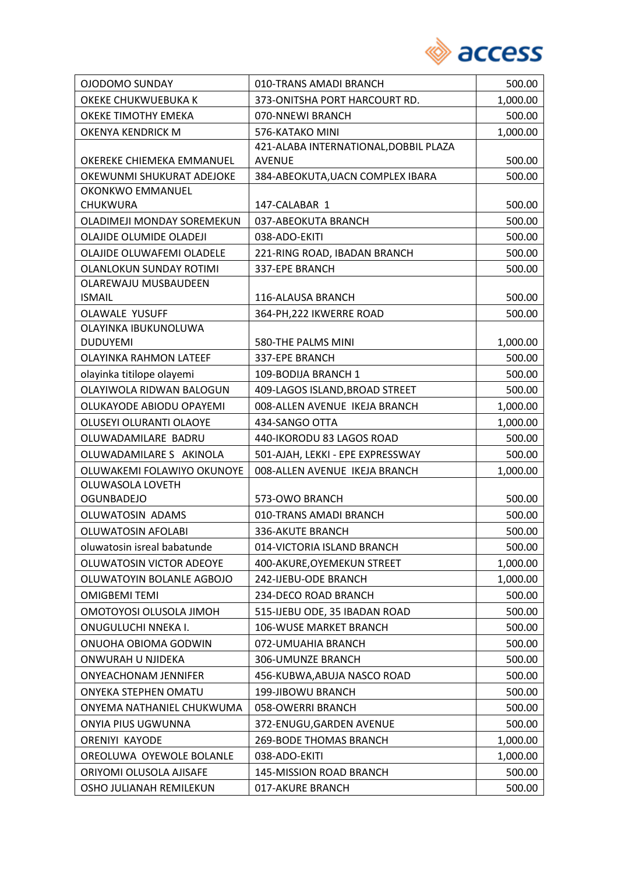

| OJODOMO SUNDAY                        | 010-TRANS AMADI BRANCH                | 500.00   |
|---------------------------------------|---------------------------------------|----------|
| OKEKE CHUKWUEBUKA K                   | 373-ONITSHA PORT HARCOURT RD.         | 1,000.00 |
| OKEKE TIMOTHY EMEKA                   | 070-NNEWI BRANCH                      | 500.00   |
| OKENYA KENDRICK M                     | 576-KATAKO MINI                       | 1,000.00 |
|                                       | 421-ALABA INTERNATIONAL, DOBBIL PLAZA |          |
| OKEREKE CHIEMEKA EMMANUEL             | <b>AVENUE</b>                         | 500.00   |
| OKEWUNMI SHUKURAT ADEJOKE             | 384-ABEOKUTA, UACN COMPLEX IBARA      | 500.00   |
| OKONKWO EMMANUEL                      |                                       |          |
| CHUKWURA                              | 147-CALABAR 1                         | 500.00   |
| OLADIMEJI MONDAY SOREMEKUN            | 037-ABEOKUTA BRANCH                   | 500.00   |
| OLAJIDE OLUMIDE OLADEJI               | 038-ADO-EKITI                         | 500.00   |
| OLAJIDE OLUWAFEMI OLADELE             | 221-RING ROAD, IBADAN BRANCH          | 500.00   |
| OLANLOKUN SUNDAY ROTIMI               | 337-EPE BRANCH                        | 500.00   |
| OLAREWAJU MUSBAUDEEN<br><b>ISMAIL</b> | 116-ALAUSA BRANCH                     | 500.00   |
| <b>OLAWALE YUSUFF</b>                 | 364-PH, 222 IKWERRE ROAD              |          |
| OLAYINKA IBUKUNOLUWA                  |                                       | 500.00   |
| <b>DUDUYEMI</b>                       | 580-THE PALMS MINI                    | 1,000.00 |
| <b>OLAYINKA RAHMON LATEEF</b>         | 337-EPE BRANCH                        | 500.00   |
| olayinka titilope olayemi             | 109-BODIJA BRANCH 1                   | 500.00   |
| OLAYIWOLA RIDWAN BALOGUN              | 409-LAGOS ISLAND, BROAD STREET        | 500.00   |
| OLUKAYODE ABIODU OPAYEMI              | 008-ALLEN AVENUE IKEJA BRANCH         | 1,000.00 |
| OLUSEYI OLURANTI OLAOYE               | 434-SANGO OTTA                        | 1,000.00 |
| OLUWADAMILARE BADRU                   | 440-IKORODU 83 LAGOS ROAD             | 500.00   |
| OLUWADAMILARE S AKINOLA               | 501-AJAH, LEKKI - EPE EXPRESSWAY      | 500.00   |
| OLUWAKEMI FOLAWIYO OKUNOYE            | 008-ALLEN AVENUE IKEJA BRANCH         | 1,000.00 |
| OLUWASOLA LOVETH                      |                                       |          |
| <b>OGUNBADEJO</b>                     | 573-OWO BRANCH                        | 500.00   |
| OLUWATOSIN ADAMS                      | 010-TRANS AMADI BRANCH                | 500.00   |
| <b>OLUWATOSIN AFOLABI</b>             | 336-AKUTE BRANCH                      | 500.00   |
| oluwatosin isreal babatunde           | 014-VICTORIA ISLAND BRANCH            | 500.00   |
| OLUWATOSIN VICTOR ADEOYE              | 400-AKURE, OYEMEKUN STREET            | 1,000.00 |
| OLUWATOYIN BOLANLE AGBOJO             | 242-IJEBU-ODE BRANCH                  | 1,000.00 |
| <b>OMIGBEMI TEMI</b>                  | 234-DECO ROAD BRANCH                  | 500.00   |
| OMOTOYOSI OLUSOLA JIMOH               | 515-IJEBU ODE, 35 IBADAN ROAD         | 500.00   |
| ONUGULUCHI NNEKA I.                   | 106-WUSE MARKET BRANCH                | 500.00   |
| ONUOHA OBIOMA GODWIN                  | 072-UMUAHIA BRANCH                    | 500.00   |
| ONWURAH U NJIDEKA                     | 306-UMUNZE BRANCH                     | 500.00   |
| <b>ONYEACHONAM JENNIFER</b>           | 456-KUBWA, ABUJA NASCO ROAD           | 500.00   |
| ONYEKA STEPHEN OMATU                  | 199-JIBOWU BRANCH                     | 500.00   |
| ONYEMA NATHANIEL CHUKWUMA             | 058-OWERRI BRANCH                     | 500.00   |
| ONYIA PIUS UGWUNNA                    | 372-ENUGU, GARDEN AVENUE              | 500.00   |
| <b>ORENIYI KAYODE</b>                 | 269-BODE THOMAS BRANCH                | 1,000.00 |
| OREOLUWA OYEWOLE BOLANLE              | 038-ADO-EKITI                         | 1,000.00 |
| ORIYOMI OLUSOLA AJISAFE               | 145-MISSION ROAD BRANCH               | 500.00   |
| OSHO JULIANAH REMILEKUN               | 017-AKURE BRANCH                      | 500.00   |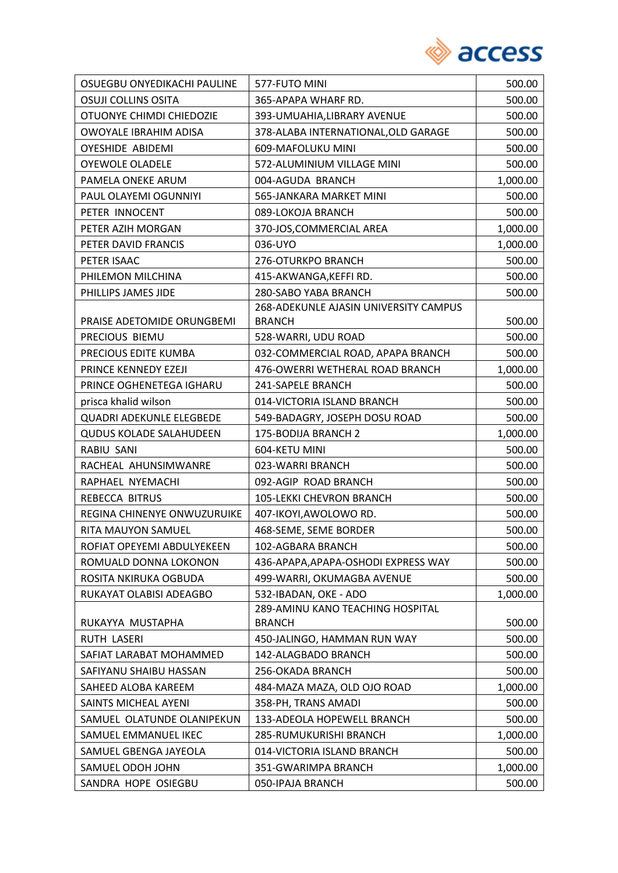

| OSUEGBU ONYEDIKACHI PAULINE     | 577-FUTO MINI                         | 500.00   |
|---------------------------------|---------------------------------------|----------|
| <b>OSUJI COLLINS OSITA</b>      | 365-APAPA WHARF RD.                   | 500.00   |
| OTUONYE CHIMDI CHIEDOZIE        | 393-UMUAHIA, LIBRARY AVENUE           | 500.00   |
| OWOYALE IBRAHIM ADISA           | 378-ALABA INTERNATIONAL, OLD GARAGE   | 500.00   |
| <b>OYESHIDE ABIDEMI</b>         | 609-MAFOLUKU MINI                     | 500.00   |
| <b>OYEWOLE OLADELE</b>          | 572-ALUMINIUM VILLAGE MINI            | 500.00   |
| PAMELA ONEKE ARUM               | 004-AGUDA BRANCH                      | 1,000.00 |
| PAUL OLAYEMI OGUNNIYI           | 565-JANKARA MARKET MINI               | 500.00   |
| PETER INNOCENT                  | 089-LOKOJA BRANCH                     | 500.00   |
| PETER AZIH MORGAN               | 370-JOS, COMMERCIAL AREA              | 1,000.00 |
| PETER DAVID FRANCIS             | 036-UYO                               | 1,000.00 |
| PETER ISAAC                     | 276-OTURKPO BRANCH                    | 500.00   |
| PHILEMON MILCHINA               | 415-AKWANGA, KEFFI RD.                | 500.00   |
| PHILLIPS JAMES JIDE             | 280-SABO YABA BRANCH                  | 500.00   |
|                                 | 268-ADEKUNLE AJASIN UNIVERSITY CAMPUS |          |
| PRAISE ADETOMIDE ORUNGBEMI      | <b>BRANCH</b>                         | 500.00   |
| PRECIOUS BIEMU                  | 528-WARRI, UDU ROAD                   | 500.00   |
| PRECIOUS EDITE KUMBA            | 032-COMMERCIAL ROAD, APAPA BRANCH     | 500.00   |
| PRINCE KENNEDY EZEJI            | 476-OWERRI WETHERAL ROAD BRANCH       | 1,000.00 |
| PRINCE OGHENETEGA IGHARU        | 241-SAPELE BRANCH                     | 500.00   |
| prisca khalid wilson            | 014-VICTORIA ISLAND BRANCH            | 500.00   |
| <b>QUADRI ADEKUNLE ELEGBEDE</b> | 549-BADAGRY, JOSEPH DOSU ROAD         | 500.00   |
| <b>QUDUS KOLADE SALAHUDEEN</b>  | 175-BODIJA BRANCH 2                   | 1,000.00 |
| RABIU SANI                      | 604-KETU MINI                         | 500.00   |
| RACHEAL AHUNSIMWANRE            | 023-WARRI BRANCH                      | 500.00   |
| RAPHAEL NYEMACHI                | 092-AGIP ROAD BRANCH                  | 500.00   |
| REBECCA BITRUS                  | <b>105-LEKKI CHEVRON BRANCH</b>       | 500.00   |
| REGINA CHINENYE ONWUZURUIKE     | 407-IKOYI, AWOLOWO RD.                | 500.00   |
| RITA MAUYON SAMUEL              | 468-SEME, SEME BORDER                 | 500.00   |
| ROFIAT OPEYEMI ABDULYEKEEN      | 102-AGBARA BRANCH                     | 500.00   |
| ROMUALD DONNA LOKONON           | 436-APAPA, APAPA-OSHODI EXPRESS WAY   | 500.00   |
| ROSITA NKIRUKA OGBUDA           | 499-WARRI, OKUMAGBA AVENUE            | 500.00   |
| RUKAYAT OLABISI ADEAGBO         | 532-IBADAN, OKE - ADO                 | 1,000.00 |
|                                 | 289-AMINU KANO TEACHING HOSPITAL      |          |
| RUKAYYA MUSTAPHA                | <b>BRANCH</b>                         | 500.00   |
| RUTH LASERI                     | 450-JALINGO, HAMMAN RUN WAY           | 500.00   |
| SAFIAT LARABAT MOHAMMED         | 142-ALAGBADO BRANCH                   | 500.00   |
| SAFIYANU SHAIBU HASSAN          | 256-OKADA BRANCH                      | 500.00   |
| SAHEED ALOBA KAREEM             | 484-MAZA MAZA, OLD OJO ROAD           | 1,000.00 |
| SAINTS MICHEAL AYENI            | 358-PH, TRANS AMADI                   | 500.00   |
| SAMUEL OLATUNDE OLANIPEKUN      | 133-ADEOLA HOPEWELL BRANCH            | 500.00   |
| SAMUEL EMMANUEL IKEC            | 285-RUMUKURISHI BRANCH                | 1,000.00 |
| SAMUEL GBENGA JAYEOLA           | 014-VICTORIA ISLAND BRANCH            | 500.00   |
| SAMUEL ODOH JOHN                | 351-GWARIMPA BRANCH                   | 1,000.00 |
| SANDRA HOPE OSIEGBU             | 050-IPAJA BRANCH                      | 500.00   |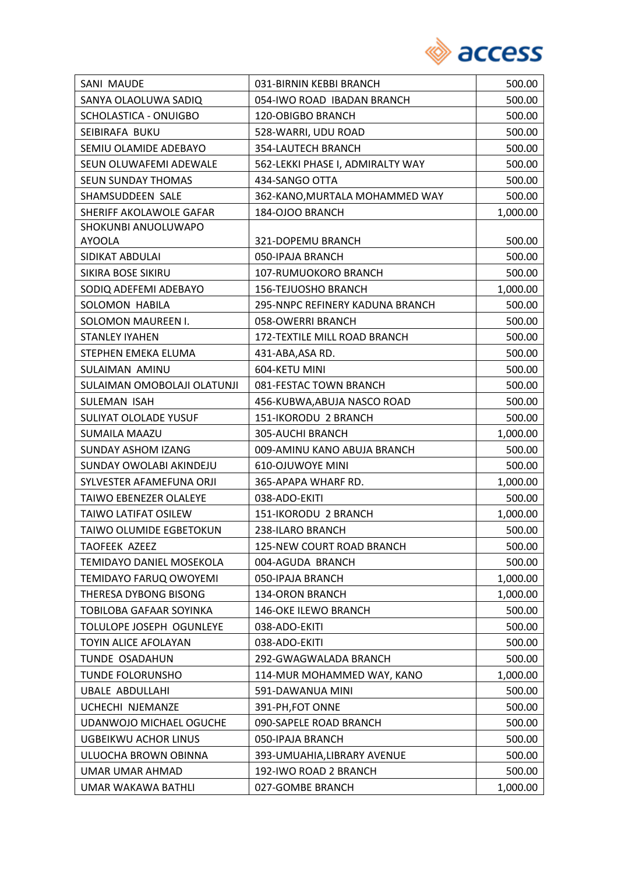

| SANI MAUDE                     | 031-BIRNIN KEBBI BRANCH          | 500.00   |
|--------------------------------|----------------------------------|----------|
| SANYA OLAOLUWA SADIQ           | 054-IWO ROAD IBADAN BRANCH       | 500.00   |
| SCHOLASTICA - ONUIGBO          | 120-OBIGBO BRANCH                | 500.00   |
| SEIBIRAFA BUKU                 | 528-WARRI, UDU ROAD              | 500.00   |
| SEMIU OLAMIDE ADEBAYO          | 354-LAUTECH BRANCH               | 500.00   |
| SEUN OLUWAFEMI ADEWALE         | 562-LEKKI PHASE I, ADMIRALTY WAY | 500.00   |
| SEUN SUNDAY THOMAS             | 434-SANGO OTTA                   | 500.00   |
| SHAMSUDDEEN SALE               | 362-KANO, MURTALA MOHAMMED WAY   | 500.00   |
| SHERIFF AKOLAWOLE GAFAR        | 184-OJOO BRANCH                  | 1,000.00 |
| SHOKUNBI ANUOLUWAPO            |                                  |          |
| <b>AYOOLA</b>                  | 321-DOPEMU BRANCH                | 500.00   |
| SIDIKAT ABDULAI                | 050-IPAJA BRANCH                 | 500.00   |
| SIKIRA BOSE SIKIRU             | 107-RUMUOKORO BRANCH             | 500.00   |
| SODIQ ADEFEMI ADEBAYO          | <b>156-TEJUOSHO BRANCH</b>       | 1,000.00 |
| SOLOMON HABILA                 | 295-NNPC REFINERY KADUNA BRANCH  | 500.00   |
| SOLOMON MAUREEN I.             | 058-OWERRI BRANCH                | 500.00   |
| <b>STANLEY IYAHEN</b>          | 172-TEXTILE MILL ROAD BRANCH     | 500.00   |
| STEPHEN EMEKA ELUMA            | 431-ABA, ASA RD.                 | 500.00   |
| SULAIMAN AMINU                 | 604-KETU MINI                    | 500.00   |
| SULAIMAN OMOBOLAJI OLATUNJI    | 081-FESTAC TOWN BRANCH           | 500.00   |
| SULEMAN ISAH                   | 456-KUBWA, ABUJA NASCO ROAD      | 500.00   |
| SULIYAT OLOLADE YUSUF          | 151-IKORODU 2 BRANCH             | 500.00   |
| <b>SUMAILA MAAZU</b>           | 305-AUCHI BRANCH                 | 1,000.00 |
| SUNDAY ASHOM IZANG             | 009-AMINU KANO ABUJA BRANCH      | 500.00   |
| SUNDAY OWOLABI AKINDEJU        | 610-OJUWOYE MINI                 | 500.00   |
| SYLVESTER AFAMEFUNA ORJI       | 365-APAPA WHARF RD.              | 1,000.00 |
| TAIWO EBENEZER OLALEYE         | 038-ADO-EKITI                    | 500.00   |
| TAIWO LATIFAT OSILEW           | 151-IKORODU 2 BRANCH             | 1,000.00 |
| TAIWO OLUMIDE EGBETOKUN        | 238-ILARO BRANCH                 | 500.00   |
| <b>TAOFEEK AZEEZ</b>           | 125-NEW COURT ROAD BRANCH        | 500.00   |
| TEMIDAYO DANIEL MOSEKOLA       | 004-AGUDA BRANCH                 | 500.00   |
| TEMIDAYO FARUQ OWOYEMI         | 050-IPAJA BRANCH                 | 1,000.00 |
| THERESA DYBONG BISONG          | <b>134-ORON BRANCH</b>           | 1,000.00 |
| TOBILOBA GAFAAR SOYINKA        | <b>146-OKE ILEWO BRANCH</b>      | 500.00   |
| TOLULOPE JOSEPH OGUNLEYE       | 038-ADO-EKITI                    | 500.00   |
| TOYIN ALICE AFOLAYAN           | 038-ADO-EKITI                    | 500.00   |
| TUNDE OSADAHUN                 | 292-GWAGWALADA BRANCH            | 500.00   |
| TUNDE FOLORUNSHO               | 114-MUR MOHAMMED WAY, KANO       | 1,000.00 |
| <b>UBALE ABDULLAHI</b>         | 591-DAWANUA MINI                 | 500.00   |
| UCHECHI NJEMANZE               | 391-PH, FOT ONNE                 | 500.00   |
| <b>UDANWOJO MICHAEL OGUCHE</b> | 090-SAPELE ROAD BRANCH           | 500.00   |
| <b>UGBEIKWU ACHOR LINUS</b>    | 050-IPAJA BRANCH                 | 500.00   |
| ULUOCHA BROWN OBINNA           | 393-UMUAHIA, LIBRARY AVENUE      | 500.00   |
| UMAR UMAR AHMAD                | 192-IWO ROAD 2 BRANCH            | 500.00   |
| UMAR WAKAWA BATHLI             | 027-GOMBE BRANCH                 | 1,000.00 |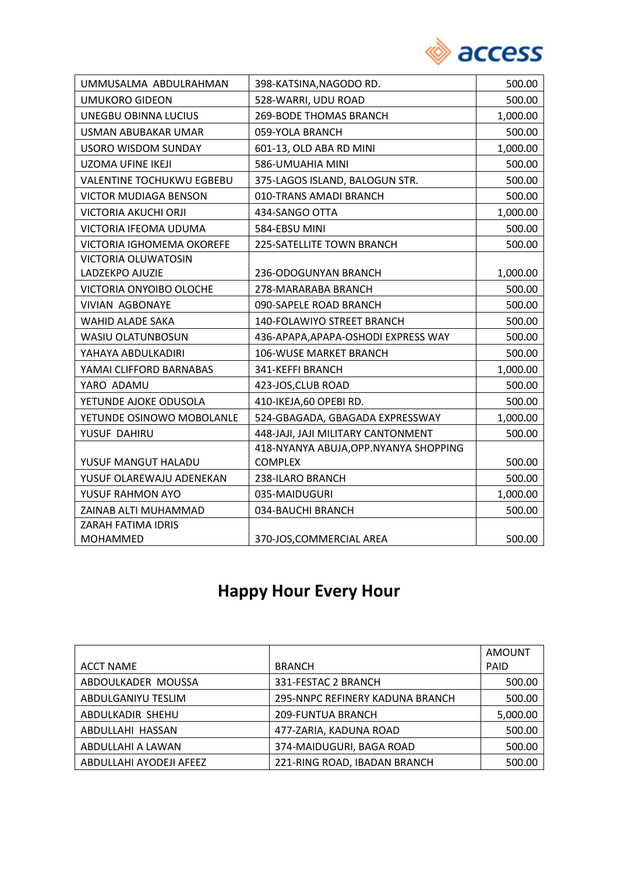

| UMMUSALMA ABDULRAHMAN            | 398-KATSINA, NAGODO RD.                | 500.00   |
|----------------------------------|----------------------------------------|----------|
| <b>UMUKORO GIDEON</b>            | 528-WARRI, UDU ROAD                    | 500.00   |
| <b>UNEGBU OBINNA LUCIUS</b>      | <b>269-BODE THOMAS BRANCH</b>          | 1,000.00 |
| USMAN ABUBAKAR UMAR              | 059-YOLA BRANCH                        | 500.00   |
| <b>USORO WISDOM SUNDAY</b>       | 601-13, OLD ABA RD MINI                | 1,000.00 |
| <b>UZOMA UFINE IKEJI</b>         | 586-UMUAHIA MINI                       | 500.00   |
| <b>VALENTINE TOCHUKWU EGBEBU</b> | 375-LAGOS ISLAND, BALOGUN STR.         | 500.00   |
| <b>VICTOR MUDIAGA BENSON</b>     | 010-TRANS AMADI BRANCH                 | 500.00   |
| VICTORIA AKUCHI ORJI             | 434-SANGO OTTA                         | 1,000.00 |
| VICTORIA IFEOMA UDUMA            | 584-EBSU MINI                          | 500.00   |
| VICTORIA IGHOMEMA OKOREFE        | 225-SATELLITE TOWN BRANCH              | 500.00   |
| <b>VICTORIA OLUWATOSIN</b>       |                                        |          |
| LADZEKPO AJUZIE                  | 236-ODOGUNYAN BRANCH                   | 1,000.00 |
| VICTORIA ONYOIBO OLOCHE          | 278-MARARABA BRANCH                    | 500.00   |
| <b>VIVIAN AGBONAYE</b>           | 090-SAPELE ROAD BRANCH                 | 500.00   |
| <b>WAHID ALADE SAKA</b>          | <b>140-FOLAWIYO STREET BRANCH</b>      | 500.00   |
| WASIU OLATUNBOSUN                | 436-APAPA, APAPA-OSHODI EXPRESS WAY    | 500.00   |
| YAHAYA ABDULKADIRI               | <b>106-WUSE MARKET BRANCH</b>          | 500.00   |
| YAMAI CLIFFORD BARNABAS          | 341-KEFFI BRANCH                       | 1,000.00 |
| YARO ADAMU                       | 423-JOS, CLUB ROAD                     | 500.00   |
| YETUNDE AJOKE ODUSOLA            | 410-IKEJA,60 OPEBI RD.                 | 500.00   |
| YETUNDE OSINOWO MOBOLANLE        | 524-GBAGADA, GBAGADA EXPRESSWAY        | 1,000.00 |
| YUSUF DAHIRU                     | 448-JAJI, JAJI MILITARY CANTONMENT     | 500.00   |
|                                  | 418-NYANYA ABUJA, OPP. NYANYA SHOPPING |          |
| YUSUF MANGUT HALADU              | <b>COMPLEX</b>                         | 500.00   |
| YUSUF OLAREWAJU ADENEKAN         | 238-ILARO BRANCH                       | 500.00   |
| YUSUF RAHMON AYO                 | 035-MAIDUGURI                          | 1,000.00 |
| ZAINAB ALTI MUHAMMAD             | 034-BAUCHI BRANCH                      | 500.00   |
| ZARAH FATIMA IDRIS               |                                        |          |
| <b>MOHAMMED</b>                  | 370-JOS, COMMERCIAL AREA               | 500.00   |

# **Happy Hour Every Hour**

|                         |                                 | AMOUNT      |
|-------------------------|---------------------------------|-------------|
| <b>ACCT NAME</b>        | <b>BRANCH</b>                   | <b>PAID</b> |
| ABDOULKADER MOUSSA      | 331-FESTAC 2 BRANCH             | 500.00      |
| ABDULGANIYU TESLIM      | 295-NNPC REFINERY KADUNA BRANCH | 500.00      |
| ABDULKADIR SHEHU        | <b>209-FUNTUA BRANCH</b>        | 5,000.00    |
| ABDULLAHI HASSAN        | 477-ZARIA, KADUNA ROAD          | 500.00      |
| ABDULLAHI A LAWAN       | 374-MAIDUGURI, BAGA ROAD        | 500.00      |
| ABDULLAHI AYODEJI AFEEZ | 221-RING ROAD, IBADAN BRANCH    | 500.00      |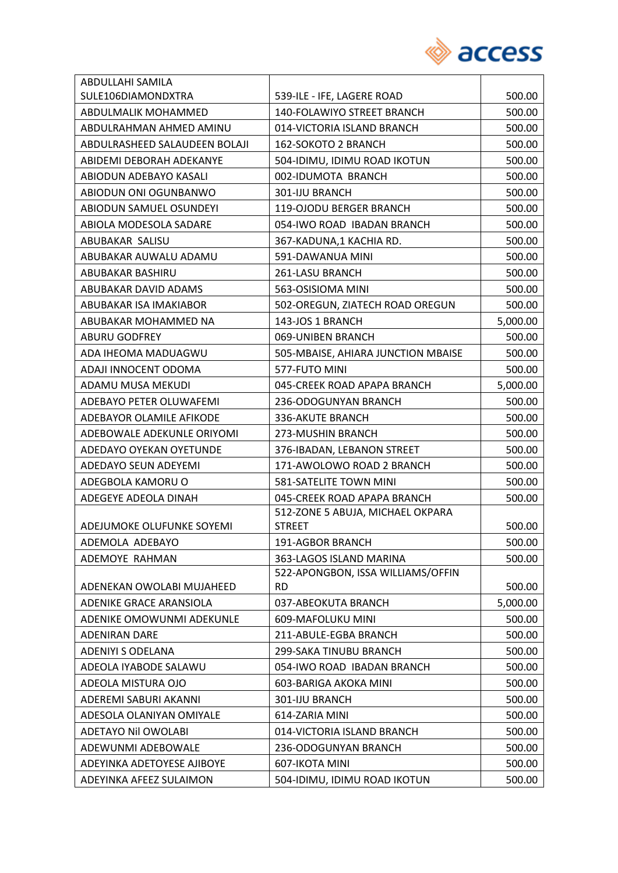

| ABDULLAHI SAMILA              |                                    |          |
|-------------------------------|------------------------------------|----------|
| SULE106DIAMONDXTRA            | 539-ILE - IFE, LAGERE ROAD         | 500.00   |
| ABDULMALIK MOHAMMED           | 140-FOLAWIYO STREET BRANCH         | 500.00   |
| ABDULRAHMAN AHMED AMINU       | 014-VICTORIA ISLAND BRANCH         | 500.00   |
| ABDULRASHEED SALAUDEEN BOLAJI | 162-SOKOTO 2 BRANCH                | 500.00   |
| ABIDEMI DEBORAH ADEKANYE      | 504-IDIMU, IDIMU ROAD IKOTUN       | 500.00   |
| ABIODUN ADEBAYO KASALI        | 002-IDUMOTA BRANCH                 | 500.00   |
| ABIODUN ONI OGUNBANWO         | 301-IJU BRANCH                     | 500.00   |
| ABIODUN SAMUEL OSUNDEYI       | 119-OJODU BERGER BRANCH            | 500.00   |
| ABIOLA MODESOLA SADARE        | 054-IWO ROAD IBADAN BRANCH         | 500.00   |
| ABUBAKAR SALISU               | 367-KADUNA,1 KACHIA RD.            | 500.00   |
| ABUBAKAR AUWALU ADAMU         | 591-DAWANUA MINI                   | 500.00   |
| ABUBAKAR BASHIRU              | 261-LASU BRANCH                    | 500.00   |
| ABUBAKAR DAVID ADAMS          | 563-OSISIOMA MINI                  | 500.00   |
| ABUBAKAR ISA IMAKIABOR        | 502-OREGUN, ZIATECH ROAD OREGUN    | 500.00   |
| ABUBAKAR MOHAMMED NA          | 143-JOS 1 BRANCH                   | 5,000.00 |
| <b>ABURU GODFREY</b>          | 069-UNIBEN BRANCH                  | 500.00   |
| ADA IHEOMA MADUAGWU           | 505-MBAISE, AHIARA JUNCTION MBAISE | 500.00   |
| ADAJI INNOCENT ODOMA          | 577-FUTO MINI                      | 500.00   |
| ADAMU MUSA MEKUDI             | 045-CREEK ROAD APAPA BRANCH        | 5,000.00 |
| ADEBAYO PETER OLUWAFEMI       | 236-ODOGUNYAN BRANCH               | 500.00   |
| ADEBAYOR OLAMILE AFIKODE      | 336-AKUTE BRANCH                   | 500.00   |
| ADEBOWALE ADEKUNLE ORIYOMI    | 273-MUSHIN BRANCH                  | 500.00   |
| ADEDAYO OYEKAN OYETUNDE       | 376-IBADAN, LEBANON STREET         | 500.00   |
| ADEDAYO SEUN ADEYEMI          | 171-AWOLOWO ROAD 2 BRANCH          | 500.00   |
| ADEGBOLA KAMORU O             | 581-SATELITE TOWN MINI             | 500.00   |
| ADEGEYE ADEOLA DINAH          | 045-CREEK ROAD APAPA BRANCH        | 500.00   |
|                               | 512-ZONE 5 ABUJA, MICHAEL OKPARA   |          |
| ADEJUMOKE OLUFUNKE SOYEMI     | <b>STREET</b>                      | 500.00   |
| ADEMOLA ADEBAYO               | 191-AGBOR BRANCH                   | 500.00   |
| ADEMOYE RAHMAN                | 363-LAGOS ISLAND MARINA            | 500.00   |
|                               | 522-APONGBON, ISSA WILLIAMS/OFFIN  |          |
| ADENEKAN OWOLABI MUJAHEED     | <b>RD</b>                          | 500.00   |
| ADENIKE GRACE ARANSIOLA       | 037-ABEOKUTA BRANCH                | 5,000.00 |
| ADENIKE OMOWUNMI ADEKUNLE     | 609-MAFOLUKU MINI                  | 500.00   |
| <b>ADENIRAN DARE</b>          | 211-ABULE-EGBA BRANCH              | 500.00   |
| <b>ADENIYI S ODELANA</b>      | 299-SAKA TINUBU BRANCH             | 500.00   |
| ADEOLA IYABODE SALAWU         | 054-IWO ROAD IBADAN BRANCH         | 500.00   |
| ADEOLA MISTURA OJO            | 603-BARIGA AKOKA MINI              | 500.00   |
| ADEREMI SABURI AKANNI         | 301-IJU BRANCH                     | 500.00   |
| ADESOLA OLANIYAN OMIYALE      | 614-ZARIA MINI                     | 500.00   |
| <b>ADETAYO Nil OWOLABI</b>    | 014-VICTORIA ISLAND BRANCH         | 500.00   |
| ADEWUNMI ADEBOWALE            | 236-ODOGUNYAN BRANCH               | 500.00   |
| ADEYINKA ADETOYESE AJIBOYE    | 607-IKOTA MINI                     | 500.00   |
| ADEYINKA AFEEZ SULAIMON       | 504-IDIMU, IDIMU ROAD IKOTUN       | 500.00   |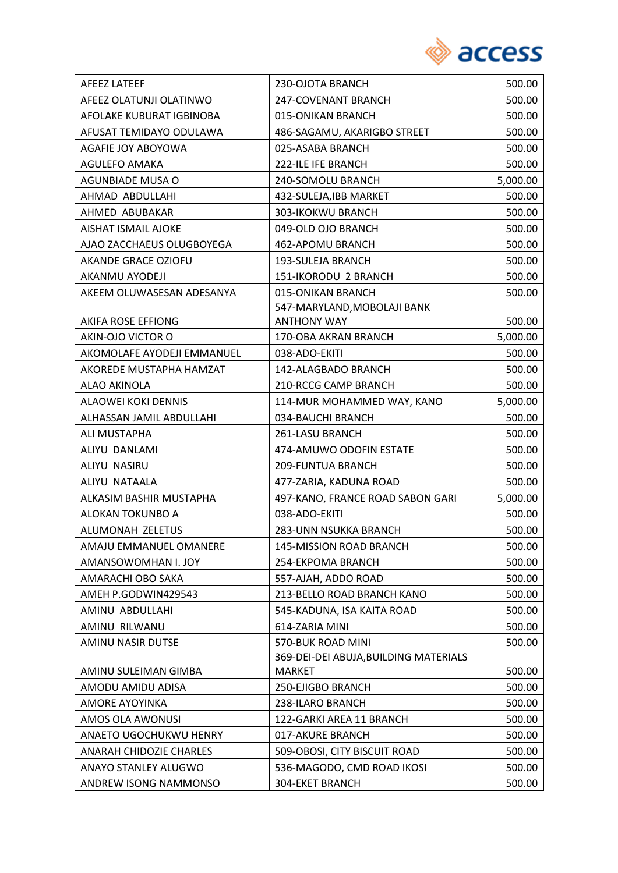

| <b>AFEEZ LATEEF</b>        | 230-OJOTA BRANCH                                       | 500.00   |
|----------------------------|--------------------------------------------------------|----------|
| AFEEZ OLATUNJI OLATINWO    | 247-COVENANT BRANCH                                    | 500.00   |
| AFOLAKE KUBURAT IGBINOBA   | 015-ONIKAN BRANCH                                      | 500.00   |
| AFUSAT TEMIDAYO ODULAWA    | 486-SAGAMU, AKARIGBO STREET                            | 500.00   |
| AGAFIE JOY ABOYOWA         | 025-ASABA BRANCH                                       | 500.00   |
| AGULEFO AMAKA              | 222-ILE IFE BRANCH                                     | 500.00   |
| AGUNBIADE MUSA O           | 240-SOMOLU BRANCH                                      | 5,000.00 |
| AHMAD ABDULLAHI            | 432-SULEJA, IBB MARKET                                 | 500.00   |
| AHMED ABUBAKAR             | 303-IKOKWU BRANCH                                      | 500.00   |
| <b>AISHAT ISMAIL AJOKE</b> | 049-OLD OJO BRANCH                                     | 500.00   |
| AJAO ZACCHAEUS OLUGBOYEGA  | 462-APOMU BRANCH                                       | 500.00   |
| AKANDE GRACE OZIOFU        | 193-SULEJA BRANCH                                      | 500.00   |
| AKANMU AYODEJI             | 151-IKORODU 2 BRANCH                                   | 500.00   |
| AKEEM OLUWASESAN ADESANYA  | 015-ONIKAN BRANCH                                      | 500.00   |
|                            | 547-MARYLAND, MOBOLAJI BANK                            |          |
| <b>AKIFA ROSE EFFIONG</b>  | <b>ANTHONY WAY</b>                                     | 500.00   |
| AKIN-OJO VICTOR O          | 170-OBA AKRAN BRANCH                                   | 5,000.00 |
| AKOMOLAFE AYODEJI EMMANUEL | 038-ADO-EKITI                                          | 500.00   |
| AKOREDE MUSTAPHA HAMZAT    | 142-ALAGBADO BRANCH                                    | 500.00   |
| ALAO AKINOLA               | 210-RCCG CAMP BRANCH                                   | 500.00   |
| <b>ALAOWEI KOKI DENNIS</b> | 114-MUR MOHAMMED WAY, KANO                             | 5,000.00 |
| ALHASSAN JAMIL ABDULLAHI   | 034-BAUCHI BRANCH                                      | 500.00   |
| ALI MUSTAPHA               | 261-LASU BRANCH                                        | 500.00   |
| ALIYU DANLAMI              | 474-AMUWO ODOFIN ESTATE                                | 500.00   |
| ALIYU NASIRU               | 209-FUNTUA BRANCH                                      | 500.00   |
| ALIYU NATAALA              | 477-ZARIA, KADUNA ROAD                                 | 500.00   |
| ALKASIM BASHIR MUSTAPHA    | 497-KANO, FRANCE ROAD SABON GARI                       | 5,000.00 |
| ALOKAN TOKUNBO A           | 038-ADO-EKITI                                          | 500.00   |
| ALUMONAH ZELETUS           | 283-UNN NSUKKA BRANCH                                  | 500.00   |
| AMAJU EMMANUEL OMANERE     | <b>145-MISSION ROAD BRANCH</b>                         | 500.00   |
| AMANSOWOMHAN I. JOY        | 254-EKPOMA BRANCH                                      | 500.00   |
| AMARACHI OBO SAKA          | 557-AJAH, ADDO ROAD                                    | 500.00   |
| AMEH P.GODWIN429543        | 213-BELLO ROAD BRANCH KANO                             | 500.00   |
| AMINU ABDULLAHI            | 545-KADUNA, ISA KAITA ROAD                             | 500.00   |
| AMINU RILWANU              | 614-ZARIA MINI                                         | 500.00   |
| AMINU NASIR DUTSE          | 570-BUK ROAD MINI                                      | 500.00   |
| AMINU SULEIMAN GIMBA       | 369-DEI-DEI ABUJA, BUILDING MATERIALS<br><b>MARKET</b> | 500.00   |
| AMODU AMIDU ADISA          | 250-EJIGBO BRANCH                                      | 500.00   |
| AMORE AYOYINKA             | 238-ILARO BRANCH                                       | 500.00   |
| AMOS OLA AWONUSI           | 122-GARKI AREA 11 BRANCH                               | 500.00   |
| ANAETO UGOCHUKWU HENRY     | 017-AKURE BRANCH                                       | 500.00   |
| ANARAH CHIDOZIE CHARLES    | 509-OBOSI, CITY BISCUIT ROAD                           | 500.00   |
| ANAYO STANLEY ALUGWO       | 536-MAGODO, CMD ROAD IKOSI                             | 500.00   |
| ANDREW ISONG NAMMONSO      | <b>304-EKET BRANCH</b>                                 | 500.00   |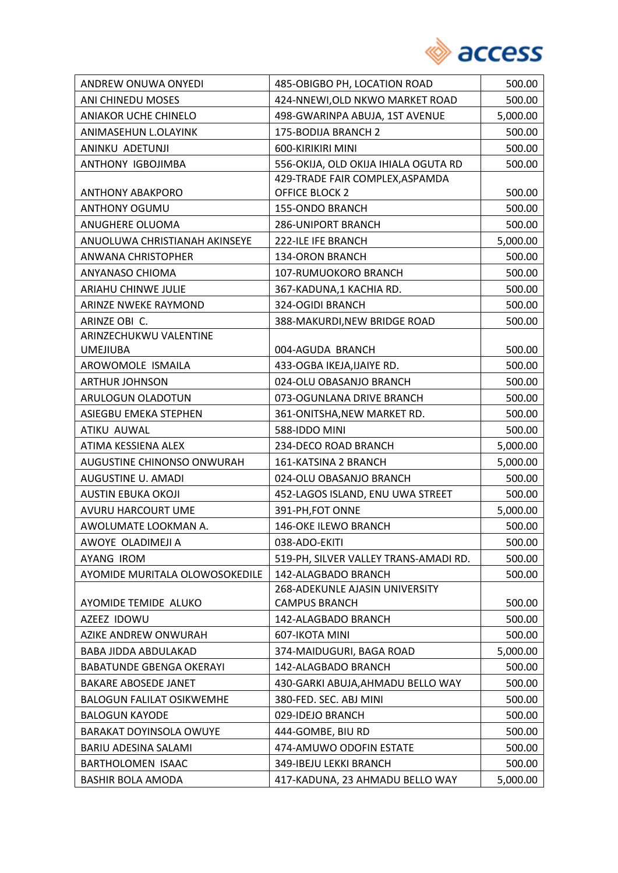

| ANDREW ONUWA ONYEDI               | 485-OBIGBO PH, LOCATION ROAD          | 500.00   |
|-----------------------------------|---------------------------------------|----------|
| ANI CHINEDU MOSES                 | 424-NNEWI, OLD NKWO MARKET ROAD       | 500.00   |
| <b>ANIAKOR UCHE CHINELO</b>       | 498-GWARINPA ABUJA, 1ST AVENUE        | 5,000.00 |
| ANIMASEHUN L.OLAYINK              | 175-BODIJA BRANCH 2                   | 500.00   |
| ANINKU ADETUNJI                   | 600-KIRIKIRI MINI                     | 500.00   |
| ANTHONY IGBOJIMBA                 | 556-OKIJA, OLD OKIJA IHIALA OGUTA RD  | 500.00   |
|                                   | 429-TRADE FAIR COMPLEX, ASPAMDA       |          |
| <b>ANTHONY ABAKPORO</b>           | <b>OFFICE BLOCK 2</b>                 | 500.00   |
| ANTHONY OGUMU                     | 155-ONDO BRANCH                       | 500.00   |
| ANUGHERE OLUOMA                   | <b>286-UNIPORT BRANCH</b>             | 500.00   |
| ANUOLUWA CHRISTIANAH AKINSEYE     | 222-ILE IFE BRANCH                    | 5,000.00 |
| ANWANA CHRISTOPHER                | <b>134-ORON BRANCH</b>                | 500.00   |
| ANYANASO CHIOMA                   | 107-RUMUOKORO BRANCH                  | 500.00   |
| ARIAHU CHINWE JULIE               | 367-KADUNA,1 KACHIA RD.               | 500.00   |
| ARINZE NWEKE RAYMOND              | 324-OGIDI BRANCH                      | 500.00   |
| ARINZE OBI C.                     | 388-MAKURDI, NEW BRIDGE ROAD          | 500.00   |
| ARINZECHUKWU VALENTINE            |                                       |          |
| <b>UMEJIUBA</b>                   | 004-AGUDA BRANCH                      | 500.00   |
| AROWOMOLE ISMAILA                 | 433-OGBA IKEJA, IJAIYE RD.            | 500.00   |
| <b>ARTHUR JOHNSON</b>             | 024-OLU OBASANJO BRANCH               | 500.00   |
| ARULOGUN OLADOTUN                 | 073-OGUNLANA DRIVE BRANCH             | 500.00   |
| ASIEGBU EMEKA STEPHEN             | 361-ONITSHA, NEW MARKET RD.           | 500.00   |
| ATIKU AUWAL                       | 588-IDDO MINI                         | 500.00   |
| ATIMA KESSIENA ALEX               | 234-DECO ROAD BRANCH                  | 5,000.00 |
| <b>AUGUSTINE CHINONSO ONWURAH</b> | 161-KATSINA 2 BRANCH                  | 5,000.00 |
| AUGUSTINE U. AMADI                | 024-OLU OBASANJO BRANCH               | 500.00   |
| <b>AUSTIN EBUKA OKOJI</b>         | 452-LAGOS ISLAND, ENU UWA STREET      | 500.00   |
| AVURU HARCOURT UME                | 391-PH, FOT ONNE                      | 5,000.00 |
| AWOLUMATE LOOKMAN A.              | 146-OKE ILEWO BRANCH                  | 500.00   |
| AWOYE OLADIMEJI A                 | 038-ADO-EKITI                         | 500.00   |
| <b>AYANG IROM</b>                 | 519-PH, SILVER VALLEY TRANS-AMADI RD. | 500.00   |
| AYOMIDE MURITALA OLOWOSOKEDILE    | 142-ALAGBADO BRANCH                   | 500.00   |
|                                   | 268-ADEKUNLE AJASIN UNIVERSITY        |          |
| AYOMIDE TEMIDE ALUKO              | <b>CAMPUS BRANCH</b>                  | 500.00   |
| AZEEZ IDOWU                       | 142-ALAGBADO BRANCH                   | 500.00   |
| AZIKE ANDREW ONWURAH              | 607-IKOTA MINI                        | 500.00   |
| BABA JIDDA ABDULAKAD              | 374-MAIDUGURI, BAGA ROAD              | 5,000.00 |
| <b>BABATUNDE GBENGA OKERAYI</b>   | 142-ALAGBADO BRANCH                   | 500.00   |
| <b>BAKARE ABOSEDE JANET</b>       | 430-GARKI ABUJA, AHMADU BELLO WAY     | 500.00   |
| <b>BALOGUN FALILAT OSIKWEMHE</b>  | 380-FED. SEC. ABJ MINI                | 500.00   |
| <b>BALOGUN KAYODE</b>             | 029-IDEJO BRANCH                      | 500.00   |
| <b>BARAKAT DOYINSOLA OWUYE</b>    | 444-GOMBE, BIU RD                     | 500.00   |
| BARIU ADESINA SALAMI              | 474-AMUWO ODOFIN ESTATE               | 500.00   |
| BARTHOLOMEN ISAAC                 | 349-IBEJU LEKKI BRANCH                | 500.00   |
| <b>BASHIR BOLA AMODA</b>          | 417-KADUNA, 23 AHMADU BELLO WAY       | 5,000.00 |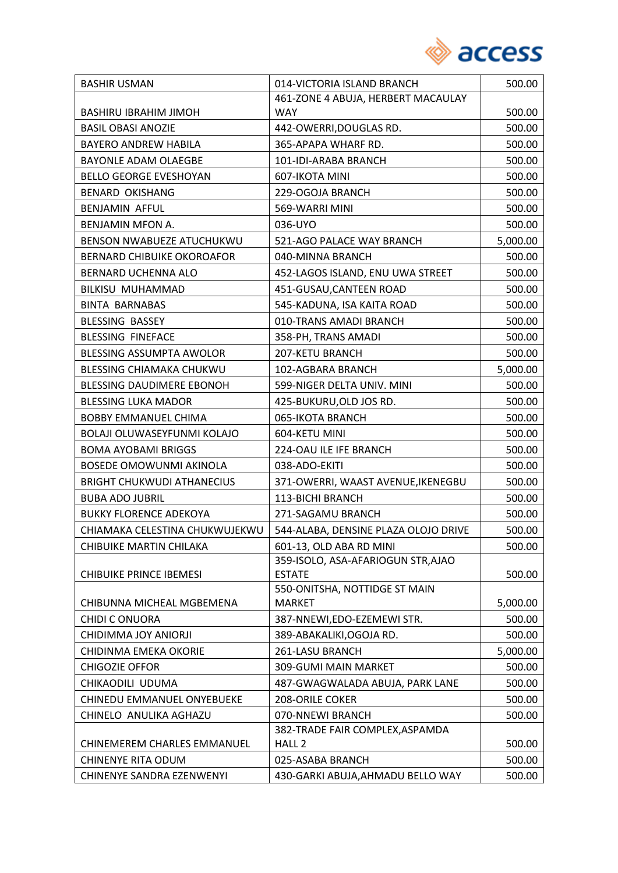

| <b>BASHIR USMAN</b>               | 014-VICTORIA ISLAND BRANCH           | 500.00   |
|-----------------------------------|--------------------------------------|----------|
|                                   | 461-ZONE 4 ABUJA, HERBERT MACAULAY   |          |
| <b>BASHIRU IBRAHIM JIMOH</b>      | <b>WAY</b>                           | 500.00   |
| <b>BASIL OBASI ANOZIE</b>         | 442-OWERRI, DOUGLAS RD.              | 500.00   |
| <b>BAYERO ANDREW HABILA</b>       | 365-APAPA WHARF RD.                  | 500.00   |
| BAYONLE ADAM OLAEGBE              | 101-IDI-ARABA BRANCH                 | 500.00   |
| <b>BELLO GEORGE EVESHOYAN</b>     | 607-IKOTA MINI                       | 500.00   |
| <b>BENARD OKISHANG</b>            | 229-OGOJA BRANCH                     | 500.00   |
| BENJAMIN AFFUL                    | 569-WARRI MINI                       | 500.00   |
| BENJAMIN MFON A.                  | 036-UYO                              | 500.00   |
| BENSON NWABUEZE ATUCHUKWU         | 521-AGO PALACE WAY BRANCH            | 5,000.00 |
| <b>BERNARD CHIBUIKE OKOROAFOR</b> | 040-MINNA BRANCH                     | 500.00   |
| BERNARD UCHENNA ALO               | 452-LAGOS ISLAND, ENU UWA STREET     | 500.00   |
| BILKISU MUHAMMAD                  | 451-GUSAU, CANTEEN ROAD              | 500.00   |
| <b>BINTA BARNABAS</b>             | 545-KADUNA, ISA KAITA ROAD           | 500.00   |
| <b>BLESSING BASSEY</b>            | 010-TRANS AMADI BRANCH               | 500.00   |
| <b>BLESSING FINEFACE</b>          | 358-PH, TRANS AMADI                  | 500.00   |
| BLESSING ASSUMPTA AWOLOR          | 207-KETU BRANCH                      | 500.00   |
| BLESSING CHIAMAKA CHUKWU          | 102-AGBARA BRANCH                    | 5,000.00 |
| <b>BLESSING DAUDIMERE EBONOH</b>  | 599-NIGER DELTA UNIV. MINI           | 500.00   |
| <b>BLESSING LUKA MADOR</b>        | 425-BUKURU, OLD JOS RD.              | 500.00   |
| <b>BOBBY EMMANUEL CHIMA</b>       | 065-IKOTA BRANCH                     | 500.00   |
| BOLAJI OLUWASEYFUNMI KOLAJO       | 604-KETU MINI                        | 500.00   |
| <b>BOMA AYOBAMI BRIGGS</b>        | 224-OAU ILE IFE BRANCH               | 500.00   |
| BOSEDE OMOWUNMI AKINOLA           | 038-ADO-EKITI                        | 500.00   |
| <b>BRIGHT CHUKWUDI ATHANECIUS</b> | 371-OWERRI, WAAST AVENUE, IKENEGBU   | 500.00   |
| <b>BUBA ADO JUBRIL</b>            | <b>113-BICHI BRANCH</b>              | 500.00   |
| <b>BUKKY FLORENCE ADEKOYA</b>     | 271-SAGAMU BRANCH                    | 500.00   |
| CHIAMAKA CELESTINA CHUKWUJEKWU    | 544-ALABA, DENSINE PLAZA OLOJO DRIVE | 500.00   |
| CHIBUIKE MARTIN CHILAKA           | 601-13, OLD ABA RD MINI              | 500.00   |
|                                   | 359-ISOLO, ASA-AFARIOGUN STR, AJAO   |          |
| <b>CHIBUIKE PRINCE IBEMESI</b>    | <b>ESTATE</b>                        | 500.00   |
|                                   | 550-ONITSHA, NOTTIDGE ST MAIN        |          |
| CHIBUNNA MICHEAL MGBEMENA         | <b>MARKET</b>                        | 5,000.00 |
| <b>CHIDI C ONUORA</b>             | 387-NNEWI,EDO-EZEMEWI STR.           | 500.00   |
| CHIDIMMA JOY ANIORJI              | 389-ABAKALIKI, OGOJA RD.             | 500.00   |
| CHIDINMA EMEKA OKORIE             | 261-LASU BRANCH                      | 5,000.00 |
| <b>CHIGOZIE OFFOR</b>             | 309-GUMI MAIN MARKET                 | 500.00   |
| CHIKAODILI UDUMA                  | 487-GWAGWALADA ABUJA, PARK LANE      | 500.00   |
| CHINEDU EMMANUEL ONYEBUEKE        | 208-ORILE COKER                      | 500.00   |
| CHINELO ANULIKA AGHAZU            | 070-NNEWI BRANCH                     | 500.00   |
|                                   | 382-TRADE FAIR COMPLEX, ASPAMDA      |          |
| CHINEMEREM CHARLES EMMANUEL       | HALL <sub>2</sub>                    | 500.00   |
| <b>CHINENYE RITA ODUM</b>         | 025-ASABA BRANCH                     | 500.00   |
| CHINENYE SANDRA EZENWENYI         | 430-GARKI ABUJA, AHMADU BELLO WAY    | 500.00   |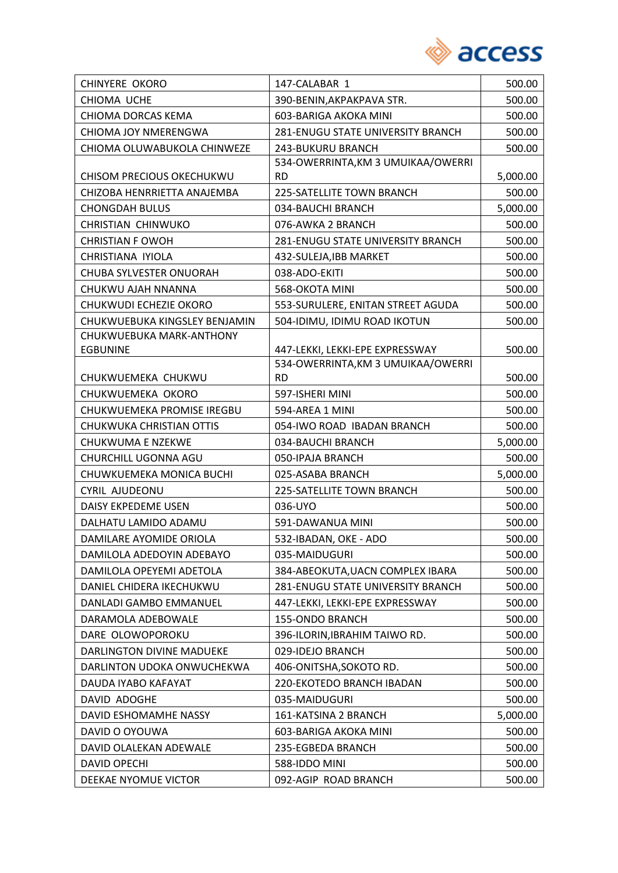

| <b>CHINYERE OKORO</b>         | 147-CALABAR 1                      | 500.00   |
|-------------------------------|------------------------------------|----------|
| CHIOMA UCHE                   | 390-BENIN, AKPAKPAVA STR.          | 500.00   |
| CHIOMA DORCAS KEMA            | 603-BARIGA AKOKA MINI              | 500.00   |
| CHIOMA JOY NMERENGWA          | 281-ENUGU STATE UNIVERSITY BRANCH  | 500.00   |
| CHIOMA OLUWABUKOLA CHINWEZE   | 243-BUKURU BRANCH                  | 500.00   |
|                               | 534-OWERRINTA, KM 3 UMUIKAA/OWERRI |          |
| CHISOM PRECIOUS OKECHUKWU     | <b>RD</b>                          | 5,000.00 |
| CHIZOBA HENRRIETTA ANAJEMBA   | 225-SATELLITE TOWN BRANCH          | 500.00   |
| <b>CHONGDAH BULUS</b>         | 034-BAUCHI BRANCH                  | 5,000.00 |
| CHRISTIAN CHINWUKO            | 076-AWKA 2 BRANCH                  | 500.00   |
| <b>CHRISTIAN F OWOH</b>       | 281-ENUGU STATE UNIVERSITY BRANCH  | 500.00   |
| CHRISTIANA IYIOLA             | 432-SULEJA, IBB MARKET             | 500.00   |
| CHUBA SYLVESTER ONUORAH       | 038-ADO-EKITI                      | 500.00   |
| CHUKWU AJAH NNANNA            | 568-OKOTA MINI                     | 500.00   |
| CHUKWUDI ECHEZIE OKORO        | 553-SURULERE, ENITAN STREET AGUDA  | 500.00   |
| CHUKWUEBUKA KINGSLEY BENJAMIN | 504-IDIMU, IDIMU ROAD IKOTUN       | 500.00   |
| CHUKWUEBUKA MARK-ANTHONY      |                                    |          |
| <b>EGBUNINE</b>               | 447-LEKKI, LEKKI-EPE EXPRESSWAY    | 500.00   |
|                               | 534-OWERRINTA, KM 3 UMUIKAA/OWERRI |          |
| CHUKWUEMEKA CHUKWU            | <b>RD</b>                          | 500.00   |
| CHUKWUEMEKA OKORO             | 597-ISHERI MINI                    | 500.00   |
| CHUKWUEMEKA PROMISE IREGBU    | 594-AREA 1 MINI                    | 500.00   |
| CHUKWUKA CHRISTIAN OTTIS      | 054-IWO ROAD IBADAN BRANCH         | 500.00   |
| CHUKWUMA E NZEKWE             | 034-BAUCHI BRANCH                  | 5,000.00 |
| CHURCHILL UGONNA AGU          | 050-IPAJA BRANCH                   | 500.00   |
| CHUWKUEMEKA MONICA BUCHI      | 025-ASABA BRANCH                   | 5,000.00 |
| CYRIL AJUDEONU                | 225-SATELLITE TOWN BRANCH          | 500.00   |
| DAISY EKPEDEME USEN           | 036-UYO                            | 500.00   |
| DALHATU LAMIDO ADAMU          | 591-DAWANUA MINI                   | 500.00   |
| DAMILARE AYOMIDE ORIOLA       | 532-IBADAN, OKE - ADO              | 500.00   |
| DAMILOLA ADEDOYIN ADEBAYO     | 035-MAIDUGURI                      | 500.00   |
| DAMILOLA OPEYEMI ADETOLA      | 384-ABEOKUTA, UACN COMPLEX IBARA   | 500.00   |
| DANIEL CHIDERA IKECHUKWU      | 281-ENUGU STATE UNIVERSITY BRANCH  | 500.00   |
| DANLADI GAMBO EMMANUEL        | 447-LEKKI, LEKKI-EPE EXPRESSWAY    | 500.00   |
| DARAMOLA ADEBOWALE            | 155-ONDO BRANCH                    | 500.00   |
| DARE OLOWOPOROKU              | 396-ILORIN, IBRAHIM TAIWO RD.      | 500.00   |
| DARLINGTON DIVINE MADUEKE     | 029-IDEJO BRANCH                   | 500.00   |
| DARLINTON UDOKA ONWUCHEKWA    | 406-ONITSHA, SOKOTO RD.            | 500.00   |
| DAUDA IYABO KAFAYAT           | 220-EKOTEDO BRANCH IBADAN          | 500.00   |
| DAVID ADOGHE                  | 035-MAIDUGURI                      | 500.00   |
| DAVID ESHOMAMHE NASSY         | 161-KATSINA 2 BRANCH               | 5,000.00 |
| DAVID O OYOUWA                | 603-BARIGA AKOKA MINI              | 500.00   |
| DAVID OLALEKAN ADEWALE        | 235-EGBEDA BRANCH                  | 500.00   |
| <b>DAVID OPECHI</b>           | 588-IDDO MINI                      | 500.00   |
| DEEKAE NYOMUE VICTOR          | 092-AGIP ROAD BRANCH               | 500.00   |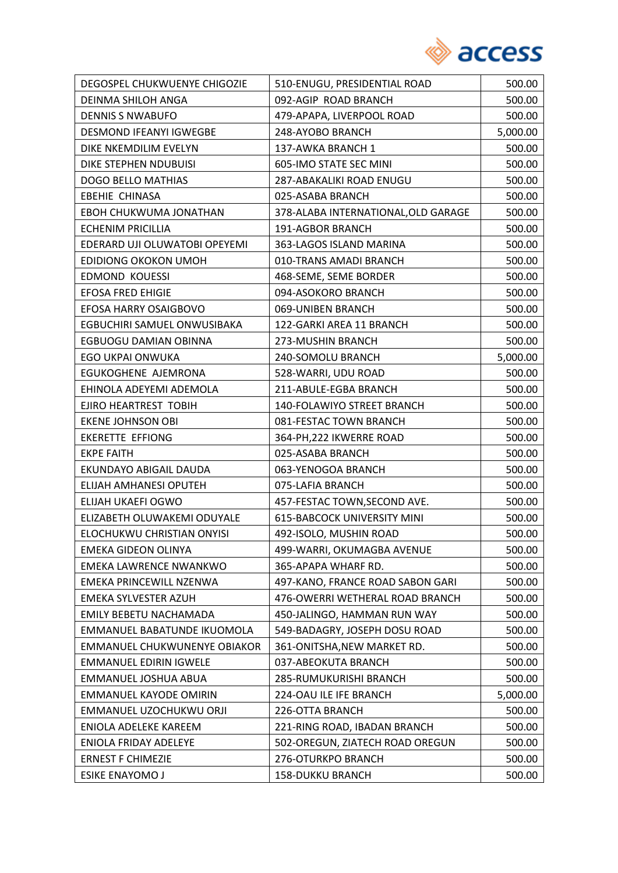

| DEGOSPEL CHUKWUENYE CHIGOZIE   | 510-ENUGU, PRESIDENTIAL ROAD        | 500.00   |
|--------------------------------|-------------------------------------|----------|
| DEINMA SHILOH ANGA             | 092-AGIP ROAD BRANCH                | 500.00   |
| <b>DENNIS S NWABUFO</b>        | 479-APAPA, LIVERPOOL ROAD           | 500.00   |
| <b>DESMOND IFEANYI IGWEGBE</b> | 248-AYOBO BRANCH                    | 5,000.00 |
| DIKE NKEMDILIM EVELYN          | 137-AWKA BRANCH 1                   | 500.00   |
| DIKE STEPHEN NDUBUISI          | 605-IMO STATE SEC MINI              | 500.00   |
| <b>DOGO BELLO MATHIAS</b>      | 287-ABAKALIKI ROAD ENUGU            | 500.00   |
| <b>EBEHIE CHINASA</b>          | 025-ASABA BRANCH                    | 500.00   |
| EBOH CHUKWUMA JONATHAN         | 378-ALABA INTERNATIONAL, OLD GARAGE | 500.00   |
| <b>ECHENIM PRICILLIA</b>       | 191-AGBOR BRANCH                    | 500.00   |
| EDERARD UJI OLUWATOBI OPEYEMI  | 363-LAGOS ISLAND MARINA             | 500.00   |
| EDIDIONG OKOKON UMOH           | 010-TRANS AMADI BRANCH              | 500.00   |
| <b>EDMOND KOUESSI</b>          | 468-SEME, SEME BORDER               | 500.00   |
| <b>EFOSA FRED EHIGIE</b>       | 094-ASOKORO BRANCH                  | 500.00   |
| EFOSA HARRY OSAIGBOVO          | 069-UNIBEN BRANCH                   | 500.00   |
| EGBUCHIRI SAMUEL ONWUSIBAKA    | 122-GARKI AREA 11 BRANCH            | 500.00   |
| EGBUOGU DAMIAN OBINNA          | 273-MUSHIN BRANCH                   | 500.00   |
| EGO UKPAI ONWUKA               | 240-SOMOLU BRANCH                   | 5,000.00 |
| EGUKOGHENE AJEMRONA            | 528-WARRI, UDU ROAD                 | 500.00   |
| EHINOLA ADEYEMI ADEMOLA        | 211-ABULE-EGBA BRANCH               | 500.00   |
| EJIRO HEARTREST TOBIH          | 140-FOLAWIYO STREET BRANCH          | 500.00   |
| <b>EKENE JOHNSON OBI</b>       | 081-FESTAC TOWN BRANCH              | 500.00   |
| <b>EKERETTE EFFIONG</b>        | 364-PH, 222 IKWERRE ROAD            | 500.00   |
| <b>EKPE FAITH</b>              | 025-ASABA BRANCH                    | 500.00   |
| EKUNDAYO ABIGAIL DAUDA         | 063-YENOGOA BRANCH                  | 500.00   |
| ELIJAH AMHANESI OPUTEH         | 075-LAFIA BRANCH                    | 500.00   |
| ELIJAH UKAEFI OGWO             | 457-FESTAC TOWN, SECOND AVE.        | 500.00   |
| ELIZABETH OLUWAKEMI ODUYALE    | <b>615-BABCOCK UNIVERSITY MINI</b>  | 500.00   |
| ELOCHUKWU CHRISTIAN ONYISI     | 492-ISOLO, MUSHIN ROAD              | 500.00   |
| <b>EMEKA GIDEON OLINYA</b>     | 499-WARRI, OKUMAGBA AVENUE          | 500.00   |
| EMEKA LAWRENCE NWANKWO         | 365-APAPA WHARF RD.                 | 500.00   |
| EMEKA PRINCEWILL NZENWA        | 497-KANO, FRANCE ROAD SABON GARI    | 500.00   |
| EMEKA SYLVESTER AZUH           | 476-OWERRI WETHERAL ROAD BRANCH     | 500.00   |
| <b>EMILY BEBETU NACHAMADA</b>  | 450-JALINGO, HAMMAN RUN WAY         | 500.00   |
| EMMANUEL BABATUNDE IKUOMOLA    | 549-BADAGRY, JOSEPH DOSU ROAD       | 500.00   |
| EMMANUEL CHUKWUNENYE OBIAKOR   | 361-ONITSHA, NEW MARKET RD.         | 500.00   |
| <b>EMMANUEL EDIRIN IGWELE</b>  | 037-ABEOKUTA BRANCH                 | 500.00   |
| EMMANUEL JOSHUA ABUA           | 285-RUMUKURISHI BRANCH              | 500.00   |
| <b>EMMANUEL KAYODE OMIRIN</b>  | 224-OAU ILE IFE BRANCH              | 5,000.00 |
| EMMANUEL UZOCHUKWU ORJI        | 226-OTTA BRANCH                     | 500.00   |
| ENIOLA ADELEKE KAREEM          | 221-RING ROAD, IBADAN BRANCH        | 500.00   |
| ENIOLA FRIDAY ADELEYE          | 502-OREGUN, ZIATECH ROAD OREGUN     | 500.00   |
| <b>ERNEST F CHIMEZIE</b>       | 276-OTURKPO BRANCH                  | 500.00   |
| <b>ESIKE ENAYOMO J</b>         | <b>158-DUKKU BRANCH</b>             | 500.00   |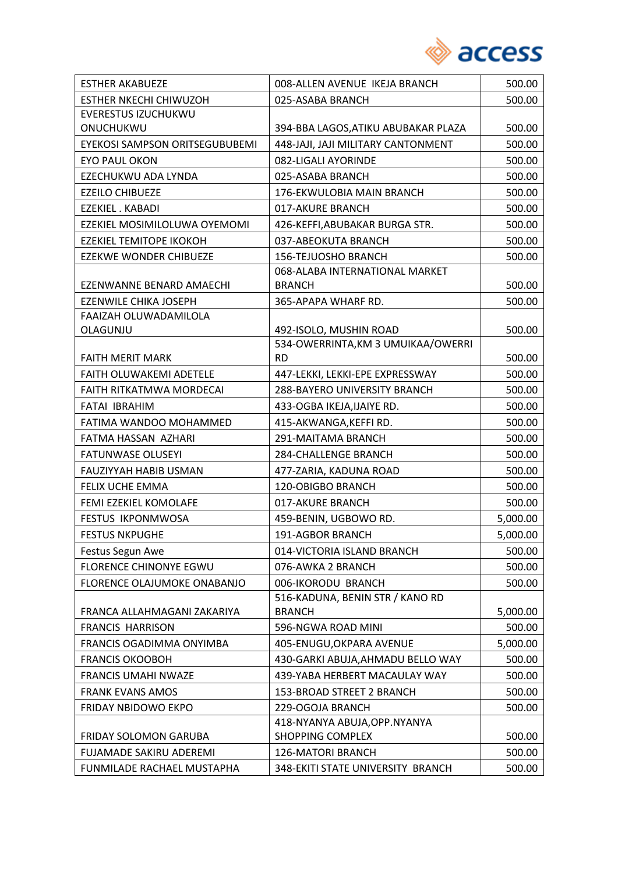

| <b>ESTHER AKABUEZE</b>         | 008-ALLEN AVENUE IKEJA BRANCH       | 500.00   |
|--------------------------------|-------------------------------------|----------|
| <b>ESTHER NKECHI CHIWUZOH</b>  | 025-ASABA BRANCH                    | 500.00   |
| <b>EVERESTUS IZUCHUKWU</b>     |                                     |          |
| ONUCHUKWU                      | 394-BBA LAGOS, ATIKU ABUBAKAR PLAZA | 500.00   |
| EYEKOSI SAMPSON ORITSEGUBUBEMI | 448-JAJI, JAJI MILITARY CANTONMENT  | 500.00   |
| <b>EYO PAUL OKON</b>           | 082-LIGALI AYORINDE                 | 500.00   |
| EZECHUKWU ADA LYNDA            | 025-ASABA BRANCH                    | 500.00   |
| <b>EZEILO CHIBUEZE</b>         | 176-EKWULOBIA MAIN BRANCH           | 500.00   |
| EZEKIEL . KABADI               | 017-AKURE BRANCH                    | 500.00   |
| EZEKIEL MOSIMILOLUWA OYEMOMI   | 426-KEFFI, ABUBAKAR BURGA STR.      | 500.00   |
| <b>EZEKIEL TEMITOPE IKOKOH</b> | 037-ABEOKUTA BRANCH                 | 500.00   |
| <b>EZEKWE WONDER CHIBUEZE</b>  | 156-TEJUOSHO BRANCH                 | 500.00   |
|                                | 068-ALABA INTERNATIONAL MARKET      |          |
| EZENWANNE BENARD AMAECHI       | <b>BRANCH</b>                       | 500.00   |
| EZENWILE CHIKA JOSEPH          | 365-APAPA WHARF RD.                 | 500.00   |
| FAAIZAH OLUWADAMILOLA          |                                     |          |
| OLAGUNJU                       | 492-ISOLO, MUSHIN ROAD              | 500.00   |
|                                | 534-OWERRINTA, KM 3 UMUIKAA/OWERRI  |          |
| <b>FAITH MERIT MARK</b>        | <b>RD</b>                           | 500.00   |
| FAITH OLUWAKEMI ADETELE        | 447-LEKKI, LEKKI-EPE EXPRESSWAY     | 500.00   |
| FAITH RITKATMWA MORDECAI       | 288-BAYERO UNIVERSITY BRANCH        | 500.00   |
| FATAI IBRAHIM                  | 433-OGBA IKEJA, IJAIYE RD.          | 500.00   |
| FATIMA WANDOO MOHAMMED         | 415-AKWANGA, KEFFIRD.               | 500.00   |
| FATMA HASSAN AZHARI            | 291-MAITAMA BRANCH                  | 500.00   |
| <b>FATUNWASE OLUSEYI</b>       | 284-CHALLENGE BRANCH                | 500.00   |
| FAUZIYYAH HABIB USMAN          | 477-ZARIA, KADUNA ROAD              | 500.00   |
| FELIX UCHE EMMA                | 120-OBIGBO BRANCH                   | 500.00   |
| FEMI EZEKIEL KOMOLAFE          | 017-AKURE BRANCH                    | 500.00   |
| <b>FESTUS IKPONMWOSA</b>       | 459-BENIN, UGBOWO RD.               | 5,000.00 |
| <b>FESTUS NKPUGHE</b>          | 191-AGBOR BRANCH                    | 5,000.00 |
| Festus Segun Awe               | 014-VICTORIA ISLAND BRANCH          | 500.00   |
| <b>FLORENCE CHINONYE EGWU</b>  | 076-AWKA 2 BRANCH                   | 500.00   |
| FLORENCE OLAJUMOKE ONABANJO    | 006-IKORODU BRANCH                  | 500.00   |
|                                | 516-KADUNA, BENIN STR / KANO RD     |          |
| FRANCA ALLAHMAGANI ZAKARIYA    | <b>BRANCH</b>                       | 5,000.00 |
| <b>FRANCIS HARRISON</b>        | 596-NGWA ROAD MINI                  | 500.00   |
| FRANCIS OGADIMMA ONYIMBA       | 405-ENUGU, OKPARA AVENUE            | 5,000.00 |
| <b>FRANCIS OKOOBOH</b>         | 430-GARKI ABUJA, AHMADU BELLO WAY   | 500.00   |
| <b>FRANCIS UMAHI NWAZE</b>     | 439-YABA HERBERT MACAULAY WAY       | 500.00   |
| <b>FRANK EVANS AMOS</b>        | 153-BROAD STREET 2 BRANCH           | 500.00   |
| FRIDAY NBIDOWO EKPO            | 229-OGOJA BRANCH                    | 500.00   |
|                                | 418-NYANYA ABUJA, OPP. NYANYA       |          |
| <b>FRIDAY SOLOMON GARUBA</b>   | <b>SHOPPING COMPLEX</b>             | 500.00   |
| FUJAMADE SAKIRU ADEREMI        | <b>126-MATORI BRANCH</b>            | 500.00   |
| FUNMILADE RACHAEL MUSTAPHA     | 348-EKITI STATE UNIVERSITY BRANCH   | 500.00   |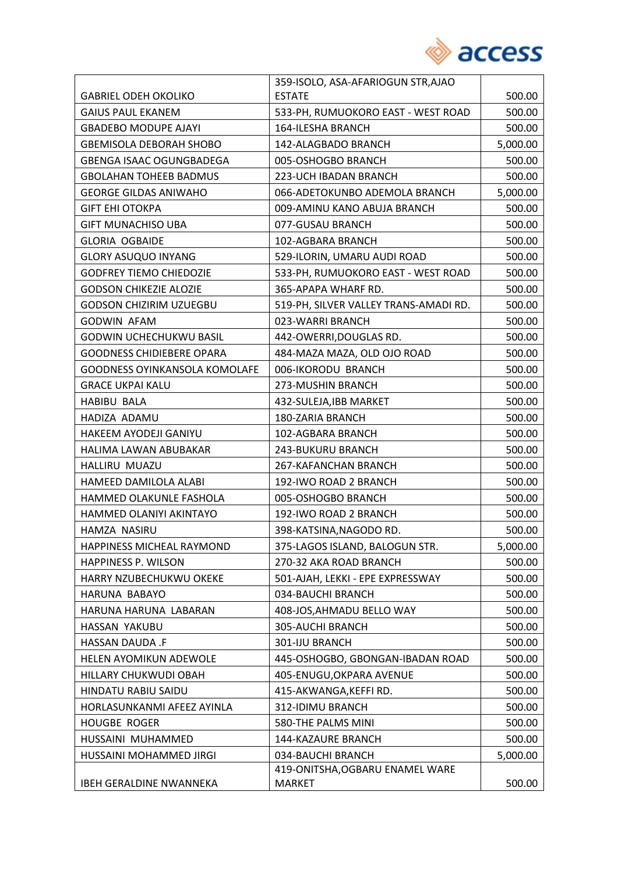

|                                      | 359-ISOLO, ASA-AFARIOGUN STR, AJAO    |          |
|--------------------------------------|---------------------------------------|----------|
| <b>GABRIEL ODEH OKOLIKO</b>          | <b>ESTATE</b>                         | 500.00   |
| <b>GAIUS PAUL EKANEM</b>             | 533-PH, RUMUOKORO EAST - WEST ROAD    | 500.00   |
| <b>GBADEBO MODUPE AJAYI</b>          | <b>164-ILESHA BRANCH</b>              | 500.00   |
| <b>GBEMISOLA DEBORAH SHOBO</b>       | 142-ALAGBADO BRANCH                   | 5,000.00 |
| GBENGA ISAAC OGUNGBADEGA             | 005-OSHOGBO BRANCH                    | 500.00   |
| <b>GBOLAHAN TOHEEB BADMUS</b>        | 223-UCH IBADAN BRANCH                 | 500.00   |
| <b>GEORGE GILDAS ANIWAHO</b>         | 066-ADETOKUNBO ADEMOLA BRANCH         | 5,000.00 |
| <b>GIFT EHI OTOKPA</b>               | 009-AMINU KANO ABUJA BRANCH           | 500.00   |
| <b>GIFT MUNACHISO UBA</b>            | 077-GUSAU BRANCH                      | 500.00   |
| <b>GLORIA OGBAIDE</b>                | 102-AGBARA BRANCH                     | 500.00   |
| <b>GLORY ASUQUO INYANG</b>           | 529-ILORIN, UMARU AUDI ROAD           | 500.00   |
| <b>GODFREY TIEMO CHIEDOZIE</b>       | 533-PH, RUMUOKORO EAST - WEST ROAD    | 500.00   |
| <b>GODSON CHIKEZIE ALOZIE</b>        | 365-APAPA WHARF RD.                   | 500.00   |
| <b>GODSON CHIZIRIM UZUEGBU</b>       | 519-PH, SILVER VALLEY TRANS-AMADI RD. | 500.00   |
| <b>GODWIN AFAM</b>                   | 023-WARRI BRANCH                      | 500.00   |
| <b>GODWIN UCHECHUKWU BASIL</b>       | 442-OWERRI, DOUGLAS RD.               | 500.00   |
| <b>GOODNESS CHIDIEBERE OPARA</b>     | 484-MAZA MAZA, OLD OJO ROAD           | 500.00   |
| <b>GOODNESS OYINKANSOLA KOMOLAFE</b> | 006-IKORODU BRANCH                    | 500.00   |
| <b>GRACE UKPAI KALU</b>              | 273-MUSHIN BRANCH                     | 500.00   |
| <b>HABIBU BALA</b>                   | 432-SULEJA, IBB MARKET                | 500.00   |
| HADIZA ADAMU                         | 180-ZARIA BRANCH                      | 500.00   |
| HAKEEM AYODEJI GANIYU                | 102-AGBARA BRANCH                     | 500.00   |
| HALIMA LAWAN ABUBAKAR                | <b>243-BUKURU BRANCH</b>              | 500.00   |
| HALLIRU MUAZU                        | 267-KAFANCHAN BRANCH                  | 500.00   |
| HAMEED DAMILOLA ALABI                | 192-IWO ROAD 2 BRANCH                 | 500.00   |
| HAMMED OLAKUNLE FASHOLA              | 005-OSHOGBO BRANCH                    | 500.00   |
| HAMMED OLANIYI AKINTAYO              | 192-IWO ROAD 2 BRANCH                 | 500.00   |
| HAMZA NASIRU                         | 398-KATSINA, NAGODO RD.               | 500.00   |
| HAPPINESS MICHEAL RAYMOND            | 375-LAGOS ISLAND, BALOGUN STR.        | 5,000.00 |
| <b>HAPPINESS P. WILSON</b>           | 270-32 AKA ROAD BRANCH                | 500.00   |
| HARRY NZUBECHUKWU OKEKE              | 501-AJAH, LEKKI - EPE EXPRESSWAY      | 500.00   |
| HARUNA BABAYO                        | 034-BAUCHI BRANCH                     | 500.00   |
| HARUNA HARUNA LABARAN                | 408-JOS, AHMADU BELLO WAY             | 500.00   |
| HASSAN YAKUBU                        | 305-AUCHI BRANCH                      | 500.00   |
| HASSAN DAUDA .F                      | 301-IJU BRANCH                        | 500.00   |
| HELEN AYOMIKUN ADEWOLE               | 445-OSHOGBO, GBONGAN-IBADAN ROAD      | 500.00   |
| HILLARY CHUKWUDI OBAH                | 405-ENUGU, OKPARA AVENUE              | 500.00   |
| HINDATU RABIU SAIDU                  | 415-AKWANGA, KEFFI RD.                | 500.00   |
| HORLASUNKANMI AFEEZ AYINLA           | 312-IDIMU BRANCH                      | 500.00   |
| <b>HOUGBE ROGER</b>                  | 580-THE PALMS MINI                    | 500.00   |
| HUSSAINI MUHAMMED                    | 144-KAZAURE BRANCH                    | 500.00   |
| HUSSAINI MOHAMMED JIRGI              | 034-BAUCHI BRANCH                     | 5,000.00 |
|                                      | 419-ONITSHA, OGBARU ENAMEL WARE       |          |
| <b>IBEH GERALDINE NWANNEKA</b>       | <b>MARKET</b>                         | 500.00   |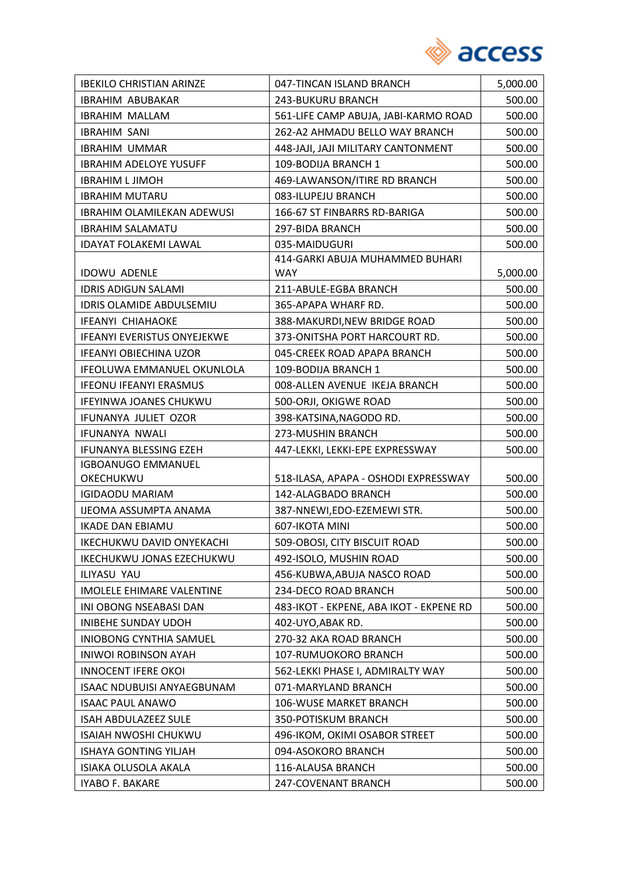

| <b>IBEKILO CHRISTIAN ARINZE</b>    | 047-TINCAN ISLAND BRANCH                | 5,000.00 |
|------------------------------------|-----------------------------------------|----------|
| <b>IBRAHIM ABUBAKAR</b>            | 243-BUKURU BRANCH                       | 500.00   |
| <b>IBRAHIM MALLAM</b>              | 561-LIFE CAMP ABUJA, JABI-KARMO ROAD    | 500.00   |
| <b>IBRAHIM SANI</b>                | 262-A2 AHMADU BELLO WAY BRANCH          | 500.00   |
| <b>IBRAHIM UMMAR</b>               | 448-JAJI, JAJI MILITARY CANTONMENT      | 500.00   |
| <b>IBRAHIM ADELOYE YUSUFF</b>      | 109-BODIJA BRANCH 1                     | 500.00   |
| <b>IBRAHIM L JIMOH</b>             | 469-LAWANSON/ITIRE RD BRANCH            | 500.00   |
| <b>IBRAHIM MUTARU</b>              | 083-ILUPEJU BRANCH                      | 500.00   |
| <b>IBRAHIM OLAMILEKAN ADEWUSI</b>  | 166-67 ST FINBARRS RD-BARIGA            | 500.00   |
| <b>IBRAHIM SALAMATU</b>            | 297-BIDA BRANCH                         | 500.00   |
| <b>IDAYAT FOLAKEMI LAWAL</b>       | 035-MAIDUGURI                           | 500.00   |
|                                    | 414-GARKI ABUJA MUHAMMED BUHARI         |          |
| <b>IDOWU ADENLE</b>                | <b>WAY</b>                              | 5,000.00 |
| <b>IDRIS ADIGUN SALAMI</b>         | 211-ABULE-EGBA BRANCH                   | 500.00   |
| <b>IDRIS OLAMIDE ABDULSEMIU</b>    | 365-APAPA WHARF RD.                     | 500.00   |
| <b>IFEANYI CHIAHAOKE</b>           | 388-MAKURDI, NEW BRIDGE ROAD            | 500.00   |
| <b>IFEANYI EVERISTUS ONYEJEKWE</b> | 373-ONITSHA PORT HARCOURT RD.           | 500.00   |
| <b>IFEANYI OBIECHINA UZOR</b>      | 045-CREEK ROAD APAPA BRANCH             | 500.00   |
| IFEOLUWA EMMANUEL OKUNLOLA         | 109-BODIJA BRANCH 1                     | 500.00   |
| <b>IFEONU IFEANYI ERASMUS</b>      | 008-ALLEN AVENUE IKEJA BRANCH           | 500.00   |
| IFEYINWA JOANES CHUKWU             | 500-ORJI, OKIGWE ROAD                   | 500.00   |
| IFUNANYA JULIET OZOR               | 398-KATSINA, NAGODO RD.                 | 500.00   |
| IFUNANYA NWALI                     | 273-MUSHIN BRANCH                       | 500.00   |
| IFUNANYA BLESSING EZEH             | 447-LEKKI, LEKKI-EPE EXPRESSWAY         | 500.00   |
| <b>IGBOANUGO EMMANUEL</b>          |                                         |          |
| OKECHUKWU                          | 518-ILASA, APAPA - OSHODI EXPRESSWAY    | 500.00   |
| <b>IGIDAODU MARIAM</b>             | 142-ALAGBADO BRANCH                     | 500.00   |
| <b>IJEOMA ASSUMPTA ANAMA</b>       | 387-NNEWI, EDO-EZEMEWI STR.             | 500.00   |
| <b>IKADE DAN EBIAMU</b>            | 607-IKOTA MINI                          | 500.00   |
| IKECHUKWU DAVID ONYEKACHI          | 509-OBOSI, CITY BISCUIT ROAD            | 500.00   |
| IKECHUKWU JONAS EZECHUKWU          | 492-ISOLO, MUSHIN ROAD                  | 500.00   |
| ILIYASU YAU                        | 456-KUBWA, ABUJA NASCO ROAD             | 500.00   |
| <b>IMOLELE EHIMARE VALENTINE</b>   | 234-DECO ROAD BRANCH                    | 500.00   |
| INI OBONG NSEABASI DAN             | 483-IKOT - EKPENE, ABA IKOT - EKPENE RD | 500.00   |
| INIBEHE SUNDAY UDOH                | 402-UYO, ABAK RD.                       | 500.00   |
| INIOBONG CYNTHIA SAMUEL            | 270-32 AKA ROAD BRANCH                  | 500.00   |
| <b>INIWOI ROBINSON AYAH</b>        | 107-RUMUOKORO BRANCH                    | 500.00   |
| <b>INNOCENT IFERE OKOI</b>         | 562-LEKKI PHASE I, ADMIRALTY WAY        | 500.00   |
| <b>ISAAC NDUBUISI ANYAEGBUNAM</b>  | 071-MARYLAND BRANCH                     | 500.00   |
| <b>ISAAC PAUL ANAWO</b>            | 106-WUSE MARKET BRANCH                  | 500.00   |
| ISAH ABDULAZEEZ SULE               | 350-POTISKUM BRANCH                     | 500.00   |
| <b>ISAIAH NWOSHI CHUKWU</b>        | 496-IKOM, OKIMI OSABOR STREET           | 500.00   |
| ISHAYA GONTING YILJAH              | 094-ASOKORO BRANCH                      | 500.00   |
| ISIAKA OLUSOLA AKALA               | 116-ALAUSA BRANCH                       | 500.00   |
| IYABO F. BAKARE                    | 247-COVENANT BRANCH                     | 500.00   |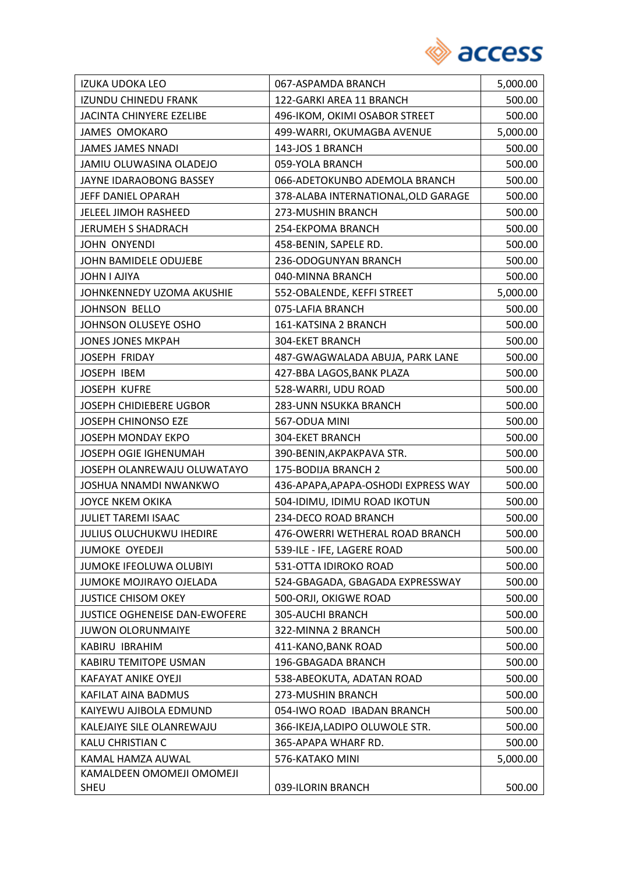

| IZUKA UDOKA LEO                      | 067-ASPAMDA BRANCH                  | 5,000.00 |
|--------------------------------------|-------------------------------------|----------|
| <b>IZUNDU CHINEDU FRANK</b>          | 122-GARKI AREA 11 BRANCH            | 500.00   |
| JACINTA CHINYERE EZELIBE             | 496-IKOM, OKIMI OSABOR STREET       | 500.00   |
| <b>JAMES OMOKARO</b>                 | 499-WARRI, OKUMAGBA AVENUE          | 5,000.00 |
| <b>JAMES JAMES NNADI</b>             | 143-JOS 1 BRANCH                    | 500.00   |
| JAMIU OLUWASINA OLADEJO              | 059-YOLA BRANCH                     | 500.00   |
| JAYNE IDARAOBONG BASSEY              | 066-ADETOKUNBO ADEMOLA BRANCH       | 500.00   |
| JEFF DANIEL OPARAH                   | 378-ALABA INTERNATIONAL, OLD GARAGE | 500.00   |
| JELEEL JIMOH RASHEED                 | 273-MUSHIN BRANCH                   | 500.00   |
| <b>JERUMEH S SHADRACH</b>            | 254-EKPOMA BRANCH                   | 500.00   |
| JOHN ONYENDI                         | 458-BENIN, SAPELE RD.               | 500.00   |
| JOHN BAMIDELE ODUJEBE                | 236-ODOGUNYAN BRANCH                | 500.00   |
| JOHN I AJIYA                         | 040-MINNA BRANCH                    | 500.00   |
| JOHNKENNEDY UZOMA AKUSHIE            | 552-OBALENDE, KEFFI STREET          | 5,000.00 |
| <b>JOHNSON BELLO</b>                 | 075-LAFIA BRANCH                    | 500.00   |
| JOHNSON OLUSEYE OSHO                 | 161-KATSINA 2 BRANCH                | 500.00   |
| <b>JONES JONES MKPAH</b>             | <b>304-EKET BRANCH</b>              | 500.00   |
| JOSEPH FRIDAY                        | 487-GWAGWALADA ABUJA, PARK LANE     | 500.00   |
| JOSEPH IBEM                          | 427-BBA LAGOS, BANK PLAZA           | 500.00   |
| <b>JOSEPH KUFRE</b>                  | 528-WARRI, UDU ROAD                 | 500.00   |
| <b>JOSEPH CHIDIEBERE UGBOR</b>       | 283-UNN NSUKKA BRANCH               | 500.00   |
| <b>JOSEPH CHINONSO EZE</b>           | 567-ODUA MINI                       | 500.00   |
| <b>JOSEPH MONDAY EKPO</b>            | 304-EKET BRANCH                     | 500.00   |
| <b>JOSEPH OGIE IGHENUMAH</b>         | 390-BENIN, AKPAKPAVA STR.           | 500.00   |
| JOSEPH OLANREWAJU OLUWATAYO          | 175-BODIJA BRANCH 2                 | 500.00   |
| <b>JOSHUA NNAMDI NWANKWO</b>         | 436-APAPA, APAPA-OSHODI EXPRESS WAY | 500.00   |
| <b>JOYCE NKEM OKIKA</b>              | 504-IDIMU, IDIMU ROAD IKOTUN        | 500.00   |
| <b>JULIET TAREMI ISAAC</b>           | 234-DECO ROAD BRANCH                | 500.00   |
| <b>JULIUS OLUCHUKWU IHEDIRE</b>      | 476-OWERRI WETHERAL ROAD BRANCH     | 500.00   |
| <b>JUMOKE OYEDEJI</b>                | 539-ILE - IFE, LAGERE ROAD          | 500.00   |
| JUMOKE IFEOLUWA OLUBIYI              | 531-OTTA IDIROKO ROAD               | 500.00   |
| JUMOKE MOJIRAYO OJELADA              | 524-GBAGADA, GBAGADA EXPRESSWAY     | 500.00   |
| <b>JUSTICE CHISOM OKEY</b>           | 500-ORJI, OKIGWE ROAD               | 500.00   |
| <b>JUSTICE OGHENEISE DAN-EWOFERE</b> | 305-AUCHI BRANCH                    | 500.00   |
| <b>JUWON OLORUNMAIYE</b>             | 322-MINNA 2 BRANCH                  | 500.00   |
| KABIRU IBRAHIM                       | 411-KANO, BANK ROAD                 | 500.00   |
| KABIRU TEMITOPE USMAN                | 196-GBAGADA BRANCH                  | 500.00   |
| KAFAYAT ANIKE OYEJI                  | 538-ABEOKUTA, ADATAN ROAD           | 500.00   |
| KAFILAT AINA BADMUS                  | 273-MUSHIN BRANCH                   | 500.00   |
| KAIYEWU AJIBOLA EDMUND               | 054-IWO ROAD IBADAN BRANCH          | 500.00   |
| KALEJAIYE SILE OLANREWAJU            | 366-IKEJA,LADIPO OLUWOLE STR.       | 500.00   |
| KALU CHRISTIAN C                     | 365-APAPA WHARF RD.                 | 500.00   |
| KAMAL HAMZA AUWAL                    | 576-KATAKO MINI                     | 5,000.00 |
| KAMALDEEN OMOMEJI OMOMEJI            |                                     |          |
| SHEU                                 | 039-ILORIN BRANCH                   | 500.00   |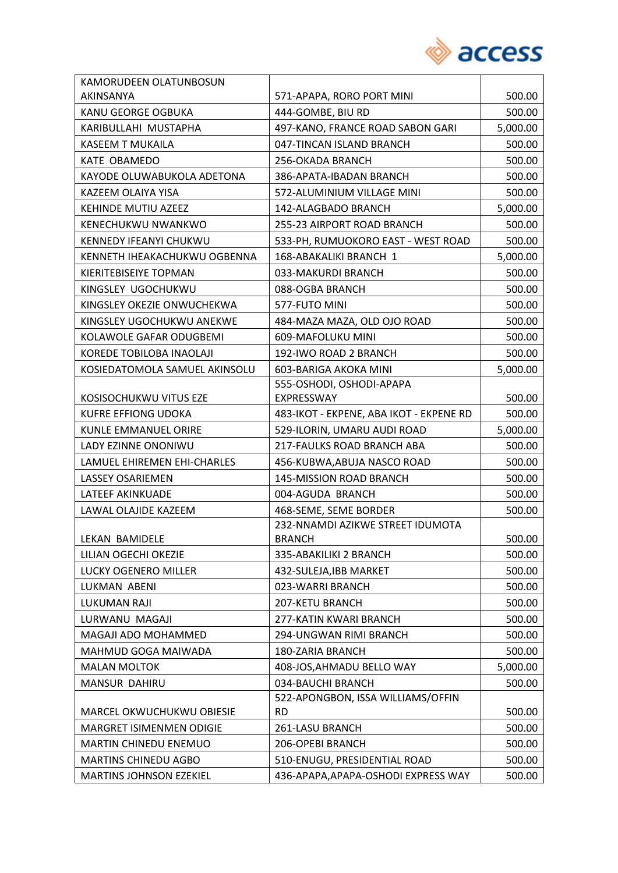

| KAMORUDEEN OLATUNBOSUN         |                                         |          |
|--------------------------------|-----------------------------------------|----------|
| AKINSANYA                      | 571-APAPA, RORO PORT MINI               | 500.00   |
| KANU GEORGE OGBUKA             | 444-GOMBE, BIU RD                       | 500.00   |
| KARIBULLAHI MUSTAPHA           | 497-KANO, FRANCE ROAD SABON GARI        | 5,000.00 |
| <b>KASEEM T MUKAILA</b>        | 047-TINCAN ISLAND BRANCH                | 500.00   |
| KATE OBAMEDO                   | 256-OKADA BRANCH                        | 500.00   |
| KAYODE OLUWABUKOLA ADETONA     | 386-APATA-IBADAN BRANCH                 | 500.00   |
| KAZEEM OLAIYA YISA             | 572-ALUMINIUM VILLAGE MINI              | 500.00   |
| KEHINDE MUTIU AZEEZ            | 142-ALAGBADO BRANCH                     | 5,000.00 |
| <b>KENECHUKWU NWANKWO</b>      | 255-23 AIRPORT ROAD BRANCH              | 500.00   |
| KENNEDY IFEANYI CHUKWU         | 533-PH, RUMUOKORO EAST - WEST ROAD      | 500.00   |
| KENNETH IHEAKACHUKWU OGBENNA   | 168-ABAKALIKI BRANCH 1                  | 5,000.00 |
| KIERITEBISEIYE TOPMAN          | 033-MAKURDI BRANCH                      | 500.00   |
| KINGSLEY UGOCHUKWU             | 088-OGBA BRANCH                         | 500.00   |
| KINGSLEY OKEZIE ONWUCHEKWA     | 577-FUTO MINI                           | 500.00   |
| KINGSLEY UGOCHUKWU ANEKWE      | 484-MAZA MAZA, OLD OJO ROAD             | 500.00   |
| KOLAWOLE GAFAR ODUGBEMI        | 609-MAFOLUKU MINI                       | 500.00   |
| KOREDE TOBILOBA INAOLAJI       | 192-IWO ROAD 2 BRANCH                   | 500.00   |
| KOSIEDATOMOLA SAMUEL AKINSOLU  | 603-BARIGA AKOKA MINI                   | 5,000.00 |
|                                | 555-OSHODI, OSHODI-APAPA                |          |
| KOSISOCHUKWU VITUS EZE         | EXPRESSWAY                              | 500.00   |
| KUFRE EFFIONG UDOKA            | 483-IKOT - EKPENE, ABA IKOT - EKPENE RD | 500.00   |
| <b>KUNLE EMMANUEL ORIRE</b>    | 529-ILORIN, UMARU AUDI ROAD             | 5,000.00 |
| LADY EZINNE ONONIWU            | 217-FAULKS ROAD BRANCH ABA              | 500.00   |
| LAMUEL EHIREMEN EHI-CHARLES    | 456-KUBWA, ABUJA NASCO ROAD             | 500.00   |
| <b>LASSEY OSARIEMEN</b>        | <b>145-MISSION ROAD BRANCH</b>          | 500.00   |
| LATEEF AKINKUADE               | 004-AGUDA BRANCH                        | 500.00   |
| LAWAL OLAJIDE KAZEEM           | 468-SEME, SEME BORDER                   | 500.00   |
|                                | 232-NNAMDI AZIKWE STREET IDUMOTA        |          |
| LEKAN BAMIDELE                 | <b>BRANCH</b>                           | 500.00   |
| LILIAN OGECHI OKEZIE           | 335-ABAKILIKI 2 BRANCH                  | 500.00   |
| LUCKY OGENERO MILLER           | 432-SULEJA, IBB MARKET                  | 500.00   |
| LUKMAN ABENI                   | 023-WARRI BRANCH                        | 500.00   |
| <b>LUKUMAN RAJI</b>            | 207-KETU BRANCH                         | 500.00   |
| LURWANU MAGAJI                 | 277-KATIN KWARI BRANCH                  | 500.00   |
| MAGAJI ADO MOHAMMED            | 294-UNGWAN RIMI BRANCH                  | 500.00   |
| MAHMUD GOGA MAIWADA            | 180-ZARIA BRANCH                        | 500.00   |
| <b>MALAN MOLTOK</b>            | 408-JOS, AHMADU BELLO WAY               | 5,000.00 |
| MANSUR DAHIRU                  | 034-BAUCHI BRANCH                       | 500.00   |
|                                | 522-APONGBON, ISSA WILLIAMS/OFFIN       |          |
| MARCEL OKWUCHUKWU OBIESIE      | <b>RD</b>                               | 500.00   |
| MARGRET ISIMENMEN ODIGIE       | 261-LASU BRANCH                         | 500.00   |
| MARTIN CHINEDU ENEMUO          | 206-OPEBI BRANCH                        | 500.00   |
| <b>MARTINS CHINEDU AGBO</b>    | 510-ENUGU, PRESIDENTIAL ROAD            | 500.00   |
| <b>MARTINS JOHNSON EZEKIEL</b> | 436-APAPA, APAPA-OSHODI EXPRESS WAY     | 500.00   |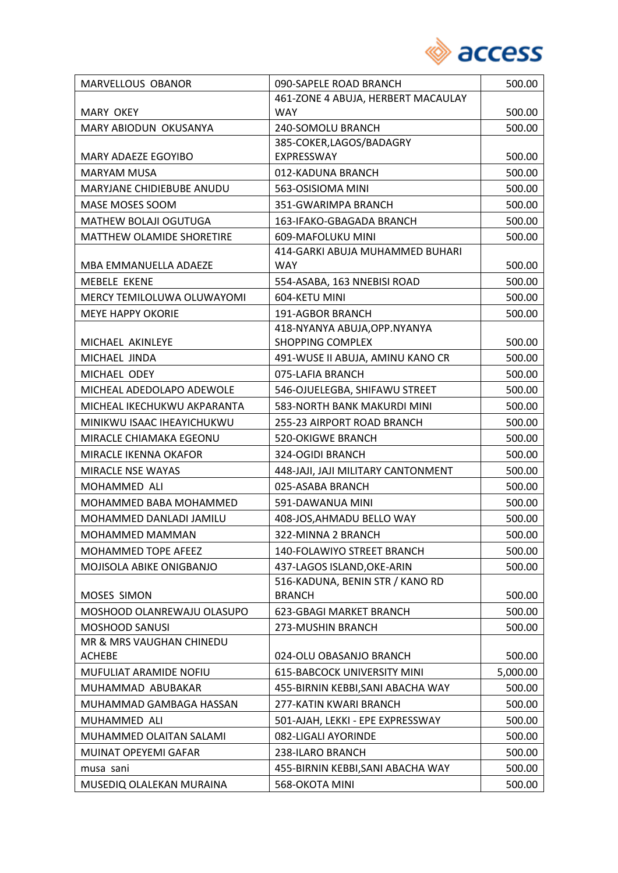

| <b>MARVELLOUS OBANOR</b>       | 090-SAPELE ROAD BRANCH             | 500.00   |
|--------------------------------|------------------------------------|----------|
|                                | 461-ZONE 4 ABUJA, HERBERT MACAULAY |          |
| <b>MARY OKEY</b>               | <b>WAY</b>                         | 500.00   |
| MARY ABIODUN OKUSANYA          | 240-SOMOLU BRANCH                  | 500.00   |
|                                | 385-COKER, LAGOS/BADAGRY           |          |
| MARY ADAEZE EGOYIBO            | EXPRESSWAY                         | 500.00   |
| <b>MARYAM MUSA</b>             | 012-KADUNA BRANCH                  | 500.00   |
| MARYJANE CHIDIEBUBE ANUDU      | 563-OSISIOMA MINI                  | 500.00   |
| MASE MOSES SOOM                | 351-GWARIMPA BRANCH                | 500.00   |
| MATHEW BOLAJI OGUTUGA          | 163-IFAKO-GBAGADA BRANCH           | 500.00   |
| MATTHEW OLAMIDE SHORETIRE      | 609-MAFOLUKU MINI                  | 500.00   |
|                                | 414-GARKI ABUJA MUHAMMED BUHARI    |          |
| MBA EMMANUELLA ADAEZE          | <b>WAY</b>                         | 500.00   |
| <b>MEBELE EKENE</b>            | 554-ASABA, 163 NNEBISI ROAD        | 500.00   |
| MERCY TEMILOLUWA OLUWAYOMI     | 604-KETU MINI                      | 500.00   |
| <b>MEYE HAPPY OKORIE</b>       | 191-AGBOR BRANCH                   | 500.00   |
|                                | 418-NYANYA ABUJA, OPP. NYANYA      |          |
| MICHAEL AKINLEYE               | <b>SHOPPING COMPLEX</b>            | 500.00   |
| MICHAEL JINDA                  | 491-WUSE II ABUJA, AMINU KANO CR   | 500.00   |
| MICHAEL ODEY                   | 075-LAFIA BRANCH                   | 500.00   |
| MICHEAL ADEDOLAPO ADEWOLE      | 546-OJUELEGBA, SHIFAWU STREET      | 500.00   |
| MICHEAL IKECHUKWU AKPARANTA    | 583-NORTH BANK MAKURDI MINI        | 500.00   |
| MINIKWU ISAAC IHEAYICHUKWU     | 255-23 AIRPORT ROAD BRANCH         | 500.00   |
| MIRACLE CHIAMAKA EGEONU        | <b>520-OKIGWE BRANCH</b>           | 500.00   |
| MIRACLE IKENNA OKAFOR          | 324-OGIDI BRANCH                   | 500.00   |
| MIRACLE NSE WAYAS              | 448-JAJI, JAJI MILITARY CANTONMENT | 500.00   |
| MOHAMMED ALI                   | 025-ASABA BRANCH                   | 500.00   |
| MOHAMMED BABA MOHAMMED         | 591-DAWANUA MINI                   | 500.00   |
| <b>MOHAMMED DANLADI JAMILU</b> | 408-JOS, AHMADU BELLO WAY          | 500.00   |
| <b>MOHAMMED MAMMAN</b>         | 322-MINNA 2 BRANCH                 | 500.00   |
| MOHAMMED TOPE AFEEZ            | 140-FOLAWIYO STREET BRANCH         | 500.00   |
| MOJISOLA ABIKE ONIGBANJO       | 437-LAGOS ISLAND, OKE-ARIN         | 500.00   |
|                                | 516-KADUNA, BENIN STR / KANO RD    |          |
| MOSES SIMON                    | <b>BRANCH</b>                      | 500.00   |
| MOSHOOD OLANREWAJU OLASUPO     | 623-GBAGI MARKET BRANCH            | 500.00   |
| MOSHOOD SANUSI                 | 273-MUSHIN BRANCH                  | 500.00   |
| MR & MRS VAUGHAN CHINEDU       |                                    |          |
| <b>ACHEBE</b>                  | 024-OLU OBASANJO BRANCH            | 500.00   |
| MUFULIAT ARAMIDE NOFIU         | 615-BABCOCK UNIVERSITY MINI        | 5,000.00 |
| MUHAMMAD ABUBAKAR              | 455-BIRNIN KEBBI, SANI ABACHA WAY  | 500.00   |
| MUHAMMAD GAMBAGA HASSAN        | 277-KATIN KWARI BRANCH             | 500.00   |
| MUHAMMED ALI                   | 501-AJAH, LEKKI - EPE EXPRESSWAY   | 500.00   |
| MUHAMMED OLAITAN SALAMI        | 082-LIGALI AYORINDE                | 500.00   |
| MUINAT OPEYEMI GAFAR           | 238-ILARO BRANCH                   | 500.00   |
| musa sani                      | 455-BIRNIN KEBBI, SANI ABACHA WAY  | 500.00   |
| MUSEDIQ OLALEKAN MURAINA       | 568-OKOTA MINI                     | 500.00   |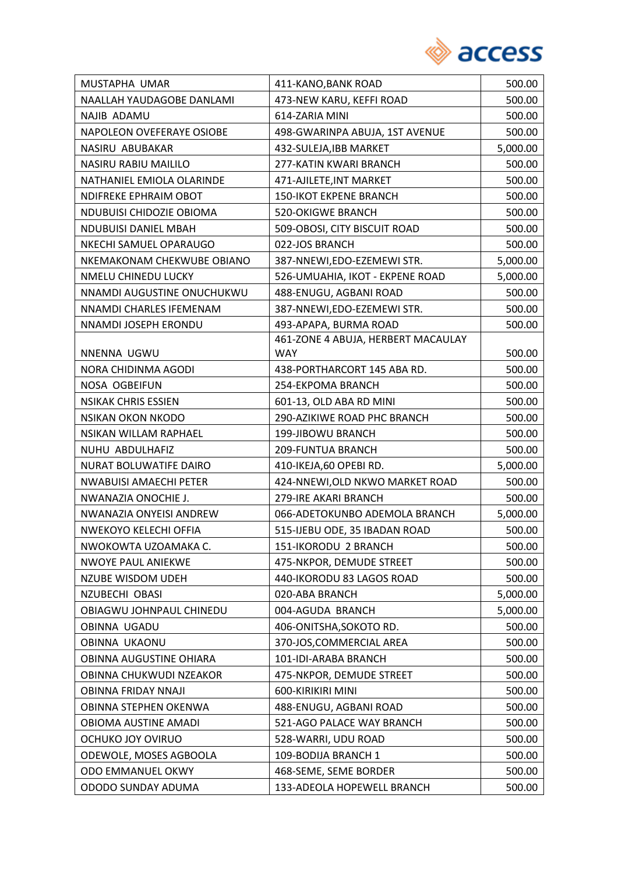

| MUSTAPHA UMAR                 | 411-KANO, BANK ROAD                | 500.00   |
|-------------------------------|------------------------------------|----------|
| NAALLAH YAUDAGOBE DANLAMI     | 473-NEW KARU, KEFFI ROAD           | 500.00   |
| NAJIB ADAMU                   | 614-ZARIA MINI                     | 500.00   |
| NAPOLEON OVEFERAYE OSIOBE     | 498-GWARINPA ABUJA, 1ST AVENUE     | 500.00   |
| NASIRU ABUBAKAR               | 432-SULEJA, IBB MARKET             | 5,000.00 |
| NASIRU RABIU MAILILO          | 277-KATIN KWARI BRANCH             | 500.00   |
| NATHANIEL EMIOLA OLARINDE     | 471-AJILETE, INT MARKET            | 500.00   |
| NDIFREKE EPHRAIM OBOT         | <b>150-IKOT EKPENE BRANCH</b>      | 500.00   |
| NDUBUISI CHIDOZIE OBIOMA      | <b>520-OKIGWE BRANCH</b>           | 500.00   |
| <b>NDUBUISI DANIEL MBAH</b>   | 509-OBOSI, CITY BISCUIT ROAD       | 500.00   |
| NKECHI SAMUEL OPARAUGO        | 022-JOS BRANCH                     | 500.00   |
| NKEMAKONAM CHEKWUBE OBIANO    | 387-NNEWI,EDO-EZEMEWI STR.         | 5,000.00 |
| NMELU CHINEDU LUCKY           | 526-UMUAHIA, IKOT - EKPENE ROAD    | 5,000.00 |
| NNAMDI AUGUSTINE ONUCHUKWU    | 488-ENUGU, AGBANI ROAD             | 500.00   |
| NNAMDI CHARLES IFEMENAM       | 387-NNEWI, EDO-EZEMEWI STR.        | 500.00   |
| NNAMDI JOSEPH ERONDU          | 493-APAPA, BURMA ROAD              | 500.00   |
|                               | 461-ZONE 4 ABUJA, HERBERT MACAULAY |          |
| NNENNA UGWU                   | <b>WAY</b>                         | 500.00   |
| NORA CHIDINMA AGODI           | 438-PORTHARCORT 145 ABA RD.        | 500.00   |
| NOSA OGBEIFUN                 | 254-EKPOMA BRANCH                  | 500.00   |
| <b>NSIKAK CHRIS ESSIEN</b>    | 601-13, OLD ABA RD MINI            | 500.00   |
| <b>NSIKAN OKON NKODO</b>      | 290-AZIKIWE ROAD PHC BRANCH        | 500.00   |
| NSIKAN WILLAM RAPHAEL         | 199-JIBOWU BRANCH                  | 500.00   |
| NUHU ABDULHAFIZ               | 209-FUNTUA BRANCH                  | 500.00   |
| NURAT BOLUWATIFE DAIRO        | 410-IKEJA,60 OPEBI RD.             | 5,000.00 |
| <b>NWABUISI AMAECHI PETER</b> | 424-NNEWI, OLD NKWO MARKET ROAD    | 500.00   |
| NWANAZIA ONOCHIE J.           | 279-IRE AKARI BRANCH               | 500.00   |
| NWANAZIA ONYEISI ANDREW       | 066-ADETOKUNBO ADEMOLA BRANCH      | 5,000.00 |
| NWEKOYO KELECHI OFFIA         | 515-IJEBU ODE, 35 IBADAN ROAD      | 500.00   |
| NWOKOWTA UZOAMAKA C.          | 151-IKORODU 2 BRANCH               | 500.00   |
| <b>NWOYE PAUL ANIEKWE</b>     | 475-NKPOR, DEMUDE STREET           | 500.00   |
| <b>NZUBE WISDOM UDEH</b>      | 440-IKORODU 83 LAGOS ROAD          | 500.00   |
| NZUBECHI OBASI                | 020-ABA BRANCH                     | 5,000.00 |
| OBIAGWU JOHNPAUL CHINEDU      | 004-AGUDA BRANCH                   | 5,000.00 |
| <b>OBINNA UGADU</b>           | 406-ONITSHA, SOKOTO RD.            | 500.00   |
| <b>OBINNA UKAONU</b>          | 370-JOS, COMMERCIAL AREA           | 500.00   |
| OBINNA AUGUSTINE OHIARA       | 101-IDI-ARABA BRANCH               | 500.00   |
| OBINNA CHUKWUDI NZEAKOR       | 475-NKPOR, DEMUDE STREET           | 500.00   |
| <b>OBINNA FRIDAY NNAJI</b>    | 600-KIRIKIRI MINI                  | 500.00   |
| OBINNA STEPHEN OKENWA         | 488-ENUGU, AGBANI ROAD             | 500.00   |
| OBIOMA AUSTINE AMADI          | 521-AGO PALACE WAY BRANCH          | 500.00   |
| OCHUKO JOY OVIRUO             | 528-WARRI, UDU ROAD                | 500.00   |
| ODEWOLE, MOSES AGBOOLA        | 109-BODIJA BRANCH 1                | 500.00   |
| ODO EMMANUEL OKWY             | 468-SEME, SEME BORDER              | 500.00   |
| ODODO SUNDAY ADUMA            | 133-ADEOLA HOPEWELL BRANCH         | 500.00   |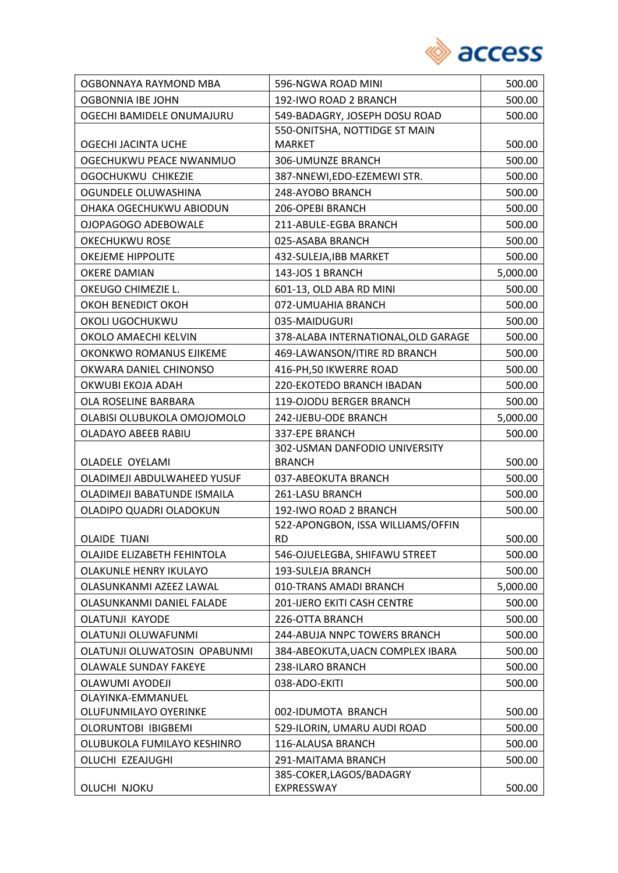

| OGBONNAYA RAYMOND MBA        | 596-NGWA ROAD MINI                  | 500.00   |
|------------------------------|-------------------------------------|----------|
| OGBONNIA IBE JOHN            | 192-IWO ROAD 2 BRANCH               | 500.00   |
| OGECHI BAMIDELE ONUMAJURU    | 549-BADAGRY, JOSEPH DOSU ROAD       | 500.00   |
|                              | 550-ONITSHA, NOTTIDGE ST MAIN       |          |
| OGECHI JACINTA UCHE          | <b>MARKET</b>                       | 500.00   |
| OGECHUKWU PEACE NWANMUO      | 306-UMUNZE BRANCH                   | 500.00   |
| OGOCHUKWU CHIKEZIE           | 387-NNEWI,EDO-EZEMEWI STR.          | 500.00   |
| OGUNDELE OLUWASHINA          | 248-AYOBO BRANCH                    | 500.00   |
| OHAKA OGECHUKWU ABIODUN      | 206-OPEBI BRANCH                    | 500.00   |
| OJOPAGOGO ADEBOWALE          | 211-ABULE-EGBA BRANCH               | 500.00   |
| <b>OKECHUKWU ROSE</b>        | 025-ASABA BRANCH                    | 500.00   |
| OKEJEME HIPPOLITE            | 432-SULEJA, IBB MARKET              | 500.00   |
| <b>OKERE DAMIAN</b>          | 143-JOS 1 BRANCH                    | 5,000.00 |
| OKEUGO CHIMEZIE L.           | 601-13, OLD ABA RD MINI             | 500.00   |
| OKOH BENEDICT OKOH           | 072-UMUAHIA BRANCH                  | 500.00   |
| OKOLI UGOCHUKWU              | 035-MAIDUGURI                       | 500.00   |
| OKOLO AMAECHI KELVIN         | 378-ALABA INTERNATIONAL, OLD GARAGE | 500.00   |
| OKONKWO ROMANUS EJIKEME      | 469-LAWANSON/ITIRE RD BRANCH        | 500.00   |
| OKWARA DANIEL CHINONSO       | 416-PH, 50 IKWERRE ROAD             | 500.00   |
| OKWUBI EKOJA ADAH            | 220-EKOTEDO BRANCH IBADAN           | 500.00   |
| OLA ROSELINE BARBARA         | 119-OJODU BERGER BRANCH             | 500.00   |
| OLABISI OLUBUKOLA OMOJOMOLO  | 242-IJEBU-ODE BRANCH                | 5,000.00 |
| OLADAYO ABEEB RABIU          | 337-EPE BRANCH                      | 500.00   |
|                              | 302-USMAN DANFODIO UNIVERSITY       |          |
| OLADELE OYELAMI              | <b>BRANCH</b>                       | 500.00   |
| OLADIMEJI ABDULWAHEED YUSUF  | 037-ABEOKUTA BRANCH                 | 500.00   |
| OLADIMEJI BABATUNDE ISMAILA  | 261-LASU BRANCH                     | 500.00   |
| OLADIPO QUADRI OLADOKUN      | 192-IWO ROAD 2 BRANCH               | 500.00   |
|                              | 522-APONGBON, ISSA WILLIAMS/OFFIN   |          |
| <b>OLAIDE TIJANI</b>         | <b>RD</b>                           | 500.00   |
| OLAJIDE ELIZABETH FEHINTOLA  | 546-OJUELEGBA, SHIFAWU STREET       | 500.00   |
| OLAKUNLE HENRY IKULAYO       | 193-SULEJA BRANCH                   | 500.00   |
| OLASUNKANMI AZEEZ LAWAL      | 010-TRANS AMADI BRANCH              | 5,000.00 |
| OLASUNKANMI DANIEL FALADE    | 201-IJERO EKITI CASH CENTRE         | 500.00   |
| OLATUNJI KAYODE              | 226-OTTA BRANCH                     | 500.00   |
| OLATUNJI OLUWAFUNMI          | 244-ABUJA NNPC TOWERS BRANCH        | 500.00   |
| OLATUNJI OLUWATOSIN OPABUNMI | 384-ABEOKUTA, UACN COMPLEX IBARA    | 500.00   |
| OLAWALE SUNDAY FAKEYE        | 238-ILARO BRANCH                    | 500.00   |
| <b>OLAWUMI AYODEJI</b>       | 038-ADO-EKITI                       | 500.00   |
| OLAYINKA-EMMANUEL            |                                     |          |
| OLUFUNMILAYO OYERINKE        | 002-IDUMOTA BRANCH                  | 500.00   |
| OLORUNTOBI IBIGBEMI          | 529-ILORIN, UMARU AUDI ROAD         | 500.00   |
| OLUBUKOLA FUMILAYO KESHINRO  | 116-ALAUSA BRANCH                   | 500.00   |
| OLUCHI EZEAJUGHI             | 291-MAITAMA BRANCH                  | 500.00   |
|                              | 385-COKER, LAGOS/BADAGRY            |          |
| OLUCHI NJOKU                 | EXPRESSWAY                          | 500.00   |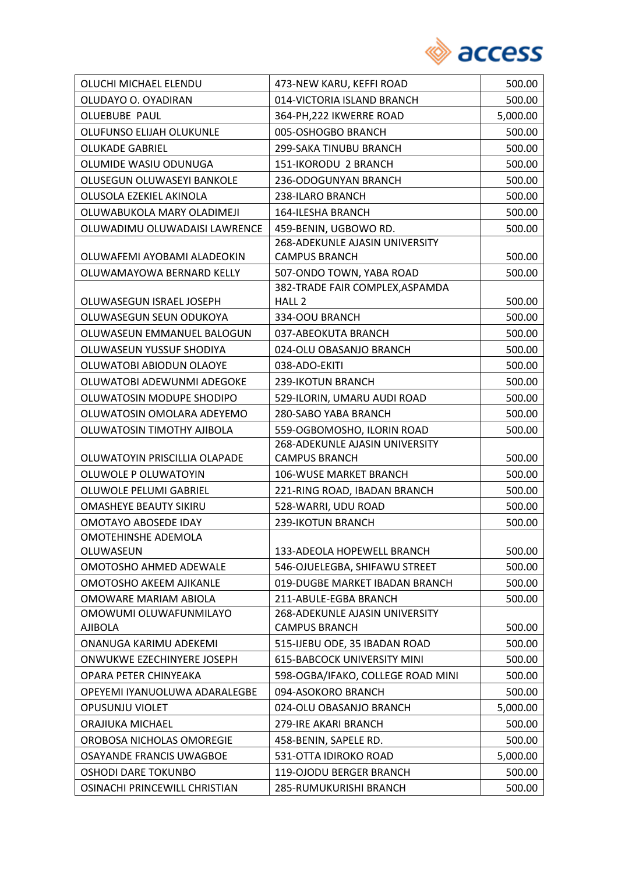

| OLUCHI MICHAEL ELENDU            | 473-NEW KARU, KEFFI ROAD              | 500.00   |
|----------------------------------|---------------------------------------|----------|
| OLUDAYO O. OYADIRAN              | 014-VICTORIA ISLAND BRANCH            | 500.00   |
| <b>OLUEBUBE PAUL</b>             | 364-PH, 222 IKWERRE ROAD              | 5,000.00 |
| OLUFUNSO ELIJAH OLUKUNLE         | 005-OSHOGBO BRANCH                    | 500.00   |
| <b>OLUKADE GABRIEL</b>           | 299-SAKA TINUBU BRANCH                | 500.00   |
| OLUMIDE WASIU ODUNUGA            | 151-IKORODU 2 BRANCH                  | 500.00   |
| OLUSEGUN OLUWASEYI BANKOLE       | 236-ODOGUNYAN BRANCH                  | 500.00   |
| OLUSOLA EZEKIEL AKINOLA          | 238-ILARO BRANCH                      | 500.00   |
| OLUWABUKOLA MARY OLADIMEJI       | 164-ILESHA BRANCH                     | 500.00   |
| OLUWADIMU OLUWADAISI LAWRENCE    | 459-BENIN, UGBOWO RD.                 | 500.00   |
|                                  | 268-ADEKUNLE AJASIN UNIVERSITY        |          |
| OLUWAFEMI AYOBAMI ALADEOKIN      | <b>CAMPUS BRANCH</b>                  | 500.00   |
| OLUWAMAYOWA BERNARD KELLY        | 507-ONDO TOWN, YABA ROAD              | 500.00   |
|                                  | 382-TRADE FAIR COMPLEX, ASPAMDA       |          |
| OLUWASEGUN ISRAEL JOSEPH         | HALL <sub>2</sub>                     | 500.00   |
| OLUWASEGUN SEUN ODUKOYA          | 334-OOU BRANCH                        | 500.00   |
| OLUWASEUN EMMANUEL BALOGUN       | 037-ABEOKUTA BRANCH                   | 500.00   |
| OLUWASEUN YUSSUF SHODIYA         | 024-OLU OBASANJO BRANCH               | 500.00   |
| OLUWATOBI ABIODUN OLAOYE         | 038-ADO-EKITI                         | 500.00   |
| OLUWATOBI ADEWUNMI ADEGOKE       | 239-IKOTUN BRANCH                     | 500.00   |
| OLUWATOSIN MODUPE SHODIPO        | 529-ILORIN, UMARU AUDI ROAD           | 500.00   |
| OLUWATOSIN OMOLARA ADEYEMO       | 280-SABO YABA BRANCH                  | 500.00   |
| OLUWATOSIN TIMOTHY AJIBOLA       | 559-OGBOMOSHO, ILORIN ROAD            | 500.00   |
|                                  | 268-ADEKUNLE AJASIN UNIVERSITY        |          |
| OLUWATOYIN PRISCILLIA OLAPADE    | <b>CAMPUS BRANCH</b>                  | 500.00   |
| OLUWOLE P OLUWATOYIN             | 106-WUSE MARKET BRANCH                | 500.00   |
| OLUWOLE PELUMI GABRIEL           | 221-RING ROAD, IBADAN BRANCH          | 500.00   |
| <b>OMASHEYE BEAUTY SIKIRU</b>    | 528-WARRI, UDU ROAD                   | 500.00   |
| <b>OMOTAYO ABOSEDE IDAY</b>      | 239-IKOTUN BRANCH                     | 500.00   |
| OMOTEHINSHE ADEMOLA<br>OLUWASEUN | 133-ADEOLA HOPEWELL BRANCH            | 500.00   |
| OMOTOSHO AHMED ADEWALE           | 546-OJUELEGBA, SHIFAWU STREET         | 500.00   |
| <b>OMOTOSHO AKEEM AJIKANLE</b>   | 019-DUGBE MARKET IBADAN BRANCH        | 500.00   |
| OMOWARE MARIAM ABIOLA            | 211-ABULE-EGBA BRANCH                 | 500.00   |
| OMOWUMI OLUWAFUNMILAYO           | <b>268-ADEKUNLE AJASIN UNIVERSITY</b> |          |
| AJIBOLA                          | <b>CAMPUS BRANCH</b>                  | 500.00   |
| ONANUGA KARIMU ADEKEMI           | 515-IJEBU ODE, 35 IBADAN ROAD         | 500.00   |
| ONWUKWE EZECHINYERE JOSEPH       | <b>615-BABCOCK UNIVERSITY MINI</b>    | 500.00   |
| OPARA PETER CHINYEAKA            | 598-OGBA/IFAKO, COLLEGE ROAD MINI     | 500.00   |
| OPEYEMI IYANUOLUWA ADARALEGBE    | 094-ASOKORO BRANCH                    | 500.00   |
| OPUSUNJU VIOLET                  | 024-OLU OBASANJO BRANCH               | 5,000.00 |
| ORAJIUKA MICHAEL                 | 279-IRE AKARI BRANCH                  | 500.00   |
| OROBOSA NICHOLAS OMOREGIE        | 458-BENIN, SAPELE RD.                 | 500.00   |
| OSAYANDE FRANCIS UWAGBOE         | 531-OTTA IDIROKO ROAD                 | 5,000.00 |
| <b>OSHODI DARE TOKUNBO</b>       | 119-OJODU BERGER BRANCH               | 500.00   |
| OSINACHI PRINCEWILL CHRISTIAN    | 285-RUMUKURISHI BRANCH                | 500.00   |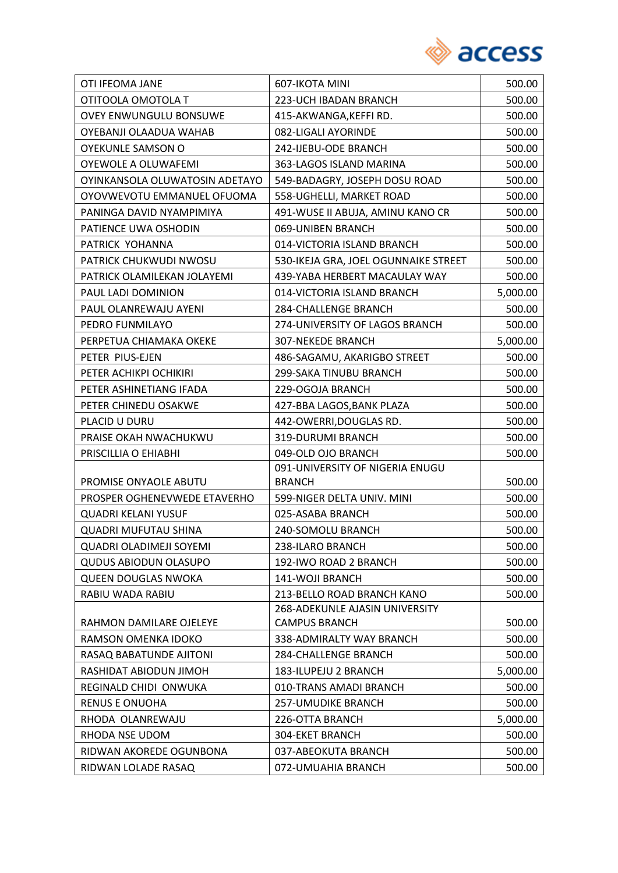

| OTI IFEOMA JANE                | 607-IKOTA MINI                       | 500.00   |
|--------------------------------|--------------------------------------|----------|
| OTITOOLA OMOTOLA T             | 223-UCH IBADAN BRANCH                | 500.00   |
| <b>OVEY ENWUNGULU BONSUWE</b>  | 415-AKWANGA, KEFFIRD.                | 500.00   |
| OYEBANJI OLAADUA WAHAB         | 082-LIGALI AYORINDE                  | 500.00   |
| <b>OYEKUNLE SAMSON O</b>       | 242-IJEBU-ODE BRANCH                 | 500.00   |
| OYEWOLE A OLUWAFEMI            | 363-LAGOS ISLAND MARINA              | 500.00   |
| OYINKANSOLA OLUWATOSIN ADETAYO | 549-BADAGRY, JOSEPH DOSU ROAD        | 500.00   |
| OYOVWEVOTU EMMANUEL OFUOMA     | 558-UGHELLI, MARKET ROAD             | 500.00   |
| PANINGA DAVID NYAMPIMIYA       | 491-WUSE II ABUJA, AMINU KANO CR     | 500.00   |
| PATIENCE UWA OSHODIN           | 069-UNIBEN BRANCH                    | 500.00   |
| PATRICK YOHANNA                | 014-VICTORIA ISLAND BRANCH           | 500.00   |
| PATRICK CHUKWUDI NWOSU         | 530-IKEJA GRA, JOEL OGUNNAIKE STREET | 500.00   |
| PATRICK OLAMILEKAN JOLAYEMI    | 439-YABA HERBERT MACAULAY WAY        | 500.00   |
| PAUL LADI DOMINION             | 014-VICTORIA ISLAND BRANCH           | 5,000.00 |
| PAUL OLANREWAJU AYENI          | 284-CHALLENGE BRANCH                 | 500.00   |
| PEDRO FUNMILAYO                | 274-UNIVERSITY OF LAGOS BRANCH       | 500.00   |
| PERPETUA CHIAMAKA OKEKE        | <b>307-NEKEDE BRANCH</b>             | 5,000.00 |
| PETER PIUS-EJEN                | 486-SAGAMU, AKARIGBO STREET          | 500.00   |
| PETER ACHIKPI OCHIKIRI         | 299-SAKA TINUBU BRANCH               | 500.00   |
| PETER ASHINETIANG IFADA        | 229-OGOJA BRANCH                     | 500.00   |
| PETER CHINEDU OSAKWE           | 427-BBA LAGOS, BANK PLAZA            | 500.00   |
| PLACID U DURU                  | 442-OWERRI, DOUGLAS RD.              | 500.00   |
| PRAISE OKAH NWACHUKWU          | 319-DURUMI BRANCH                    | 500.00   |
| PRISCILLIA O EHIABHI           | 049-OLD OJO BRANCH                   | 500.00   |
|                                | 091-UNIVERSITY OF NIGERIA ENUGU      |          |
| PROMISE ONYAOLE ABUTU          | <b>BRANCH</b>                        | 500.00   |
| PROSPER OGHENEVWEDE ETAVERHO   | 599-NIGER DELTA UNIV. MINI           | 500.00   |
| <b>QUADRI KELANI YUSUF</b>     | 025-ASABA BRANCH                     | 500.00   |
| <b>QUADRI MUFUTAU SHINA</b>    | 240-SOMOLU BRANCH                    | 500.00   |
| <b>QUADRI OLADIMEJI SOYEMI</b> | 238-ILARO BRANCH                     | 500.00   |
| <b>QUDUS ABIODUN OLASUPO</b>   | 192-IWO ROAD 2 BRANCH                | 500.00   |
| <b>QUEEN DOUGLAS NWOKA</b>     | 141-WOJI BRANCH                      | 500.00   |
| RABIU WADA RABIU               | 213-BELLO ROAD BRANCH KANO           | 500.00   |
|                                | 268-ADEKUNLE AJASIN UNIVERSITY       |          |
| RAHMON DAMILARE OJELEYE        | <b>CAMPUS BRANCH</b>                 | 500.00   |
| RAMSON OMENKA IDOKO            | 338-ADMIRALTY WAY BRANCH             | 500.00   |
| RASAQ BABATUNDE AJITONI        | <b>284-CHALLENGE BRANCH</b>          | 500.00   |
| RASHIDAT ABIODUN JIMOH         | 183-ILUPEJU 2 BRANCH                 | 5,000.00 |
| REGINALD CHIDI ONWUKA          | 010-TRANS AMADI BRANCH               | 500.00   |
| <b>RENUS E ONUOHA</b>          | <b>257-UMUDIKE BRANCH</b>            | 500.00   |
| RHODA OLANREWAJU               | 226-OTTA BRANCH                      | 5,000.00 |
| RHODA NSE UDOM                 | 304-EKET BRANCH                      | 500.00   |
| RIDWAN AKOREDE OGUNBONA        | 037-ABEOKUTA BRANCH                  | 500.00   |
| RIDWAN LOLADE RASAQ            | 072-UMUAHIA BRANCH                   | 500.00   |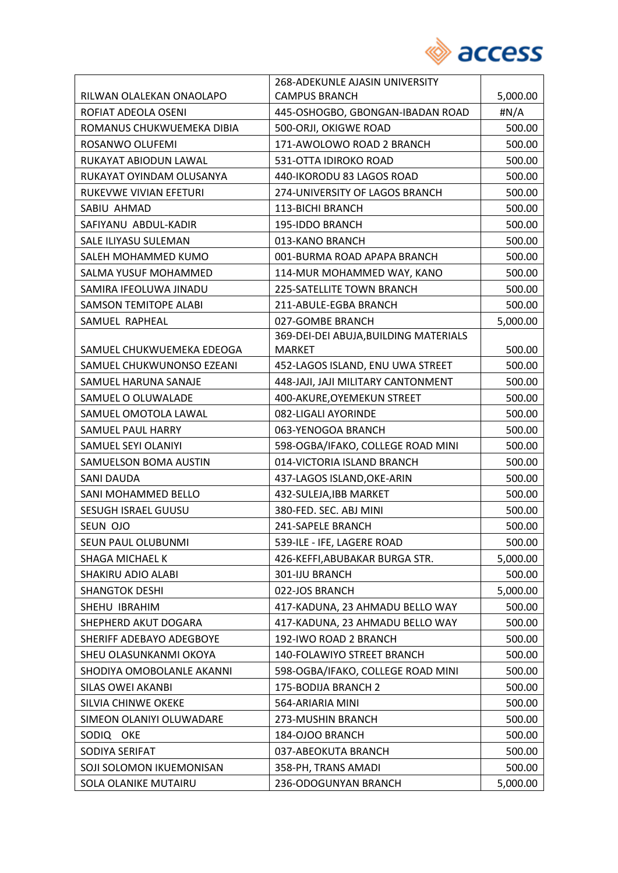

|                              | 268-ADEKUNLE AJASIN UNIVERSITY        |              |
|------------------------------|---------------------------------------|--------------|
| RILWAN OLALEKAN ONAOLAPO     | <b>CAMPUS BRANCH</b>                  | 5,000.00     |
| ROFIAT ADEOLA OSENI          | 445-OSHOGBO, GBONGAN-IBADAN ROAD      | $\sharp N/A$ |
| ROMANUS CHUKWUEMEKA DIBIA    | 500-ORJI, OKIGWE ROAD                 | 500.00       |
| ROSANWO OLUFEMI              | 171-AWOLOWO ROAD 2 BRANCH             | 500.00       |
| RUKAYAT ABIODUN LAWAL        | 531-OTTA IDIROKO ROAD                 | 500.00       |
| RUKAYAT OYINDAM OLUSANYA     | 440-IKORODU 83 LAGOS ROAD             | 500.00       |
| RUKEVWE VIVIAN EFETURI       | 274-UNIVERSITY OF LAGOS BRANCH        | 500.00       |
| SABIU AHMAD                  | 113-BICHI BRANCH                      | 500.00       |
| SAFIYANU ABDUL-KADIR         | 195-IDDO BRANCH                       | 500.00       |
| SALE ILIYASU SULEMAN         | 013-KANO BRANCH                       | 500.00       |
| SALEH MOHAMMED KUMO          | 001-BURMA ROAD APAPA BRANCH           | 500.00       |
| SALMA YUSUF MOHAMMED         | 114-MUR MOHAMMED WAY, KANO            | 500.00       |
| SAMIRA IFEOLUWA JINADU       | 225-SATELLITE TOWN BRANCH             | 500.00       |
| <b>SAMSON TEMITOPE ALABI</b> | 211-ABULE-EGBA BRANCH                 | 500.00       |
| SAMUEL RAPHEAL               | 027-GOMBE BRANCH                      | 5,000.00     |
|                              | 369-DEI-DEI ABUJA, BUILDING MATERIALS |              |
| SAMUEL CHUKWUEMEKA EDEOGA    | <b>MARKET</b>                         | 500.00       |
| SAMUEL CHUKWUNONSO EZEANI    | 452-LAGOS ISLAND, ENU UWA STREET      | 500.00       |
| SAMUEL HARUNA SANAJE         | 448-JAJI, JAJI MILITARY CANTONMENT    | 500.00       |
| SAMUEL O OLUWALADE           | 400-AKURE, OYEMEKUN STREET            | 500.00       |
| SAMUEL OMOTOLA LAWAL         | 082-LIGALI AYORINDE                   | 500.00       |
| <b>SAMUEL PAUL HARRY</b>     | 063-YENOGOA BRANCH                    | 500.00       |
| SAMUEL SEYI OLANIYI          | 598-OGBA/IFAKO, COLLEGE ROAD MINI     | 500.00       |
| <b>SAMUELSON BOMA AUSTIN</b> | 014-VICTORIA ISLAND BRANCH            | 500.00       |
| <b>SANI DAUDA</b>            | 437-LAGOS ISLAND, OKE-ARIN            | 500.00       |
| SANI MOHAMMED BELLO          | 432-SULEJA, IBB MARKET                | 500.00       |
| <b>SESUGH ISRAEL GUUSU</b>   | 380-FED. SEC. ABJ MINI                | 500.00       |
| SEUN OJO                     | 241-SAPELE BRANCH                     | 500.00       |
| SEUN PAUL OLUBUNMI           | 539-ILE - IFE, LAGERE ROAD            | 500.00       |
| SHAGA MICHAEL K              | 426-KEFFI, ABUBAKAR BURGA STR.        | 5,000.00     |
| SHAKIRU ADIO ALABI           | 301-IJU BRANCH                        | 500.00       |
| <b>SHANGTOK DESHI</b>        | 022-JOS BRANCH                        | 5,000.00     |
| SHEHU IBRAHIM                | 417-KADUNA, 23 AHMADU BELLO WAY       | 500.00       |
| SHEPHERD AKUT DOGARA         | 417-KADUNA, 23 AHMADU BELLO WAY       | 500.00       |
| SHERIFF ADEBAYO ADEGBOYE     | 192-IWO ROAD 2 BRANCH                 | 500.00       |
| SHEU OLASUNKANMI OKOYA       | 140-FOLAWIYO STREET BRANCH            | 500.00       |
| SHODIYA OMOBOLANLE AKANNI    | 598-OGBA/IFAKO, COLLEGE ROAD MINI     | 500.00       |
| <b>SILAS OWEI AKANBI</b>     | 175-BODIJA BRANCH 2                   | 500.00       |
| SILVIA CHINWE OKEKE          | 564-ARIARIA MINI                      | 500.00       |
| SIMEON OLANIYI OLUWADARE     | 273-MUSHIN BRANCH                     | 500.00       |
| SODIQ OKE                    | 184-OJOO BRANCH                       | 500.00       |
| SODIYA SERIFAT               | 037-ABEOKUTA BRANCH                   | 500.00       |
| SOJI SOLOMON IKUEMONISAN     | 358-PH, TRANS AMADI                   | 500.00       |
| SOLA OLANIKE MUTAIRU         | 236-ODOGUNYAN BRANCH                  | 5,000.00     |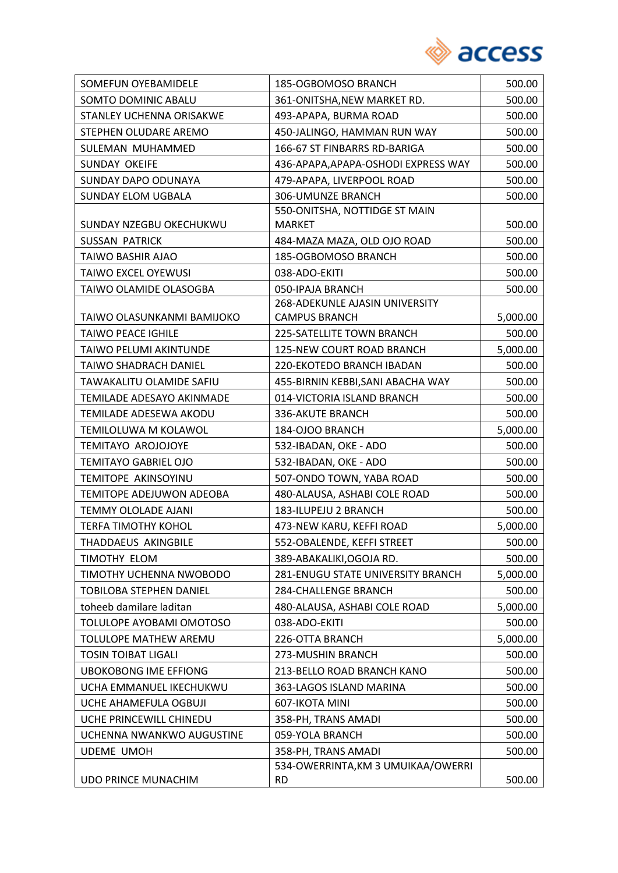

| SOMEFUN OYEBAMIDELE          | 185-OGBOMOSO BRANCH                 | 500.00   |
|------------------------------|-------------------------------------|----------|
| SOMTO DOMINIC ABALU          | 361-ONITSHA, NEW MARKET RD.         | 500.00   |
| STANLEY UCHENNA ORISAKWE     | 493-APAPA, BURMA ROAD               | 500.00   |
| STEPHEN OLUDARE AREMO        | 450-JALINGO, HAMMAN RUN WAY         | 500.00   |
| SULEMAN MUHAMMED             | 166-67 ST FINBARRS RD-BARIGA        | 500.00   |
| SUNDAY OKEIFE                | 436-APAPA, APAPA-OSHODI EXPRESS WAY | 500.00   |
| <b>SUNDAY DAPO ODUNAYA</b>   | 479-APAPA, LIVERPOOL ROAD           | 500.00   |
| <b>SUNDAY ELOM UGBALA</b>    | 306-UMUNZE BRANCH                   | 500.00   |
|                              | 550-ONITSHA, NOTTIDGE ST MAIN       |          |
| SUNDAY NZEGBU OKECHUKWU      | <b>MARKET</b>                       | 500.00   |
| <b>SUSSAN PATRICK</b>        | 484-MAZA MAZA, OLD OJO ROAD         | 500.00   |
| TAIWO BASHIR AJAO            | 185-OGBOMOSO BRANCH                 | 500.00   |
| <b>TAIWO EXCEL OYEWUSI</b>   | 038-ADO-EKITI                       | 500.00   |
| TAIWO OLAMIDE OLASOGBA       | 050-IPAJA BRANCH                    | 500.00   |
|                              | 268-ADEKUNLE AJASIN UNIVERSITY      |          |
| TAIWO OLASUNKANMI BAMIJOKO   | <b>CAMPUS BRANCH</b>                | 5,000.00 |
| <b>TAIWO PEACE IGHILE</b>    | 225-SATELLITE TOWN BRANCH           | 500.00   |
| TAIWO PELUMI AKINTUNDE       | 125-NEW COURT ROAD BRANCH           | 5,000.00 |
| TAIWO SHADRACH DANIEL        | 220-EKOTEDO BRANCH IBADAN           | 500.00   |
| TAWAKALITU OLAMIDE SAFIU     | 455-BIRNIN KEBBI, SANI ABACHA WAY   | 500.00   |
| TEMILADE ADESAYO AKINMADE    | 014-VICTORIA ISLAND BRANCH          | 500.00   |
| TEMILADE ADESEWA AKODU       | 336-AKUTE BRANCH                    | 500.00   |
| TEMILOLUWA M KOLAWOL         | 184-OJOO BRANCH                     | 5,000.00 |
| TEMITAYO AROJOJOYE           | 532-IBADAN, OKE - ADO               | 500.00   |
| <b>TEMITAYO GABRIEL OJO</b>  | 532-IBADAN, OKE - ADO               | 500.00   |
| TEMITOPE AKINSOYINU          | 507-ONDO TOWN, YABA ROAD            | 500.00   |
| TEMITOPE ADEJUWON ADEOBA     | 480-ALAUSA, ASHABI COLE ROAD        | 500.00   |
| <b>TEMMY OLOLADE AJANI</b>   | 183-ILUPEJU 2 BRANCH                | 500.00   |
| <b>TERFA TIMOTHY KOHOL</b>   | 473-NEW KARU, KEFFI ROAD            | 5,000.00 |
| THADDAEUS AKINGBILE          | 552-OBALENDE, KEFFI STREET          | 500.00   |
| TIMOTHY ELOM                 | 389-ABAKALIKI, OGOJA RD.            | 500.00   |
| TIMOTHY UCHENNA NWOBODO      | 281-ENUGU STATE UNIVERSITY BRANCH   | 5,000.00 |
| TOBILOBA STEPHEN DANIEL      | <b>284-CHALLENGE BRANCH</b>         | 500.00   |
| toheeb damilare laditan      | 480-ALAUSA, ASHABI COLE ROAD        | 5,000.00 |
| TOLULOPE AYOBAMI OMOTOSO     | 038-ADO-EKITI                       | 500.00   |
| TOLULOPE MATHEW AREMU        | 226-OTTA BRANCH                     | 5,000.00 |
| <b>TOSIN TOIBAT LIGALI</b>   | 273-MUSHIN BRANCH                   | 500.00   |
| <b>UBOKOBONG IME EFFIONG</b> | 213-BELLO ROAD BRANCH KANO          | 500.00   |
| UCHA EMMANUEL IKECHUKWU      | 363-LAGOS ISLAND MARINA             | 500.00   |
| UCHE AHAMEFULA OGBUJI        | 607-IKOTA MINI                      | 500.00   |
| UCHE PRINCEWILL CHINEDU      | 358-PH, TRANS AMADI                 | 500.00   |
| UCHENNA NWANKWO AUGUSTINE    | 059-YOLA BRANCH                     | 500.00   |
| <b>UDEME UMOH</b>            | 358-PH, TRANS AMADI                 | 500.00   |
|                              | 534-OWERRINTA, KM 3 UMUIKAA/OWERRI  |          |
| <b>UDO PRINCE MUNACHIM</b>   | <b>RD</b>                           | 500.00   |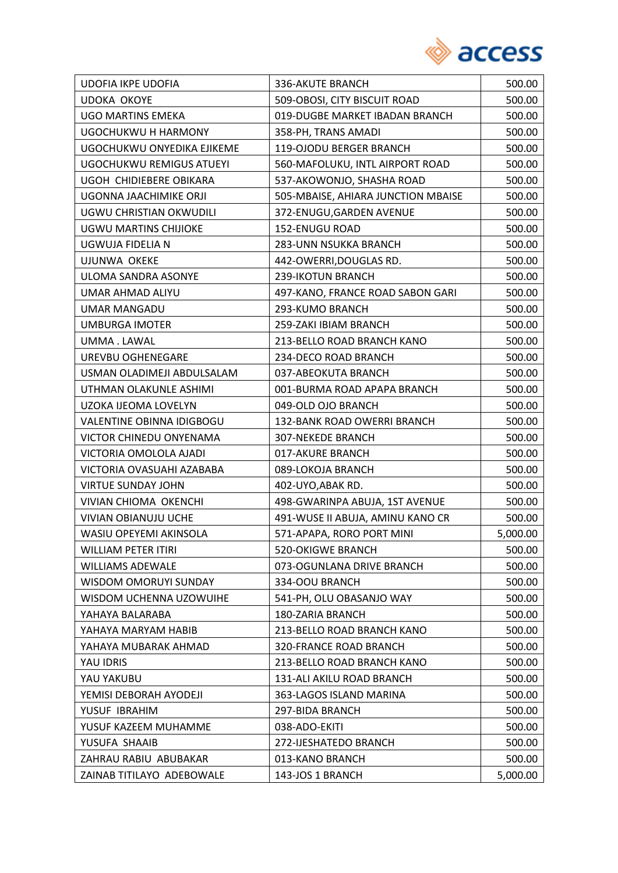

| <b>UDOFIA IKPE UDOFIA</b>       | 336-AKUTE BRANCH                   | 500.00   |
|---------------------------------|------------------------------------|----------|
| <b>UDOKA OKOYE</b>              | 509-OBOSI, CITY BISCUIT ROAD       | 500.00   |
| <b>UGO MARTINS EMEKA</b>        | 019-DUGBE MARKET IBADAN BRANCH     | 500.00   |
| UGOCHUKWU H HARMONY             | 358-PH, TRANS AMADI                | 500.00   |
| UGOCHUKWU ONYEDIKA EJIKEME      | 119-OJODU BERGER BRANCH            | 500.00   |
| <b>UGOCHUKWU REMIGUS ATUEYI</b> | 560-MAFOLUKU, INTL AIRPORT ROAD    | 500.00   |
| UGOH CHIDIEBERE OBIKARA         | 537-AKOWONJO, SHASHA ROAD          | 500.00   |
| UGONNA JAACHIMIKE ORJI          | 505-MBAISE, AHIARA JUNCTION MBAISE | 500.00   |
| UGWU CHRISTIAN OKWUDILI         | 372-ENUGU, GARDEN AVENUE           | 500.00   |
| UGWU MARTINS CHIJIOKE           | 152-ENUGU ROAD                     | 500.00   |
| UGWUJA FIDELIA N                | 283-UNN NSUKKA BRANCH              | 500.00   |
| <b>UJUNWA OKEKE</b>             | 442-OWERRI, DOUGLAS RD.            | 500.00   |
| ULOMA SANDRA ASONYE             | 239-IKOTUN BRANCH                  | 500.00   |
| UMAR AHMAD ALIYU                | 497-KANO, FRANCE ROAD SABON GARI   | 500.00   |
| UMAR MANGADU                    | 293-KUMO BRANCH                    | 500.00   |
| UMBURGA IMOTER                  | 259-ZAKI IBIAM BRANCH              | 500.00   |
| UMMA.LAWAL                      | 213-BELLO ROAD BRANCH KANO         | 500.00   |
| UREVBU OGHENEGARE               | 234-DECO ROAD BRANCH               | 500.00   |
| USMAN OLADIMEJI ABDULSALAM      | 037-ABEOKUTA BRANCH                | 500.00   |
| UTHMAN OLAKUNLE ASHIMI          | 001-BURMA ROAD APAPA BRANCH        | 500.00   |
| UZOKA IJEOMA LOVELYN            | 049-OLD OJO BRANCH                 | 500.00   |
| VALENTINE OBINNA IDIGBOGU       | 132-BANK ROAD OWERRI BRANCH        | 500.00   |
| VICTOR CHINEDU ONYENAMA         | <b>307-NEKEDE BRANCH</b>           | 500.00   |
| VICTORIA OMOLOLA AJADI          | 017-AKURE BRANCH                   | 500.00   |
| VICTORIA OVASUAHI AZABABA       | 089-LOKOJA BRANCH                  | 500.00   |
| <b>VIRTUE SUNDAY JOHN</b>       | 402-UYO, ABAK RD.                  | 500.00   |
| <b>VIVIAN CHIOMA OKENCHI</b>    | 498-GWARINPA ABUJA, 1ST AVENUE     | 500.00   |
| <b>VIVIAN OBIANUJU UCHE</b>     | 491-WUSE II ABUJA, AMINU KANO CR   | 500.00   |
| WASIU OPEYEMI AKINSOLA          | 571-APAPA, RORO PORT MINI          | 5,000.00 |
| WILLIAM PETER ITIRI             | <b>520-OKIGWE BRANCH</b>           | 500.00   |
| <b>WILLIAMS ADEWALE</b>         | 073-OGUNLANA DRIVE BRANCH          | 500.00   |
| WISDOM OMORUYI SUNDAY           | 334-OOU BRANCH                     | 500.00   |
| WISDOM UCHENNA UZOWUIHE         | 541-PH, OLU OBASANJO WAY           | 500.00   |
| YAHAYA BALARABA                 | 180-ZARIA BRANCH                   | 500.00   |
| YAHAYA MARYAM HABIB             | 213-BELLO ROAD BRANCH KANO         | 500.00   |
| YAHAYA MUBARAK AHMAD            | 320-FRANCE ROAD BRANCH             | 500.00   |
| YAU IDRIS                       | 213-BELLO ROAD BRANCH KANO         | 500.00   |
| YAU YAKUBU                      | 131-ALI AKILU ROAD BRANCH          | 500.00   |
| YEMISI DEBORAH AYODEJI          | 363-LAGOS ISLAND MARINA            | 500.00   |
| YUSUF IBRAHIM                   | 297-BIDA BRANCH                    | 500.00   |
| YUSUF KAZEEM MUHAMME            | 038-ADO-EKITI                      | 500.00   |
| YUSUFA SHAAIB                   | 272-IJESHATEDO BRANCH              | 500.00   |
| ZAHRAU RABIU ABUBAKAR           | 013-KANO BRANCH                    | 500.00   |
| ZAINAB TITILAYO ADEBOWALE       | 143-JOS 1 BRANCH                   | 5,000.00 |